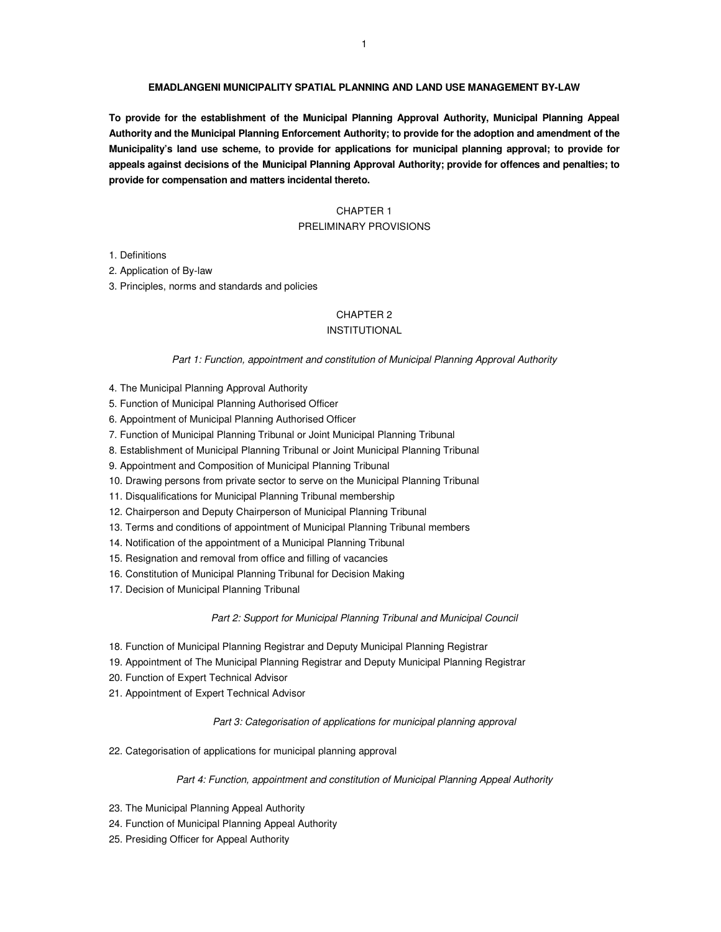#### **EMADLANGENI MUNICIPALITY SPATIAL PLANNING AND LAND USE MANAGEMENT BY-LAW**

**To provide for the establishment of the Municipal Planning Approval Authority, Municipal Planning Appeal Authority and the Municipal Planning Enforcement Authority; to provide for the adoption and amendment of the Municipality's land use scheme, to provide for applications for municipal planning approval; to provide for appeals against decisions of the Municipal Planning Approval Authority; provide for offences and penalties; to provide for compensation and matters incidental thereto.** 

# CHAPTER 1

# PRELIMINARY PROVISIONS

1. Definitions

2. Application of By-law

3. Principles, norms and standards and policies

# CHAPTER 2

# INSTITUTIONAL

Part 1: Function, appointment and constitution of Municipal Planning Approval Authority

- 4. The Municipal Planning Approval Authority
- 5. Function of Municipal Planning Authorised Officer
- 6. Appointment of Municipal Planning Authorised Officer
- 7. Function of Municipal Planning Tribunal or Joint Municipal Planning Tribunal
- 8. Establishment of Municipal Planning Tribunal or Joint Municipal Planning Tribunal
- 9. Appointment and Composition of Municipal Planning Tribunal
- 10. Drawing persons from private sector to serve on the Municipal Planning Tribunal
- 11. Disqualifications for Municipal Planning Tribunal membership
- 12. Chairperson and Deputy Chairperson of Municipal Planning Tribunal
- 13. Terms and conditions of appointment of Municipal Planning Tribunal members
- 14. Notification of the appointment of a Municipal Planning Tribunal
- 15. Resignation and removal from office and filling of vacancies
- 16. Constitution of Municipal Planning Tribunal for Decision Making
- 17. Decision of Municipal Planning Tribunal

#### Part 2: Support for Municipal Planning Tribunal and Municipal Council

- 18. Function of Municipal Planning Registrar and Deputy Municipal Planning Registrar
- 19. Appointment of The Municipal Planning Registrar and Deputy Municipal Planning Registrar
- 20. Function of Expert Technical Advisor
- 21. Appointment of Expert Technical Advisor

Part 3: Categorisation of applications for municipal planning approval

22. Categorisation of applications for municipal planning approval

#### Part 4: Function, appointment and constitution of Municipal Planning Appeal Authority

- 23. The Municipal Planning Appeal Authority
- 24. Function of Municipal Planning Appeal Authority
- 25. Presiding Officer for Appeal Authority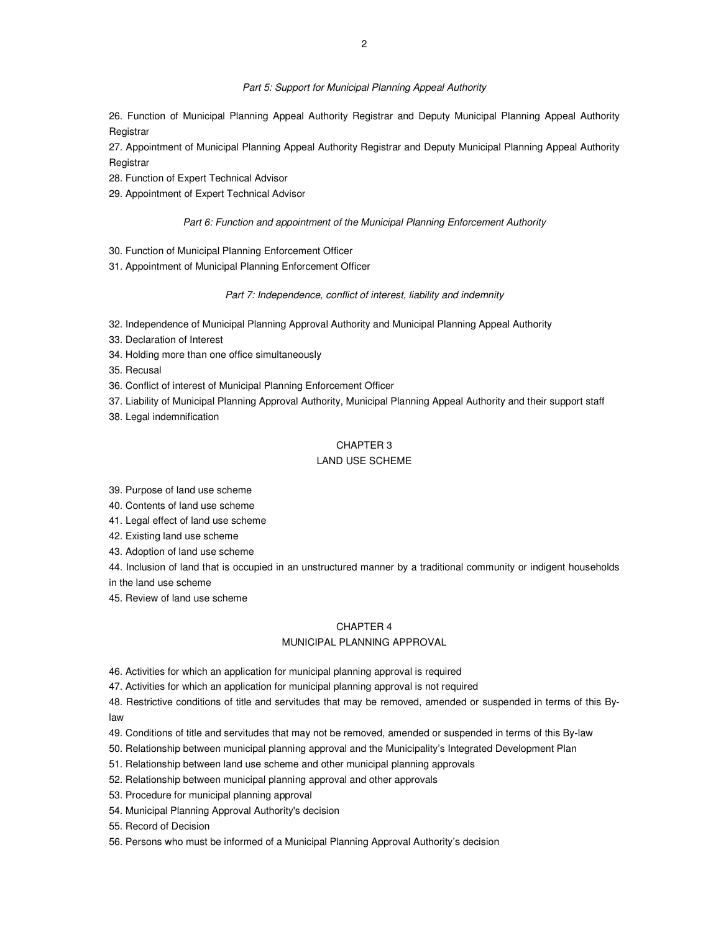26. Function of Municipal Planning Appeal Authority Registrar and Deputy Municipal Planning Appeal Authority **Registrar** 

27. Appointment of Municipal Planning Appeal Authority Registrar and Deputy Municipal Planning Appeal Authority **Registrar** 

- 28. Function of Expert Technical Advisor
- 29. Appointment of Expert Technical Advisor

#### Part 6: Function and appointment of the Municipal Planning Enforcement Authority

- 30. Function of Municipal Planning Enforcement Officer
- 31. Appointment of Municipal Planning Enforcement Officer

#### Part 7: Independence, conflict of interest, liability and indemnity

- 32. Independence of Municipal Planning Approval Authority and Municipal Planning Appeal Authority
- 33. Declaration of Interest
- 34. Holding more than one office simultaneously
- 35. Recusal
- 36. Conflict of interest of Municipal Planning Enforcement Officer
- 37. Liability of Municipal Planning Approval Authority, Municipal Planning Appeal Authority and their support staff
- 38. Legal indemnification

# CHAPTER 3

# LAND USE SCHEME

39. Purpose of land use scheme

40. Contents of land use scheme

- 41. Legal effect of land use scheme
- 42. Existing land use scheme
- 43. Adoption of land use scheme

44. Inclusion of land that is occupied in an unstructured manner by a traditional community or indigent households in the land use scheme

45. Review of land use scheme

# CHAPTER 4

### MUNICIPAL PLANNING APPROVAL

46. Activities for which an application for municipal planning approval is required

47. Activities for which an application for municipal planning approval is not required

48. Restrictive conditions of title and servitudes that may be removed, amended or suspended in terms of this Bylaw

- 49. Conditions of title and servitudes that may not be removed, amended or suspended in terms of this By-law
- 50. Relationship between municipal planning approval and the Municipality's Integrated Development Plan
- 51. Relationship between land use scheme and other municipal planning approvals
- 52. Relationship between municipal planning approval and other approvals
- 53. Procedure for municipal planning approval
- 54. Municipal Planning Approval Authority's decision
- 55. Record of Decision
- 56. Persons who must be informed of a Municipal Planning Approval Authority's decision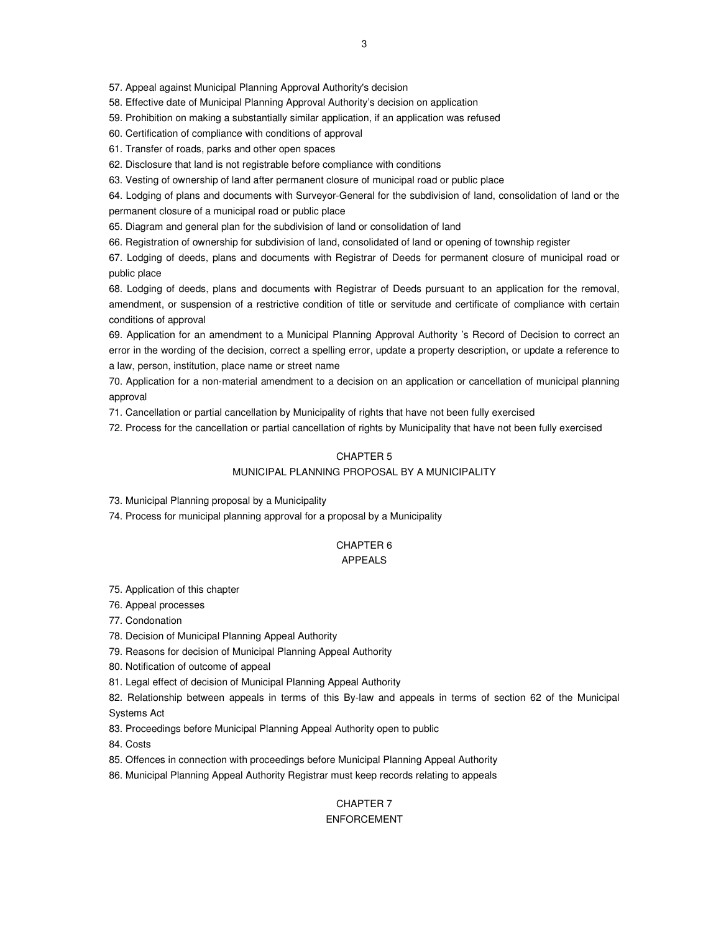57. Appeal against Municipal Planning Approval Authority's decision

58. Effective date of Municipal Planning Approval Authority's decision on application

59. Prohibition on making a substantially similar application, if an application was refused

60. Certification of compliance with conditions of approval

61. Transfer of roads, parks and other open spaces

62. Disclosure that land is not registrable before compliance with conditions

63. Vesting of ownership of land after permanent closure of municipal road or public place

64. Lodging of plans and documents with Surveyor-General for the subdivision of land, consolidation of land or the permanent closure of a municipal road or public place

65. Diagram and general plan for the subdivision of land or consolidation of land

66. Registration of ownership for subdivision of land, consolidated of land or opening of township register

67. Lodging of deeds, plans and documents with Registrar of Deeds for permanent closure of municipal road or public place

68. Lodging of deeds, plans and documents with Registrar of Deeds pursuant to an application for the removal, amendment, or suspension of a restrictive condition of title or servitude and certificate of compliance with certain conditions of approval

69. Application for an amendment to a Municipal Planning Approval Authority 's Record of Decision to correct an error in the wording of the decision, correct a spelling error, update a property description, or update a reference to a law, person, institution, place name or street name

70. Application for a non-material amendment to a decision on an application or cancellation of municipal planning approval

71. Cancellation or partial cancellation by Municipality of rights that have not been fully exercised

72. Process for the cancellation or partial cancellation of rights by Municipality that have not been fully exercised

# CHAPTER 5

# MUNICIPAL PLANNING PROPOSAL BY A MUNICIPALITY

73. Municipal Planning proposal by a Municipality

74. Process for municipal planning approval for a proposal by a Municipality

#### CHAPTER 6 APPEALS

75. Application of this chapter

76. Appeal processes

77. Condonation

78. Decision of Municipal Planning Appeal Authority

79. Reasons for decision of Municipal Planning Appeal Authority

80. Notification of outcome of appeal

81. Legal effect of decision of Municipal Planning Appeal Authority

82. Relationship between appeals in terms of this By-law and appeals in terms of section 62 of the Municipal Systems Act

83. Proceedings before Municipal Planning Appeal Authority open to public

84. Costs

85. Offences in connection with proceedings before Municipal Planning Appeal Authority

86. Municipal Planning Appeal Authority Registrar must keep records relating to appeals

# CHAPTER 7 ENFORCEMENT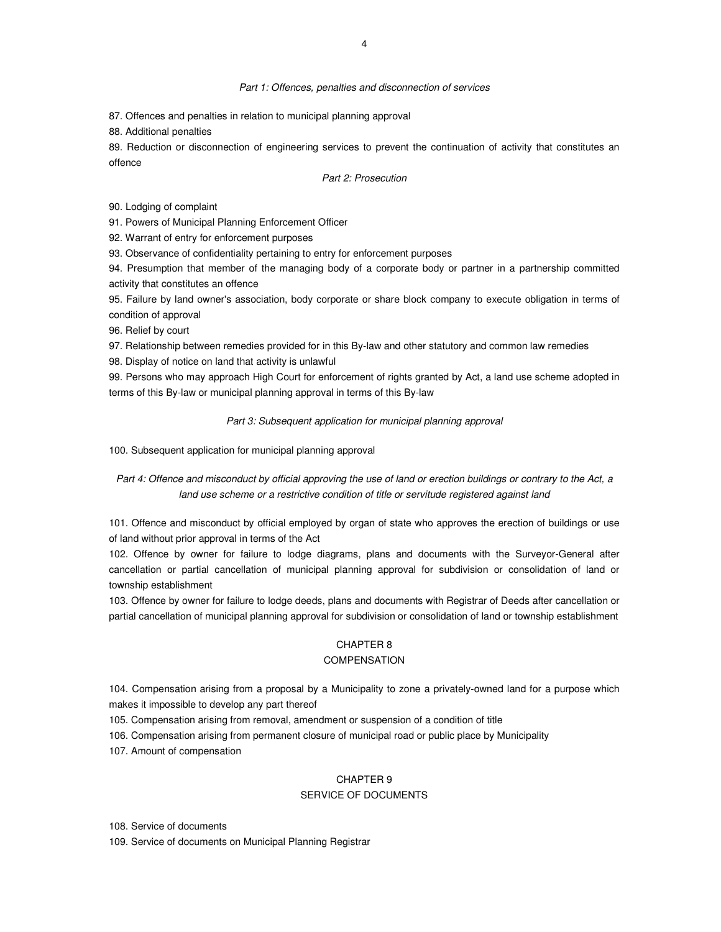#### Part 1: Offences, penalties and disconnection of services

87. Offences and penalties in relation to municipal planning approval

88. Additional penalties

89. Reduction or disconnection of engineering services to prevent the continuation of activity that constitutes an offence

#### Part 2: Prosecution

90. Lodging of complaint

91. Powers of Municipal Planning Enforcement Officer

92. Warrant of entry for enforcement purposes

93. Observance of confidentiality pertaining to entry for enforcement purposes

94. Presumption that member of the managing body of a corporate body or partner in a partnership committed activity that constitutes an offence

95. Failure by land owner's association, body corporate or share block company to execute obligation in terms of condition of approval

96. Relief by court

97. Relationship between remedies provided for in this By-law and other statutory and common law remedies

98. Display of notice on land that activity is unlawful

99. Persons who may approach High Court for enforcement of rights granted by Act, a land use scheme adopted in terms of this By-law or municipal planning approval in terms of this By-law

Part 3: Subsequent application for municipal planning approval

100. Subsequent application for municipal planning approval

Part 4: Offence and misconduct by official approving the use of land or erection buildings or contrary to the Act, a land use scheme or a restrictive condition of title or servitude registered against land

101. Offence and misconduct by official employed by organ of state who approves the erection of buildings or use of land without prior approval in terms of the Act

102. Offence by owner for failure to lodge diagrams, plans and documents with the Surveyor-General after cancellation or partial cancellation of municipal planning approval for subdivision or consolidation of land or township establishment

103. Offence by owner for failure to lodge deeds, plans and documents with Registrar of Deeds after cancellation or partial cancellation of municipal planning approval for subdivision or consolidation of land or township establishment

#### CHAPTER 8

#### **COMPENSATION**

104. Compensation arising from a proposal by a Municipality to zone a privately-owned land for a purpose which makes it impossible to develop any part thereof

105. Compensation arising from removal, amendment or suspension of a condition of title

106. Compensation arising from permanent closure of municipal road or public place by Municipality

107. Amount of compensation

#### CHAPTER 9

# SERVICE OF DOCUMENTS

108. Service of documents

109. Service of documents on Municipal Planning Registrar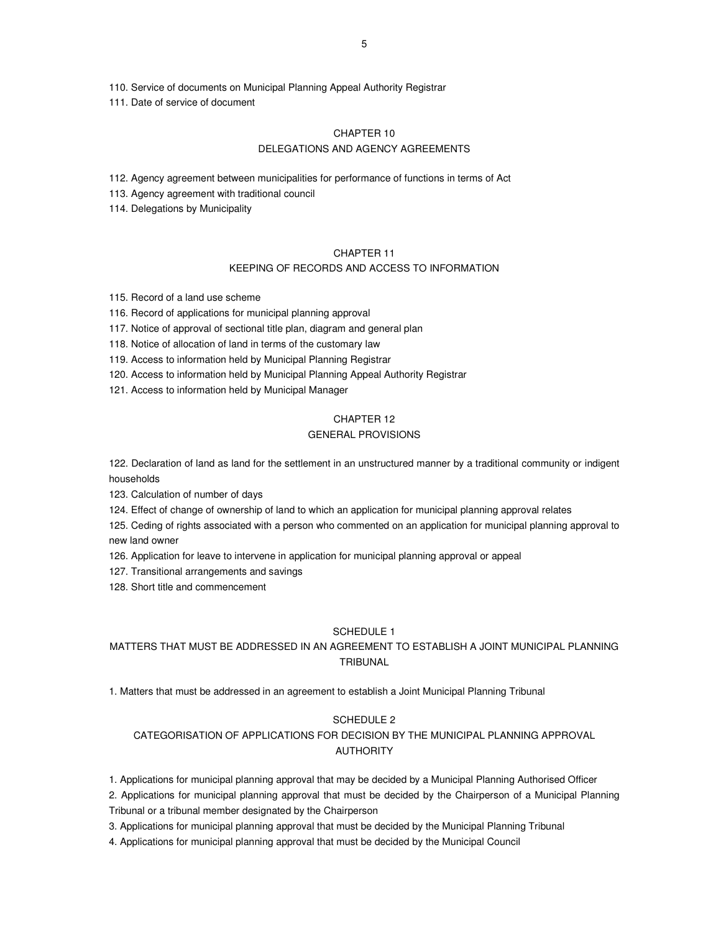110. Service of documents on Municipal Planning Appeal Authority Registrar

111. Date of service of document

# CHAPTER 10 DELEGATIONS AND AGENCY AGREEMENTS

112. Agency agreement between municipalities for performance of functions in terms of Act

- 113. Agency agreement with traditional council
- 114. Delegations by Municipality

# CHAPTER 11

# KEEPING OF RECORDS AND ACCESS TO INFORMATION

115. Record of a land use scheme

116. Record of applications for municipal planning approval

117. Notice of approval of sectional title plan, diagram and general plan

118. Notice of allocation of land in terms of the customary law

119. Access to information held by Municipal Planning Registrar

120. Access to information held by Municipal Planning Appeal Authority Registrar

121. Access to information held by Municipal Manager

# CHAPTER 12

# GENERAL PROVISIONS

122. Declaration of land as land for the settlement in an unstructured manner by a traditional community or indigent households

123. Calculation of number of days

124. Effect of change of ownership of land to which an application for municipal planning approval relates

125. Ceding of rights associated with a person who commented on an application for municipal planning approval to new land owner

126. Application for leave to intervene in application for municipal planning approval or appeal

127. Transitional arrangements and savings

128. Short title and commencement

# SCHEDULE 1

# MATTERS THAT MUST BE ADDRESSED IN AN AGREEMENT TO ESTABLISH A JOINT MUNICIPAL PLANNING TRIBUNAL

1. Matters that must be addressed in an agreement to establish a Joint Municipal Planning Tribunal

# SCHEDULE 2

# CATEGORISATION OF APPLICATIONS FOR DECISION BY THE MUNICIPAL PLANNING APPROVAL AUTHORITY

1. Applications for municipal planning approval that may be decided by a Municipal Planning Authorised Officer

2. Applications for municipal planning approval that must be decided by the Chairperson of a Municipal Planning Tribunal or a tribunal member designated by the Chairperson

3. Applications for municipal planning approval that must be decided by the Municipal Planning Tribunal

4. Applications for municipal planning approval that must be decided by the Municipal Council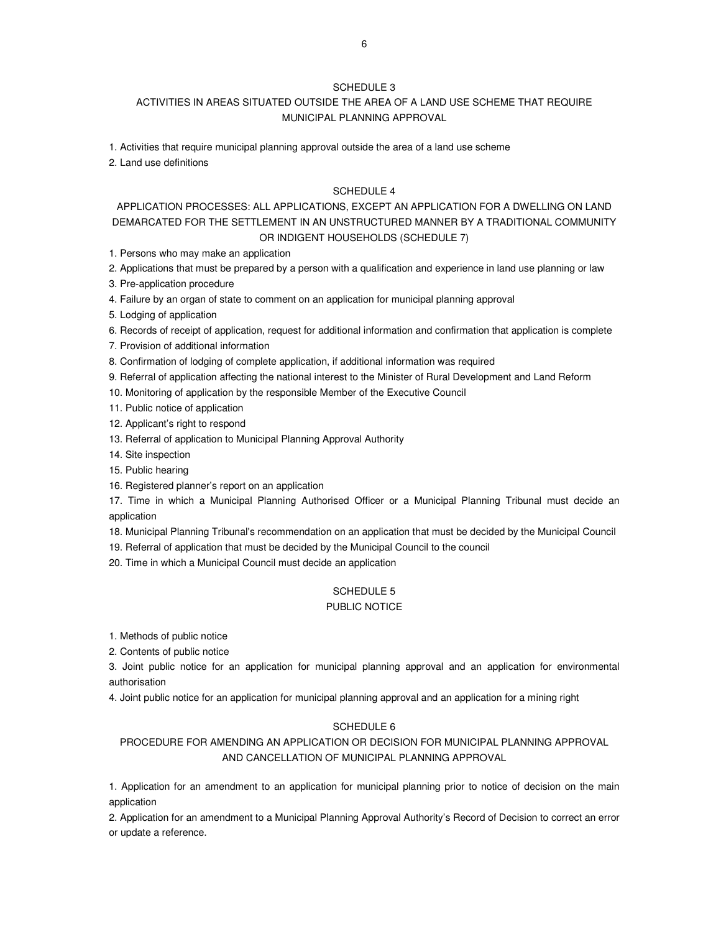# SCHEDULE 3

# ACTIVITIES IN AREAS SITUATED OUTSIDE THE AREA OF A LAND USE SCHEME THAT REQUIRE MUNICIPAL PLANNING APPROVAL

1. Activities that require municipal planning approval outside the area of a land use scheme

2. Land use definitions

### SCHEDULE 4

# APPLICATION PROCESSES: ALL APPLICATIONS, EXCEPT AN APPLICATION FOR A DWELLING ON LAND DEMARCATED FOR THE SETTLEMENT IN AN UNSTRUCTURED MANNER BY A TRADITIONAL COMMUNITY OR INDIGENT HOUSEHOLDS (SCHEDULE 7)

1. Persons who may make an application

2. Applications that must be prepared by a person with a qualification and experience in land use planning or law

3. Pre-application procedure

4. Failure by an organ of state to comment on an application for municipal planning approval

5. Lodging of application

6. Records of receipt of application, request for additional information and confirmation that application is complete

7. Provision of additional information

8. Confirmation of lodging of complete application, if additional information was required

- 9. Referral of application affecting the national interest to the Minister of Rural Development and Land Reform
- 10. Monitoring of application by the responsible Member of the Executive Council

11. Public notice of application

12. Applicant's right to respond

13. Referral of application to Municipal Planning Approval Authority

14. Site inspection

15. Public hearing

16. Registered planner's report on an application

17. Time in which a Municipal Planning Authorised Officer or a Municipal Planning Tribunal must decide an application

18. Municipal Planning Tribunal's recommendation on an application that must be decided by the Municipal Council

19. Referral of application that must be decided by the Municipal Council to the council

20. Time in which a Municipal Council must decide an application

# SCHEDULE 5

### PUBLIC NOTICE

1. Methods of public notice

2. Contents of public notice

3. Joint public notice for an application for municipal planning approval and an application for environmental authorisation

4. Joint public notice for an application for municipal planning approval and an application for a mining right

### SCHEDULE 6

# PROCEDURE FOR AMENDING AN APPLICATION OR DECISION FOR MUNICIPAL PLANNING APPROVAL AND CANCELLATION OF MUNICIPAL PLANNING APPROVAL

1. Application for an amendment to an application for municipal planning prior to notice of decision on the main application

2. Application for an amendment to a Municipal Planning Approval Authority's Record of Decision to correct an error or update a reference.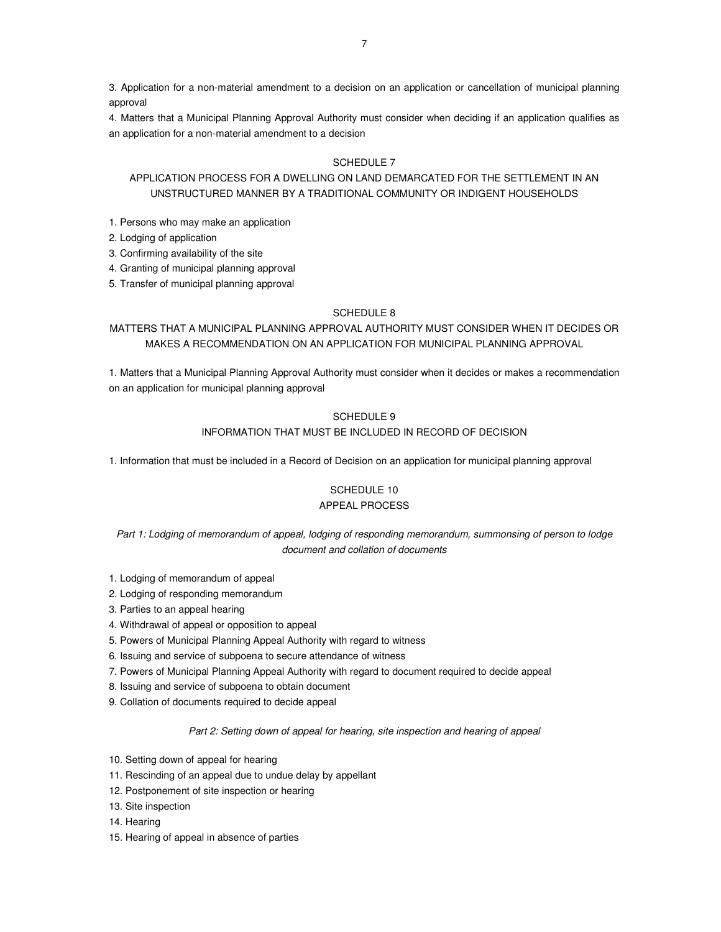3. Application for a non-material amendment to a decision on an application or cancellation of municipal planning approval

4. Matters that a Municipal Planning Approval Authority must consider when deciding if an application qualifies as an application for a non-material amendment to a decision

# SCHEDULE 7

# APPLICATION PROCESS FOR A DWELLING ON LAND DEMARCATED FOR THE SETTLEMENT IN AN UNSTRUCTURED MANNER BY A TRADITIONAL COMMUNITY OR INDIGENT HOUSEHOLDS

- 1. Persons who may make an application
- 2. Lodging of application
- 3. Confirming availability of the site
- 4. Granting of municipal planning approval
- 5. Transfer of municipal planning approval

# SCHEDULE 8

# MATTERS THAT A MUNICIPAL PLANNING APPROVAL AUTHORITY MUST CONSIDER WHEN IT DECIDES OR MAKES A RECOMMENDATION ON AN APPLICATION FOR MUNICIPAL PLANNING APPROVAL

1. Matters that a Municipal Planning Approval Authority must consider when it decides or makes a recommendation on an application for municipal planning approval

# SCHEDULE 9

# INFORMATION THAT MUST BE INCLUDED IN RECORD OF DECISION

1. Information that must be included in a Record of Decision on an application for municipal planning approval

# SCHEDULE 10

# APPEAL PROCESS

# Part 1: Lodging of memorandum of appeal, lodging of responding memorandum, summonsing of person to lodge document and collation of documents

- 1. Lodging of memorandum of appeal
- 2. Lodging of responding memorandum
- 3. Parties to an appeal hearing
- 4. Withdrawal of appeal or opposition to appeal
- 5. Powers of Municipal Planning Appeal Authority with regard to witness
- 6. Issuing and service of subpoena to secure attendance of witness
- 7. Powers of Municipal Planning Appeal Authority with regard to document required to decide appeal
- 8. Issuing and service of subpoena to obtain document
- 9. Collation of documents required to decide appeal

## Part 2: Setting down of appeal for hearing, site inspection and hearing of appeal

- 10. Setting down of appeal for hearing
- 11. Rescinding of an appeal due to undue delay by appellant
- 12. Postponement of site inspection or hearing
- 13. Site inspection
- 14. Hearing
- 15. Hearing of appeal in absence of parties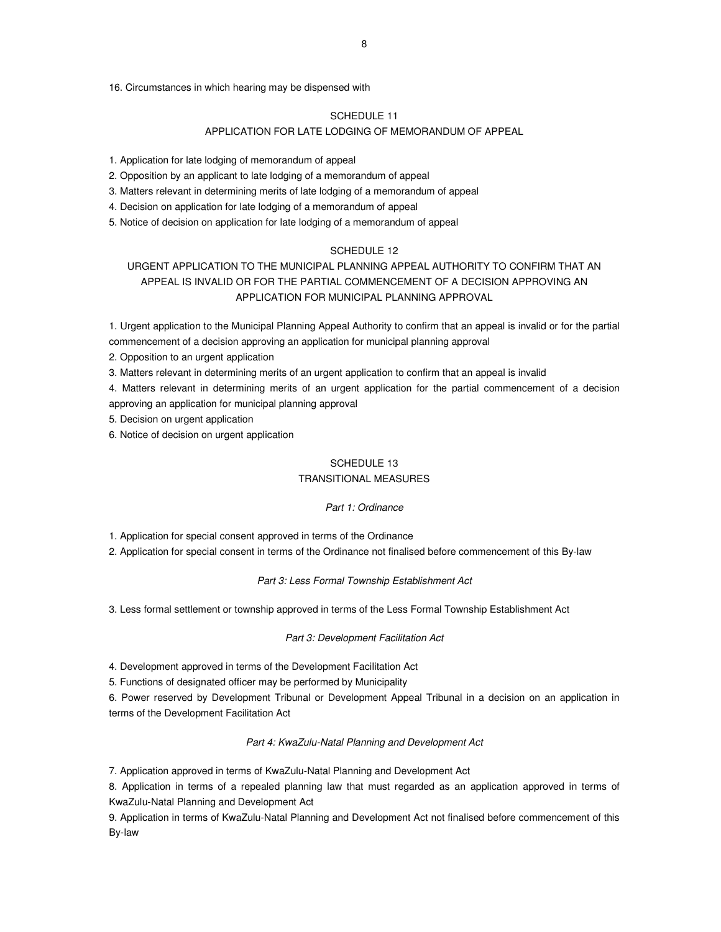16. Circumstances in which hearing may be dispensed with

#### SCHEDULE 11

# APPLICATION FOR LATE LODGING OF MEMORANDUM OF APPEAL

1. Application for late lodging of memorandum of appeal

2. Opposition by an applicant to late lodging of a memorandum of appeal

3. Matters relevant in determining merits of late lodging of a memorandum of appeal

4. Decision on application for late lodging of a memorandum of appeal

5. Notice of decision on application for late lodging of a memorandum of appeal

# SCHEDULE 12

# URGENT APPLICATION TO THE MUNICIPAL PLANNING APPEAL AUTHORITY TO CONFIRM THAT AN APPEAL IS INVALID OR FOR THE PARTIAL COMMENCEMENT OF A DECISION APPROVING AN APPLICATION FOR MUNICIPAL PLANNING APPROVAL

1. Urgent application to the Municipal Planning Appeal Authority to confirm that an appeal is invalid or for the partial commencement of a decision approving an application for municipal planning approval

2. Opposition to an urgent application

3. Matters relevant in determining merits of an urgent application to confirm that an appeal is invalid

4. Matters relevant in determining merits of an urgent application for the partial commencement of a decision approving an application for municipal planning approval

5. Decision on urgent application

6. Notice of decision on urgent application

### SCHEDULE 13

# TRANSITIONAL MEASURES

#### Part 1: Ordinance

1. Application for special consent approved in terms of the Ordinance

2. Application for special consent in terms of the Ordinance not finalised before commencement of this By-law

#### Part 3: Less Formal Township Establishment Act

3. Less formal settlement or township approved in terms of the Less Formal Township Establishment Act

#### Part 3: Development Facilitation Act

4. Development approved in terms of the Development Facilitation Act

5. Functions of designated officer may be performed by Municipality

6. Power reserved by Development Tribunal or Development Appeal Tribunal in a decision on an application in terms of the Development Facilitation Act

#### Part 4: KwaZulu-Natal Planning and Development Act

7. Application approved in terms of KwaZulu-Natal Planning and Development Act

8. Application in terms of a repealed planning law that must regarded as an application approved in terms of KwaZulu-Natal Planning and Development Act

9. Application in terms of KwaZulu-Natal Planning and Development Act not finalised before commencement of this By-law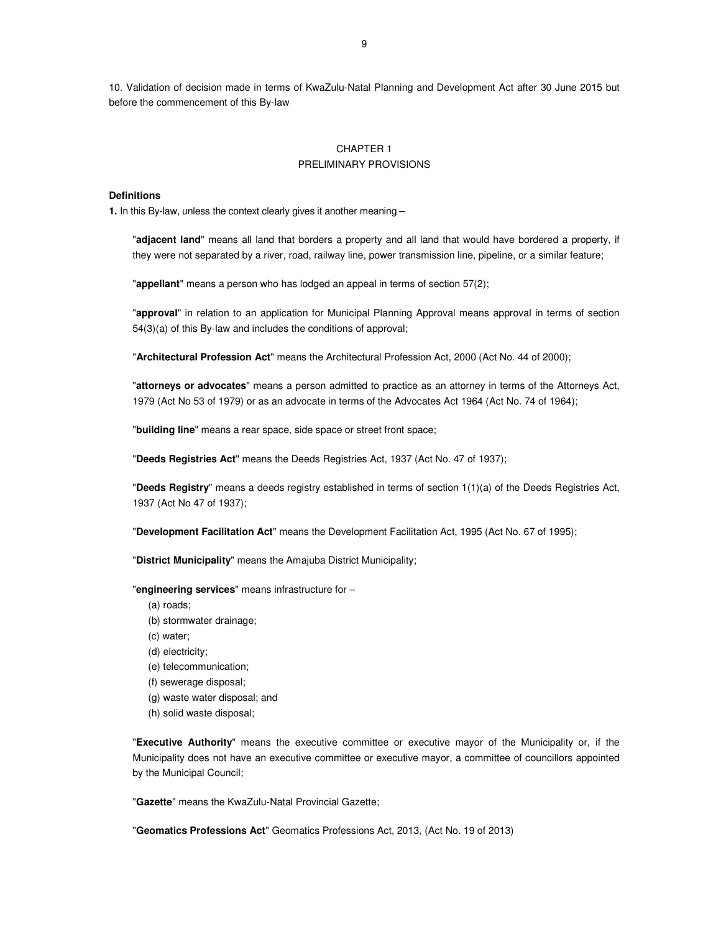10. Validation of decision made in terms of KwaZulu-Natal Planning and Development Act after 30 June 2015 but before the commencement of this By-law

# CHAPTER 1 PRELIMINARY PROVISIONS

#### **Definitions**

**1.** In this By-law, unless the context clearly gives it another meaning –

"**adjacent land**" means all land that borders a property and all land that would have bordered a property, if they were not separated by a river, road, railway line, power transmission line, pipeline, or a similar feature;

"**appellant**" means a person who has lodged an appeal in terms of section 57(2);

"**approval**" in relation to an application for Municipal Planning Approval means approval in terms of section 54(3)(a) of this By-law and includes the conditions of approval;

"**Architectural Profession Act**" means the Architectural Profession Act, 2000 (Act No. 44 of 2000);

"**attorneys or advocates**" means a person admitted to practice as an attorney in terms of the Attorneys Act, 1979 (Act No 53 of 1979) or as an advocate in terms of the Advocates Act 1964 (Act No. 74 of 1964);

"**building line**" means a rear space, side space or street front space;

"**Deeds Registries Act**" means the Deeds Registries Act, 1937 (Act No. 47 of 1937);

"**Deeds Registry**" means a deeds registry established in terms of section 1(1)(a) of the Deeds Registries Act, 1937 (Act No 47 of 1937);

"**Development Facilitation Act**" means the Development Facilitation Act, 1995 (Act No. 67 of 1995);

"**District Municipality**" means the Amajuba District Municipality;

"**engineering services**" means infrastructure for –

- (a) roads;
- (b) stormwater drainage;
- (c) water;

(d) electricity;

- (e) telecommunication;
- (f) sewerage disposal;
- (g) waste water disposal; and
- (h) solid waste disposal;

"**Executive Authority**" means the executive committee or executive mayor of the Municipality or, if the Municipality does not have an executive committee or executive mayor, a committee of councillors appointed by the Municipal Council;

"**Gazette**" means the KwaZulu-Natal Provincial Gazette;

"**Geomatics Professions Act**" Geomatics Professions Act, 2013, (Act No. 19 of 2013)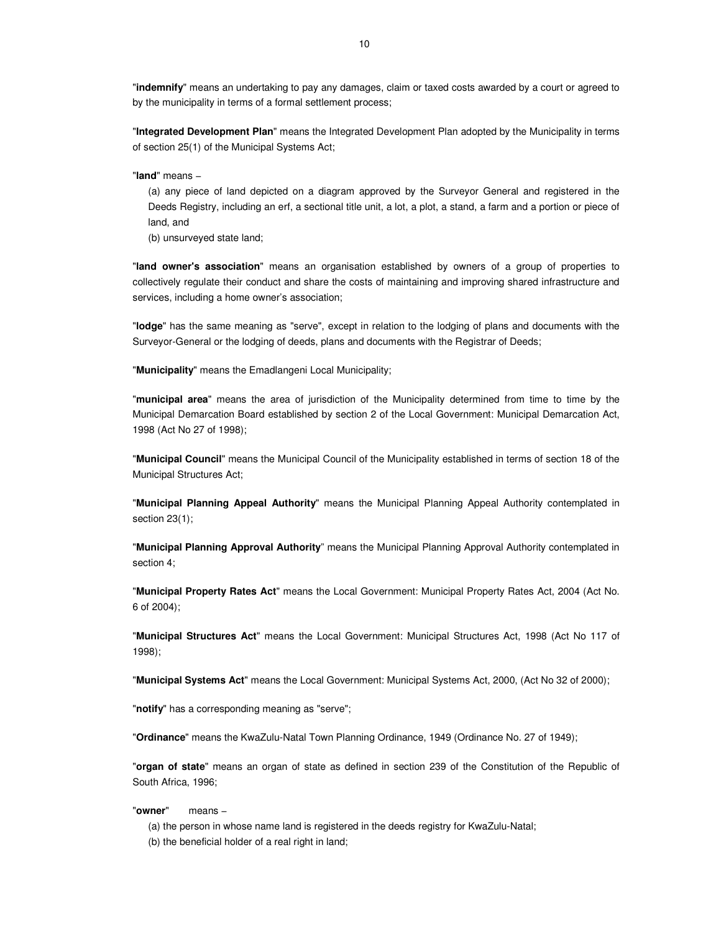"**indemnify**" means an undertaking to pay any damages, claim or taxed costs awarded by a court or agreed to by the municipality in terms of a formal settlement process;

"**Integrated Development Plan**" means the Integrated Development Plan adopted by the Municipality in terms of section 25(1) of the Municipal Systems Act;

"**land**" means −

(a) any piece of land depicted on a diagram approved by the Surveyor General and registered in the Deeds Registry, including an erf, a sectional title unit, a lot, a plot, a stand, a farm and a portion or piece of land, and

(b) unsurveyed state land;

"**land owner's association**" means an organisation established by owners of a group of properties to collectively regulate their conduct and share the costs of maintaining and improving shared infrastructure and services, including a home owner's association;

"**lodge**" has the same meaning as "serve", except in relation to the lodging of plans and documents with the Surveyor-General or the lodging of deeds, plans and documents with the Registrar of Deeds;

"**Municipality**" means the Emadlangeni Local Municipality;

"**municipal area**" means the area of jurisdiction of the Municipality determined from time to time by the Municipal Demarcation Board established by section 2 of the Local Government: Municipal Demarcation Act, 1998 (Act No 27 of 1998);

"**Municipal Council**" means the Municipal Council of the Municipality established in terms of section 18 of the Municipal Structures Act;

"**Municipal Planning Appeal Authority**" means the Municipal Planning Appeal Authority contemplated in section 23(1);

"**Municipal Planning Approval Authority**" means the Municipal Planning Approval Authority contemplated in section 4;

"**Municipal Property Rates Act**" means the Local Government: Municipal Property Rates Act, 2004 (Act No. 6 of 2004);

"**Municipal Structures Act**" means the Local Government: Municipal Structures Act, 1998 (Act No 117 of 1998);

"**Municipal Systems Act**" means the Local Government: Municipal Systems Act, 2000, (Act No 32 of 2000);

"**notify**" has a corresponding meaning as "serve";

"**Ordinance**" means the KwaZulu-Natal Town Planning Ordinance, 1949 (Ordinance No. 27 of 1949);

"**organ of state**" means an organ of state as defined in section 239 of the Constitution of the Republic of South Africa, 1996;

"**owner**" means −

(a) the person in whose name land is registered in the deeds registry for KwaZulu-Natal;

(b) the beneficial holder of a real right in land;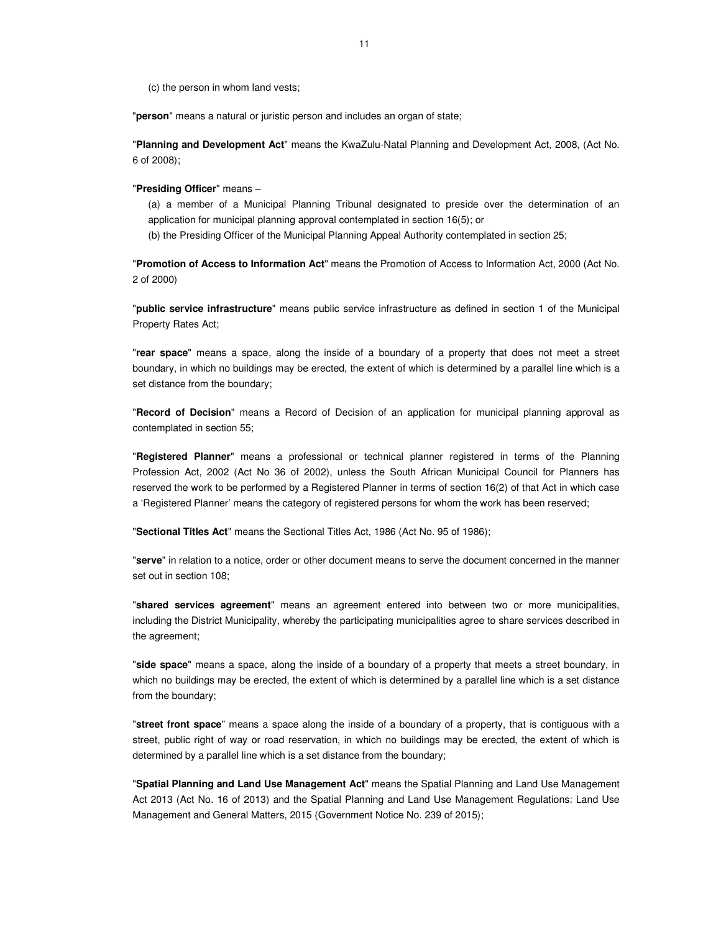(c) the person in whom land vests;

"**person**" means a natural or juristic person and includes an organ of state;

"**Planning and Development Act**" means the KwaZulu-Natal Planning and Development Act, 2008, (Act No. 6 of 2008);

#### "**Presiding Officer**" means –

(a) a member of a Municipal Planning Tribunal designated to preside over the determination of an application for municipal planning approval contemplated in section 16(5); or

(b) the Presiding Officer of the Municipal Planning Appeal Authority contemplated in section 25;

"**Promotion of Access to Information Act**" means the Promotion of Access to Information Act, 2000 (Act No. 2 of 2000)

"**public service infrastructure**" means public service infrastructure as defined in section 1 of the Municipal Property Rates Act;

"**rear space**" means a space, along the inside of a boundary of a property that does not meet a street boundary, in which no buildings may be erected, the extent of which is determined by a parallel line which is a set distance from the boundary;

"**Record of Decision**" means a Record of Decision of an application for municipal planning approval as contemplated in section 55;

"**Registered Planner**" means a professional or technical planner registered in terms of the Planning Profession Act, 2002 (Act No 36 of 2002), unless the South African Municipal Council for Planners has reserved the work to be performed by a Registered Planner in terms of section 16(2) of that Act in which case a 'Registered Planner' means the category of registered persons for whom the work has been reserved;

"**Sectional Titles Act**" means the Sectional Titles Act, 1986 (Act No. 95 of 1986);

"**serve**" in relation to a notice, order or other document means to serve the document concerned in the manner set out in section 108;

"**shared services agreement**" means an agreement entered into between two or more municipalities, including the District Municipality, whereby the participating municipalities agree to share services described in the agreement;

"**side space**" means a space, along the inside of a boundary of a property that meets a street boundary, in which no buildings may be erected, the extent of which is determined by a parallel line which is a set distance from the boundary;

"**street front space**" means a space along the inside of a boundary of a property, that is contiguous with a street, public right of way or road reservation, in which no buildings may be erected, the extent of which is determined by a parallel line which is a set distance from the boundary;

"**Spatial Planning and Land Use Management Act**" means the Spatial Planning and Land Use Management Act 2013 (Act No. 16 of 2013) and the Spatial Planning and Land Use Management Regulations: Land Use Management and General Matters, 2015 (Government Notice No. 239 of 2015);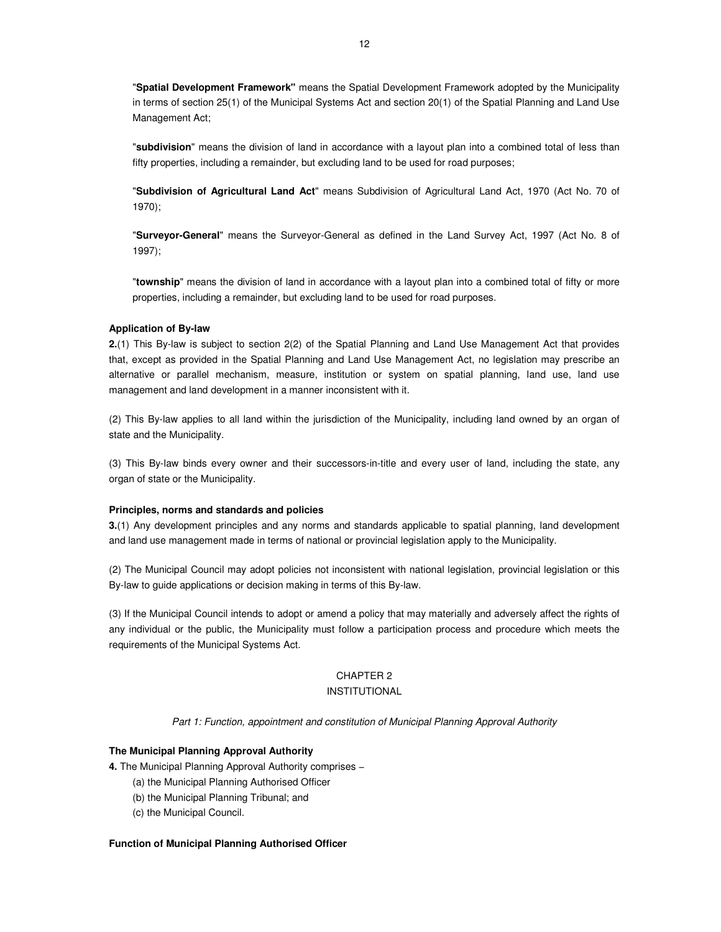"**Spatial Development Framework"** means the Spatial Development Framework adopted by the Municipality in terms of section 25(1) of the Municipal Systems Act and section 20(1) of the Spatial Planning and Land Use Management Act;

"**subdivision**" means the division of land in accordance with a layout plan into a combined total of less than fifty properties, including a remainder, but excluding land to be used for road purposes;

"**Subdivision of Agricultural Land Act**" means Subdivision of Agricultural Land Act, 1970 (Act No. 70 of 1970);

"**Surveyor-General**" means the Surveyor-General as defined in the Land Survey Act, 1997 (Act No. 8 of 1997);

"**township**" means the division of land in accordance with a layout plan into a combined total of fifty or more properties, including a remainder, but excluding land to be used for road purposes.

#### **Application of By-law**

**2.**(1) This By-law is subject to section 2(2) of the Spatial Planning and Land Use Management Act that provides that, except as provided in the Spatial Planning and Land Use Management Act, no legislation may prescribe an alternative or parallel mechanism, measure, institution or system on spatial planning, land use, land use management and land development in a manner inconsistent with it.

(2) This By-law applies to all land within the jurisdiction of the Municipality, including land owned by an organ of state and the Municipality.

(3) This By-law binds every owner and their successors-in-title and every user of land, including the state, any organ of state or the Municipality.

### **Principles, norms and standards and policies**

**3.**(1) Any development principles and any norms and standards applicable to spatial planning, land development and land use management made in terms of national or provincial legislation apply to the Municipality.

(2) The Municipal Council may adopt policies not inconsistent with national legislation, provincial legislation or this By-law to guide applications or decision making in terms of this By-law.

(3) If the Municipal Council intends to adopt or amend a policy that may materially and adversely affect the rights of any individual or the public, the Municipality must follow a participation process and procedure which meets the requirements of the Municipal Systems Act.

# CHAPTER 2

# INSTITUTIONAL

Part 1: Function, appointment and constitution of Municipal Planning Approval Authority

#### **The Municipal Planning Approval Authority**

**4.** The Municipal Planning Approval Authority comprises −

- (a) the Municipal Planning Authorised Officer
- (b) the Municipal Planning Tribunal; and
- (c) the Municipal Council.

#### **Function of Municipal Planning Authorised Officer**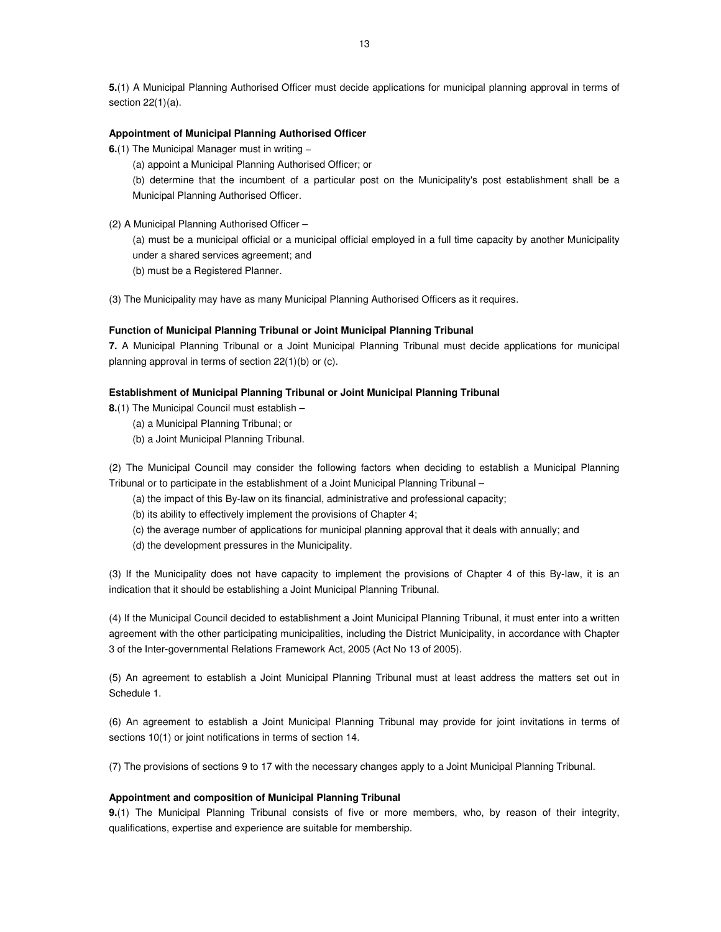**5.**(1) A Municipal Planning Authorised Officer must decide applications for municipal planning approval in terms of section 22(1)(a).

# **Appointment of Municipal Planning Authorised Officer**

**6.**(1) The Municipal Manager must in writing −

(a) appoint a Municipal Planning Authorised Officer; or

(b) determine that the incumbent of a particular post on the Municipality's post establishment shall be a Municipal Planning Authorised Officer.

(2) A Municipal Planning Authorised Officer –

(a) must be a municipal official or a municipal official employed in a full time capacity by another Municipality under a shared services agreement; and

(b) must be a Registered Planner.

(3) The Municipality may have as many Municipal Planning Authorised Officers as it requires.

#### **Function of Municipal Planning Tribunal or Joint Municipal Planning Tribunal**

**7.** A Municipal Planning Tribunal or a Joint Municipal Planning Tribunal must decide applications for municipal planning approval in terms of section 22(1)(b) or (c).

#### **Establishment of Municipal Planning Tribunal or Joint Municipal Planning Tribunal**

**8.**(1) The Municipal Council must establish –

- (a) a Municipal Planning Tribunal; or
- (b) a Joint Municipal Planning Tribunal.

(2) The Municipal Council may consider the following factors when deciding to establish a Municipal Planning Tribunal or to participate in the establishment of a Joint Municipal Planning Tribunal –

- (a) the impact of this By-law on its financial, administrative and professional capacity;
- (b) its ability to effectively implement the provisions of Chapter 4;
- (c) the average number of applications for municipal planning approval that it deals with annually; and
- (d) the development pressures in the Municipality.

(3) If the Municipality does not have capacity to implement the provisions of Chapter 4 of this By-law, it is an indication that it should be establishing a Joint Municipal Planning Tribunal.

(4) If the Municipal Council decided to establishment a Joint Municipal Planning Tribunal, it must enter into a written agreement with the other participating municipalities, including the District Municipality, in accordance with Chapter 3 of the Inter-governmental Relations Framework Act, 2005 (Act No 13 of 2005).

(5) An agreement to establish a Joint Municipal Planning Tribunal must at least address the matters set out in Schedule 1.

(6) An agreement to establish a Joint Municipal Planning Tribunal may provide for joint invitations in terms of sections 10(1) or joint notifications in terms of section 14.

(7) The provisions of sections 9 to 17 with the necessary changes apply to a Joint Municipal Planning Tribunal.

#### **Appointment and composition of Municipal Planning Tribunal**

**9.**(1) The Municipal Planning Tribunal consists of five or more members, who, by reason of their integrity, qualifications, expertise and experience are suitable for membership.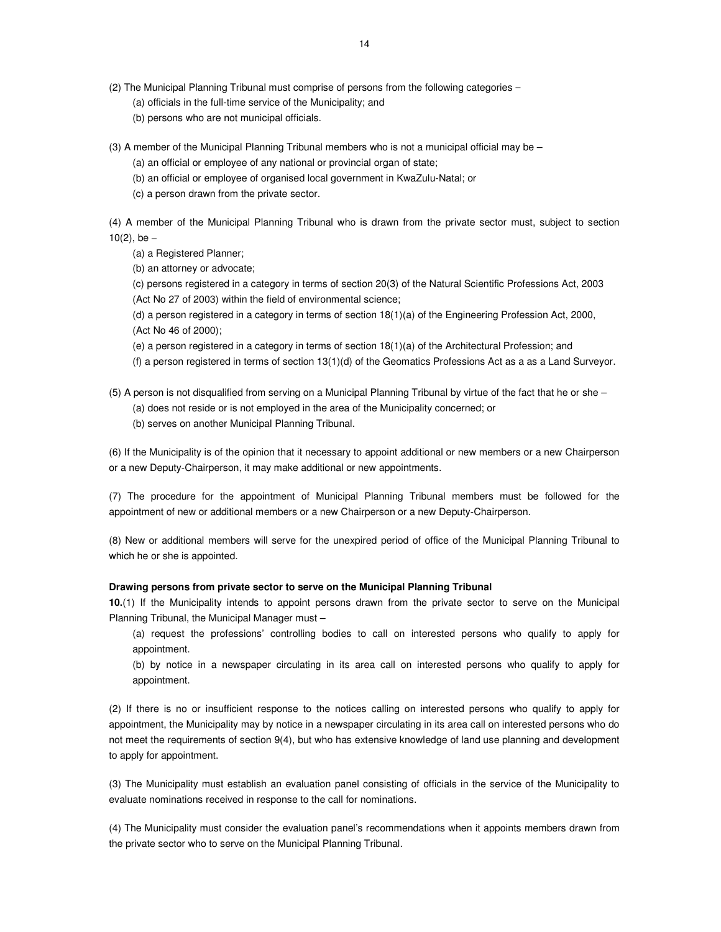(2) The Municipal Planning Tribunal must comprise of persons from the following categories −

(a) officials in the full-time service of the Municipality; and

- (b) persons who are not municipal officials.
- (3) A member of the Municipal Planning Tribunal members who is not a municipal official may be
	- (a) an official or employee of any national or provincial organ of state;
	- (b) an official or employee of organised local government in KwaZulu-Natal; or
	- (c) a person drawn from the private sector.

(4) A member of the Municipal Planning Tribunal who is drawn from the private sector must, subject to section  $10(2)$ , be –

(a) a Registered Planner;

(b) an attorney or advocate;

(c) persons registered in a category in terms of section 20(3) of the Natural Scientific Professions Act, 2003 (Act No 27 of 2003) within the field of environmental science;

(d) a person registered in a category in terms of section 18(1)(a) of the Engineering Profession Act, 2000, (Act No 46 of 2000);

(e) a person registered in a category in terms of section 18(1)(a) of the Architectural Profession; and

(f) a person registered in terms of section  $13(1)(d)$  of the Geomatics Professions Act as a as a Land Surveyor.

- (5) A person is not disqualified from serving on a Municipal Planning Tribunal by virtue of the fact that he or she
	- (a) does not reside or is not employed in the area of the Municipality concerned; or
	- (b) serves on another Municipal Planning Tribunal.

(6) If the Municipality is of the opinion that it necessary to appoint additional or new members or a new Chairperson or a new Deputy-Chairperson, it may make additional or new appointments.

(7) The procedure for the appointment of Municipal Planning Tribunal members must be followed for the appointment of new or additional members or a new Chairperson or a new Deputy-Chairperson.

(8) New or additional members will serve for the unexpired period of office of the Municipal Planning Tribunal to which he or she is appointed.

# **Drawing persons from private sector to serve on the Municipal Planning Tribunal**

**10.**(1) If the Municipality intends to appoint persons drawn from the private sector to serve on the Municipal Planning Tribunal, the Municipal Manager must –

(a) request the professions' controlling bodies to call on interested persons who qualify to apply for appointment.

(b) by notice in a newspaper circulating in its area call on interested persons who qualify to apply for appointment.

(2) If there is no or insufficient response to the notices calling on interested persons who qualify to apply for appointment, the Municipality may by notice in a newspaper circulating in its area call on interested persons who do not meet the requirements of section 9(4), but who has extensive knowledge of land use planning and development to apply for appointment.

(3) The Municipality must establish an evaluation panel consisting of officials in the service of the Municipality to evaluate nominations received in response to the call for nominations.

(4) The Municipality must consider the evaluation panel's recommendations when it appoints members drawn from the private sector who to serve on the Municipal Planning Tribunal.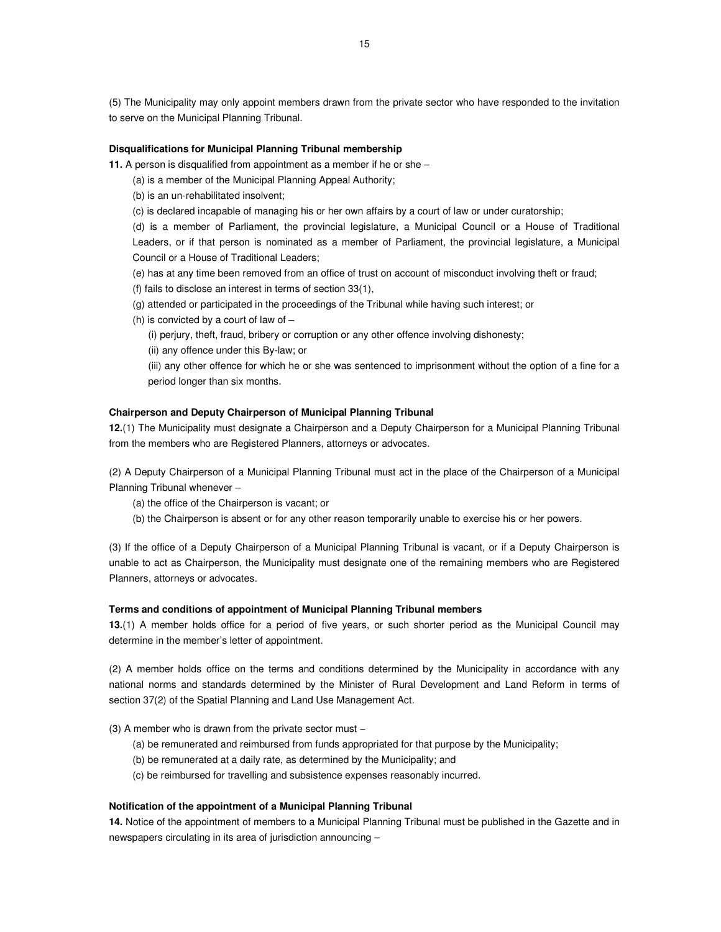(5) The Municipality may only appoint members drawn from the private sector who have responded to the invitation to serve on the Municipal Planning Tribunal.

### **Disqualifications for Municipal Planning Tribunal membership**

- **11.** A person is disqualified from appointment as a member if he or she
	- (a) is a member of the Municipal Planning Appeal Authority;
	- (b) is an un-rehabilitated insolvent;
	- (c) is declared incapable of managing his or her own affairs by a court of law or under curatorship;

(d) is a member of Parliament, the provincial legislature, a Municipal Council or a House of Traditional Leaders, or if that person is nominated as a member of Parliament, the provincial legislature, a Municipal Council or a House of Traditional Leaders;

- (e) has at any time been removed from an office of trust on account of misconduct involving theft or fraud;
- (f) fails to disclose an interest in terms of section 33(1),
- (g) attended or participated in the proceedings of the Tribunal while having such interest; or
- (h) is convicted by a court of law of
	- (i) perjury, theft, fraud, bribery or corruption or any other offence involving dishonesty;
	- (ii) any offence under this By-law; or

(iii) any other offence for which he or she was sentenced to imprisonment without the option of a fine for a period longer than six months.

# **Chairperson and Deputy Chairperson of Municipal Planning Tribunal**

**12.**(1) The Municipality must designate a Chairperson and a Deputy Chairperson for a Municipal Planning Tribunal from the members who are Registered Planners, attorneys or advocates.

(2) A Deputy Chairperson of a Municipal Planning Tribunal must act in the place of the Chairperson of a Municipal Planning Tribunal whenever –

- (a) the office of the Chairperson is vacant; or
- (b) the Chairperson is absent or for any other reason temporarily unable to exercise his or her powers.

(3) If the office of a Deputy Chairperson of a Municipal Planning Tribunal is vacant, or if a Deputy Chairperson is unable to act as Chairperson, the Municipality must designate one of the remaining members who are Registered Planners, attorneys or advocates.

### **Terms and conditions of appointment of Municipal Planning Tribunal members**

**13.**(1) A member holds office for a period of five years, or such shorter period as the Municipal Council may determine in the member's letter of appointment.

(2) A member holds office on the terms and conditions determined by the Municipality in accordance with any national norms and standards determined by the Minister of Rural Development and Land Reform in terms of section 37(2) of the Spatial Planning and Land Use Management Act.

#### (3) A member who is drawn from the private sector must −

- (a) be remunerated and reimbursed from funds appropriated for that purpose by the Municipality;
- (b) be remunerated at a daily rate, as determined by the Municipality; and
- (c) be reimbursed for travelling and subsistence expenses reasonably incurred.

#### **Notification of the appointment of a Municipal Planning Tribunal**

**14.** Notice of the appointment of members to a Municipal Planning Tribunal must be published in the Gazette and in newspapers circulating in its area of jurisdiction announcing –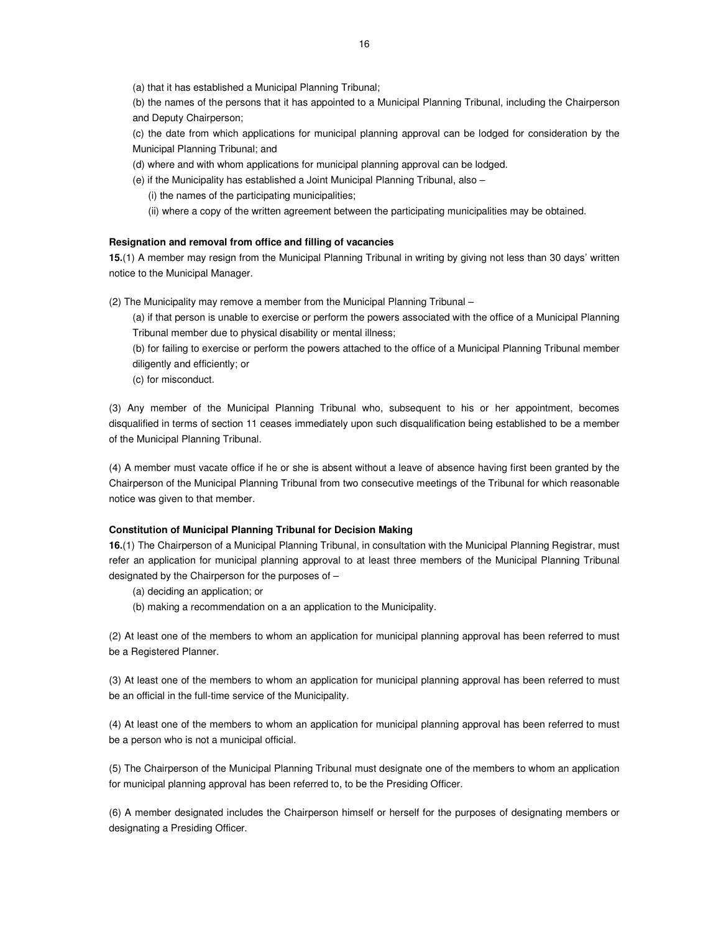(a) that it has established a Municipal Planning Tribunal;

(b) the names of the persons that it has appointed to a Municipal Planning Tribunal, including the Chairperson and Deputy Chairperson;

(c) the date from which applications for municipal planning approval can be lodged for consideration by the Municipal Planning Tribunal; and

(d) where and with whom applications for municipal planning approval can be lodged.

(e) if the Municipality has established a Joint Municipal Planning Tribunal, also –

(i) the names of the participating municipalities;

(ii) where a copy of the written agreement between the participating municipalities may be obtained.

#### **Resignation and removal from office and filling of vacancies**

**15.**(1) A member may resign from the Municipal Planning Tribunal in writing by giving not less than 30 days' written notice to the Municipal Manager.

(2) The Municipality may remove a member from the Municipal Planning Tribunal –

(a) if that person is unable to exercise or perform the powers associated with the office of a Municipal Planning Tribunal member due to physical disability or mental illness;

(b) for failing to exercise or perform the powers attached to the office of a Municipal Planning Tribunal member diligently and efficiently; or

(c) for misconduct.

(3) Any member of the Municipal Planning Tribunal who, subsequent to his or her appointment, becomes disqualified in terms of section 11 ceases immediately upon such disqualification being established to be a member of the Municipal Planning Tribunal.

(4) A member must vacate office if he or she is absent without a leave of absence having first been granted by the Chairperson of the Municipal Planning Tribunal from two consecutive meetings of the Tribunal for which reasonable notice was given to that member.

# **Constitution of Municipal Planning Tribunal for Decision Making**

**16.**(1) The Chairperson of a Municipal Planning Tribunal, in consultation with the Municipal Planning Registrar, must refer an application for municipal planning approval to at least three members of the Municipal Planning Tribunal designated by the Chairperson for the purposes of –

(a) deciding an application; or

(b) making a recommendation on a an application to the Municipality.

(2) At least one of the members to whom an application for municipal planning approval has been referred to must be a Registered Planner.

(3) At least one of the members to whom an application for municipal planning approval has been referred to must be an official in the full-time service of the Municipality.

(4) At least one of the members to whom an application for municipal planning approval has been referred to must be a person who is not a municipal official.

(5) The Chairperson of the Municipal Planning Tribunal must designate one of the members to whom an application for municipal planning approval has been referred to, to be the Presiding Officer.

(6) A member designated includes the Chairperson himself or herself for the purposes of designating members or designating a Presiding Officer.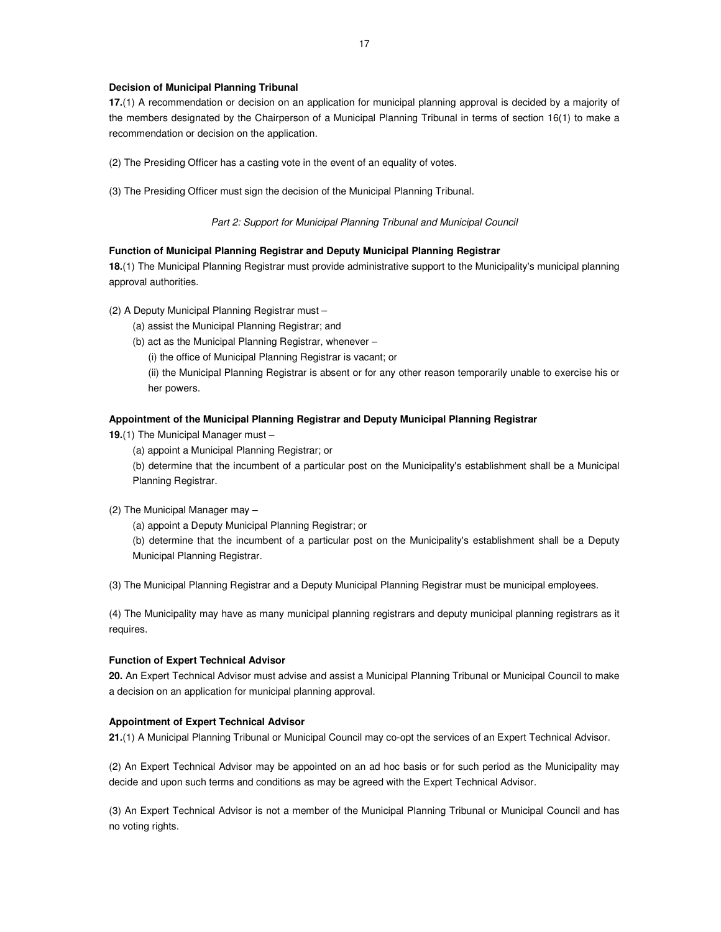### **Decision of Municipal Planning Tribunal**

**17.**(1) A recommendation or decision on an application for municipal planning approval is decided by a majority of the members designated by the Chairperson of a Municipal Planning Tribunal in terms of section 16(1) to make a recommendation or decision on the application.

(2) The Presiding Officer has a casting vote in the event of an equality of votes.

(3) The Presiding Officer must sign the decision of the Municipal Planning Tribunal.

### Part 2: Support for Municipal Planning Tribunal and Municipal Council

# **Function of Municipal Planning Registrar and Deputy Municipal Planning Registrar**

**18.**(1) The Municipal Planning Registrar must provide administrative support to the Municipality's municipal planning approval authorities.

- (2) A Deputy Municipal Planning Registrar must
	- (a) assist the Municipal Planning Registrar; and
	- (b) act as the Municipal Planning Registrar, whenever
		- (i) the office of Municipal Planning Registrar is vacant; or

(ii) the Municipal Planning Registrar is absent or for any other reason temporarily unable to exercise his or her powers.

# **Appointment of the Municipal Planning Registrar and Deputy Municipal Planning Registrar**

- **19.**(1) The Municipal Manager must
	- (a) appoint a Municipal Planning Registrar; or

(b) determine that the incumbent of a particular post on the Municipality's establishment shall be a Municipal Planning Registrar.

# (2) The Municipal Manager may –

(a) appoint a Deputy Municipal Planning Registrar; or

(b) determine that the incumbent of a particular post on the Municipality's establishment shall be a Deputy Municipal Planning Registrar.

(3) The Municipal Planning Registrar and a Deputy Municipal Planning Registrar must be municipal employees.

(4) The Municipality may have as many municipal planning registrars and deputy municipal planning registrars as it requires.

#### **Function of Expert Technical Advisor**

**20.** An Expert Technical Advisor must advise and assist a Municipal Planning Tribunal or Municipal Council to make a decision on an application for municipal planning approval.

# **Appointment of Expert Technical Advisor**

**21.**(1) A Municipal Planning Tribunal or Municipal Council may co-opt the services of an Expert Technical Advisor.

(2) An Expert Technical Advisor may be appointed on an ad hoc basis or for such period as the Municipality may decide and upon such terms and conditions as may be agreed with the Expert Technical Advisor.

(3) An Expert Technical Advisor is not a member of the Municipal Planning Tribunal or Municipal Council and has no voting rights.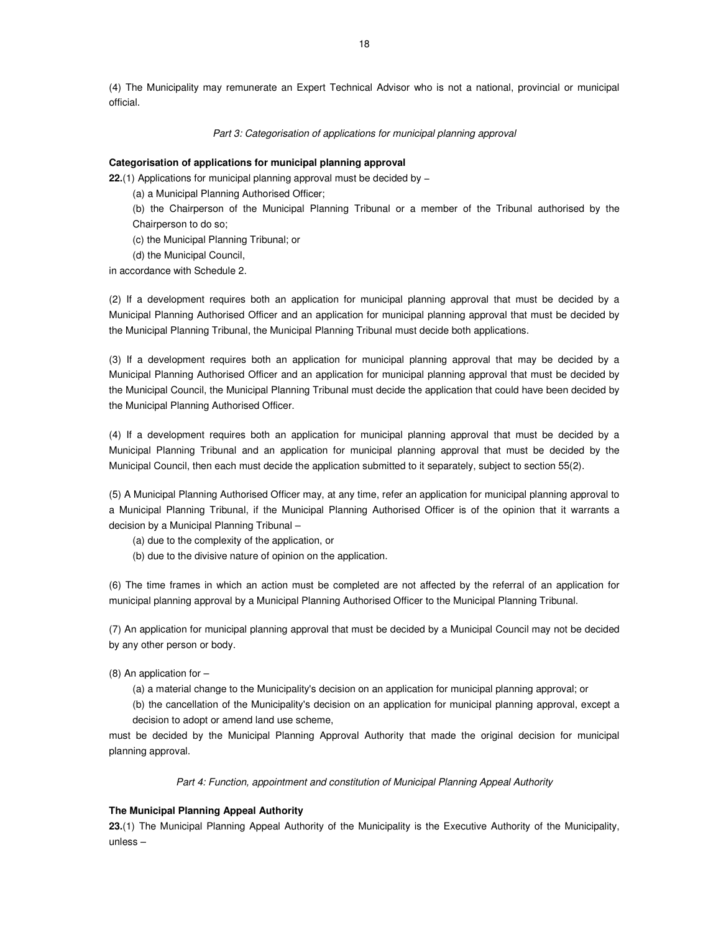(4) The Municipality may remunerate an Expert Technical Advisor who is not a national, provincial or municipal official.

# Part 3: Categorisation of applications for municipal planning approval

### **Categorisation of applications for municipal planning approval**

**22.**(1) Applications for municipal planning approval must be decided by –

(a) a Municipal Planning Authorised Officer;

(b) the Chairperson of the Municipal Planning Tribunal or a member of the Tribunal authorised by the Chairperson to do so;

(c) the Municipal Planning Tribunal; or

(d) the Municipal Council,

in accordance with Schedule 2.

(2) If a development requires both an application for municipal planning approval that must be decided by a Municipal Planning Authorised Officer and an application for municipal planning approval that must be decided by the Municipal Planning Tribunal, the Municipal Planning Tribunal must decide both applications.

(3) If a development requires both an application for municipal planning approval that may be decided by a Municipal Planning Authorised Officer and an application for municipal planning approval that must be decided by the Municipal Council, the Municipal Planning Tribunal must decide the application that could have been decided by the Municipal Planning Authorised Officer.

(4) If a development requires both an application for municipal planning approval that must be decided by a Municipal Planning Tribunal and an application for municipal planning approval that must be decided by the Municipal Council, then each must decide the application submitted to it separately, subject to section 55(2).

(5) A Municipal Planning Authorised Officer may, at any time, refer an application for municipal planning approval to a Municipal Planning Tribunal, if the Municipal Planning Authorised Officer is of the opinion that it warrants a decision by a Municipal Planning Tribunal –

(a) due to the complexity of the application, or

(b) due to the divisive nature of opinion on the application.

(6) The time frames in which an action must be completed are not affected by the referral of an application for municipal planning approval by a Municipal Planning Authorised Officer to the Municipal Planning Tribunal.

(7) An application for municipal planning approval that must be decided by a Municipal Council may not be decided by any other person or body.

(8) An application for –

(a) a material change to the Municipality's decision on an application for municipal planning approval; or

(b) the cancellation of the Municipality's decision on an application for municipal planning approval, except a decision to adopt or amend land use scheme,

must be decided by the Municipal Planning Approval Authority that made the original decision for municipal planning approval.

Part 4: Function, appointment and constitution of Municipal Planning Appeal Authority

# **The Municipal Planning Appeal Authority**

**23.**(1) The Municipal Planning Appeal Authority of the Municipality is the Executive Authority of the Municipality, unless –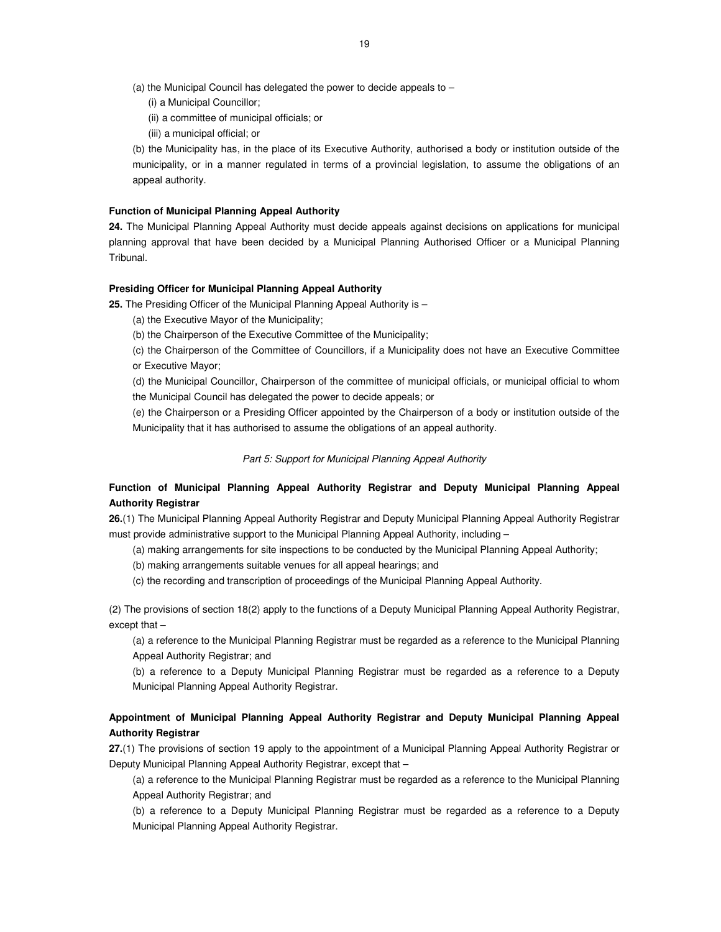- (a) the Municipal Council has delegated the power to decide appeals to
	- (i) a Municipal Councillor;
	- (ii) a committee of municipal officials; or
	- (iii) a municipal official; or

(b) the Municipality has, in the place of its Executive Authority, authorised a body or institution outside of the municipality, or in a manner regulated in terms of a provincial legislation, to assume the obligations of an appeal authority.

#### **Function of Municipal Planning Appeal Authority**

**24.** The Municipal Planning Appeal Authority must decide appeals against decisions on applications for municipal planning approval that have been decided by a Municipal Planning Authorised Officer or a Municipal Planning Tribunal.

#### **Presiding Officer for Municipal Planning Appeal Authority**

**25.** The Presiding Officer of the Municipal Planning Appeal Authority is –

(a) the Executive Mayor of the Municipality;

(b) the Chairperson of the Executive Committee of the Municipality;

(c) the Chairperson of the Committee of Councillors, if a Municipality does not have an Executive Committee or Executive Mayor;

(d) the Municipal Councillor, Chairperson of the committee of municipal officials, or municipal official to whom the Municipal Council has delegated the power to decide appeals; or

(e) the Chairperson or a Presiding Officer appointed by the Chairperson of a body or institution outside of the Municipality that it has authorised to assume the obligations of an appeal authority.

#### Part 5: Support for Municipal Planning Appeal Authority

# **Function of Municipal Planning Appeal Authority Registrar and Deputy Municipal Planning Appeal Authority Registrar**

**26.**(1) The Municipal Planning Appeal Authority Registrar and Deputy Municipal Planning Appeal Authority Registrar must provide administrative support to the Municipal Planning Appeal Authority, including –

(a) making arrangements for site inspections to be conducted by the Municipal Planning Appeal Authority;

(b) making arrangements suitable venues for all appeal hearings; and

(c) the recording and transcription of proceedings of the Municipal Planning Appeal Authority.

(2) The provisions of section 18(2) apply to the functions of a Deputy Municipal Planning Appeal Authority Registrar, except that –

(a) a reference to the Municipal Planning Registrar must be regarded as a reference to the Municipal Planning Appeal Authority Registrar; and

(b) a reference to a Deputy Municipal Planning Registrar must be regarded as a reference to a Deputy Municipal Planning Appeal Authority Registrar.

# **Appointment of Municipal Planning Appeal Authority Registrar and Deputy Municipal Planning Appeal Authority Registrar**

**27.**(1) The provisions of section 19 apply to the appointment of a Municipal Planning Appeal Authority Registrar or Deputy Municipal Planning Appeal Authority Registrar, except that –

(a) a reference to the Municipal Planning Registrar must be regarded as a reference to the Municipal Planning Appeal Authority Registrar; and

(b) a reference to a Deputy Municipal Planning Registrar must be regarded as a reference to a Deputy Municipal Planning Appeal Authority Registrar.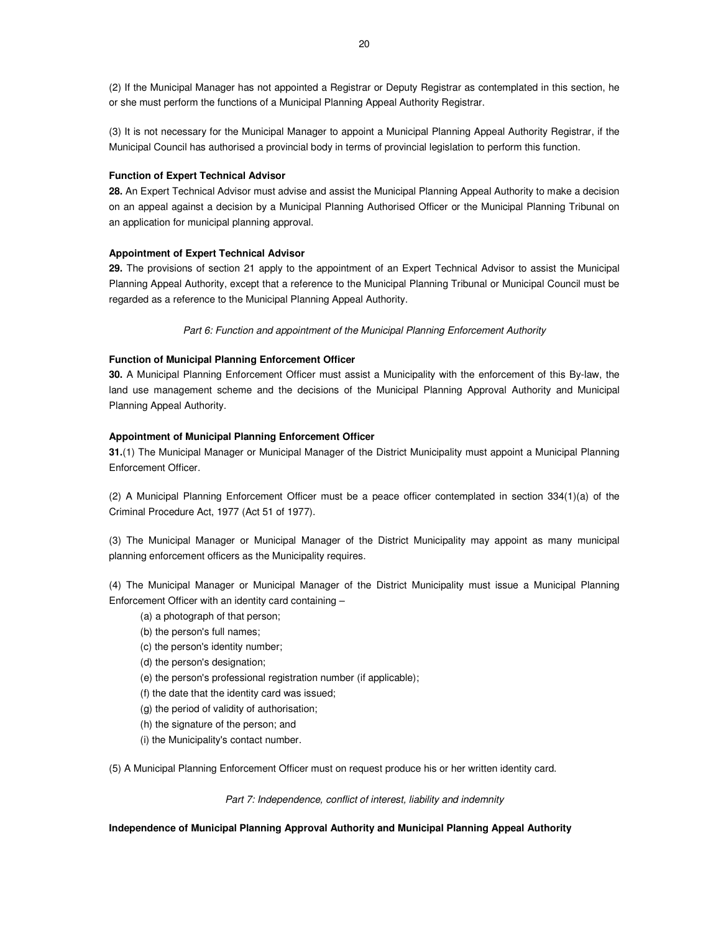(2) If the Municipal Manager has not appointed a Registrar or Deputy Registrar as contemplated in this section, he or she must perform the functions of a Municipal Planning Appeal Authority Registrar.

(3) It is not necessary for the Municipal Manager to appoint a Municipal Planning Appeal Authority Registrar, if the Municipal Council has authorised a provincial body in terms of provincial legislation to perform this function.

#### **Function of Expert Technical Advisor**

**28.** An Expert Technical Advisor must advise and assist the Municipal Planning Appeal Authority to make a decision on an appeal against a decision by a Municipal Planning Authorised Officer or the Municipal Planning Tribunal on an application for municipal planning approval.

#### **Appointment of Expert Technical Advisor**

**29.** The provisions of section 21 apply to the appointment of an Expert Technical Advisor to assist the Municipal Planning Appeal Authority, except that a reference to the Municipal Planning Tribunal or Municipal Council must be regarded as a reference to the Municipal Planning Appeal Authority.

Part 6: Function and appointment of the Municipal Planning Enforcement Authority

#### **Function of Municipal Planning Enforcement Officer**

**30.** A Municipal Planning Enforcement Officer must assist a Municipality with the enforcement of this By-law, the land use management scheme and the decisions of the Municipal Planning Approval Authority and Municipal Planning Appeal Authority.

#### **Appointment of Municipal Planning Enforcement Officer**

**31.**(1) The Municipal Manager or Municipal Manager of the District Municipality must appoint a Municipal Planning Enforcement Officer.

(2) A Municipal Planning Enforcement Officer must be a peace officer contemplated in section 334(1)(a) of the Criminal Procedure Act, 1977 (Act 51 of 1977).

(3) The Municipal Manager or Municipal Manager of the District Municipality may appoint as many municipal planning enforcement officers as the Municipality requires.

(4) The Municipal Manager or Municipal Manager of the District Municipality must issue a Municipal Planning Enforcement Officer with an identity card containing –

- (a) a photograph of that person;
- (b) the person's full names;
- (c) the person's identity number;
- (d) the person's designation;
- (e) the person's professional registration number (if applicable);
- (f) the date that the identity card was issued;
- (g) the period of validity of authorisation;
- (h) the signature of the person; and
- (i) the Municipality's contact number.

(5) A Municipal Planning Enforcement Officer must on request produce his or her written identity card.

Part 7: Independence, conflict of interest, liability and indemnity

#### **Independence of Municipal Planning Approval Authority and Municipal Planning Appeal Authority**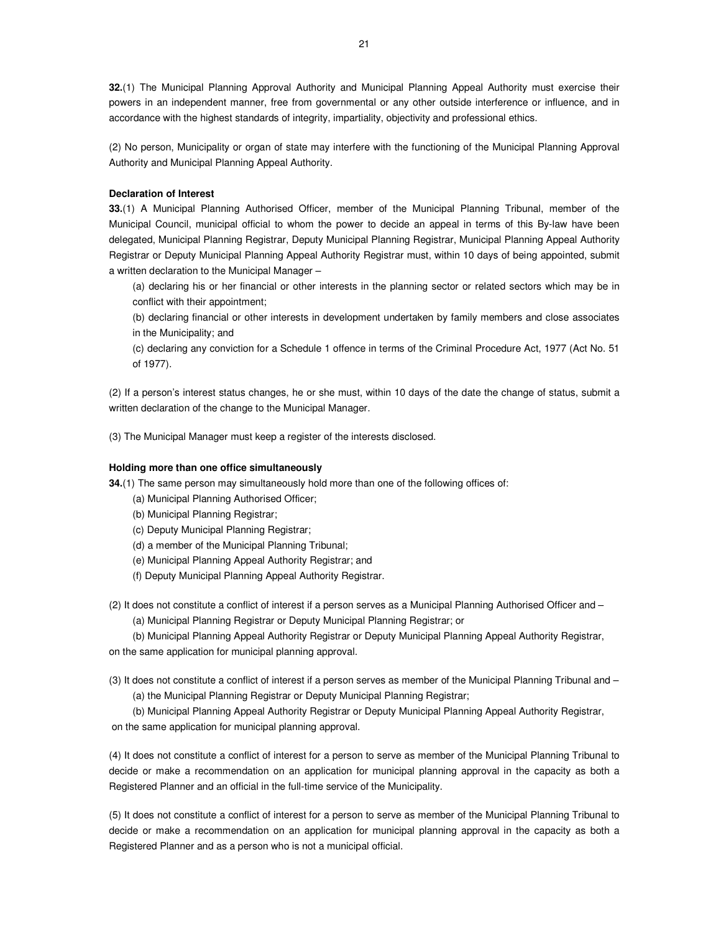**32.**(1) The Municipal Planning Approval Authority and Municipal Planning Appeal Authority must exercise their powers in an independent manner, free from governmental or any other outside interference or influence, and in accordance with the highest standards of integrity, impartiality, objectivity and professional ethics.

(2) No person, Municipality or organ of state may interfere with the functioning of the Municipal Planning Approval Authority and Municipal Planning Appeal Authority.

# **Declaration of Interest**

**33.**(1) A Municipal Planning Authorised Officer, member of the Municipal Planning Tribunal, member of the Municipal Council, municipal official to whom the power to decide an appeal in terms of this By-law have been delegated, Municipal Planning Registrar, Deputy Municipal Planning Registrar, Municipal Planning Appeal Authority Registrar or Deputy Municipal Planning Appeal Authority Registrar must, within 10 days of being appointed, submit a written declaration to the Municipal Manager –

(a) declaring his or her financial or other interests in the planning sector or related sectors which may be in conflict with their appointment;

(b) declaring financial or other interests in development undertaken by family members and close associates in the Municipality; and

(c) declaring any conviction for a Schedule 1 offence in terms of the Criminal Procedure Act, 1977 (Act No. 51 of 1977).

(2) If a person's interest status changes, he or she must, within 10 days of the date the change of status, submit a written declaration of the change to the Municipal Manager.

(3) The Municipal Manager must keep a register of the interests disclosed.

#### **Holding more than one office simultaneously**

**34.**(1) The same person may simultaneously hold more than one of the following offices of:

- (a) Municipal Planning Authorised Officer;
- (b) Municipal Planning Registrar;
- (c) Deputy Municipal Planning Registrar;
- (d) a member of the Municipal Planning Tribunal;
- (e) Municipal Planning Appeal Authority Registrar; and
- (f) Deputy Municipal Planning Appeal Authority Registrar.
- (2) It does not constitute a conflict of interest if a person serves as a Municipal Planning Authorised Officer and –

(a) Municipal Planning Registrar or Deputy Municipal Planning Registrar; or

(b) Municipal Planning Appeal Authority Registrar or Deputy Municipal Planning Appeal Authority Registrar, on the same application for municipal planning approval.

(3) It does not constitute a conflict of interest if a person serves as member of the Municipal Planning Tribunal and –

(a) the Municipal Planning Registrar or Deputy Municipal Planning Registrar;

(b) Municipal Planning Appeal Authority Registrar or Deputy Municipal Planning Appeal Authority Registrar, on the same application for municipal planning approval.

(4) It does not constitute a conflict of interest for a person to serve as member of the Municipal Planning Tribunal to decide or make a recommendation on an application for municipal planning approval in the capacity as both a Registered Planner and an official in the full-time service of the Municipality.

(5) It does not constitute a conflict of interest for a person to serve as member of the Municipal Planning Tribunal to decide or make a recommendation on an application for municipal planning approval in the capacity as both a Registered Planner and as a person who is not a municipal official.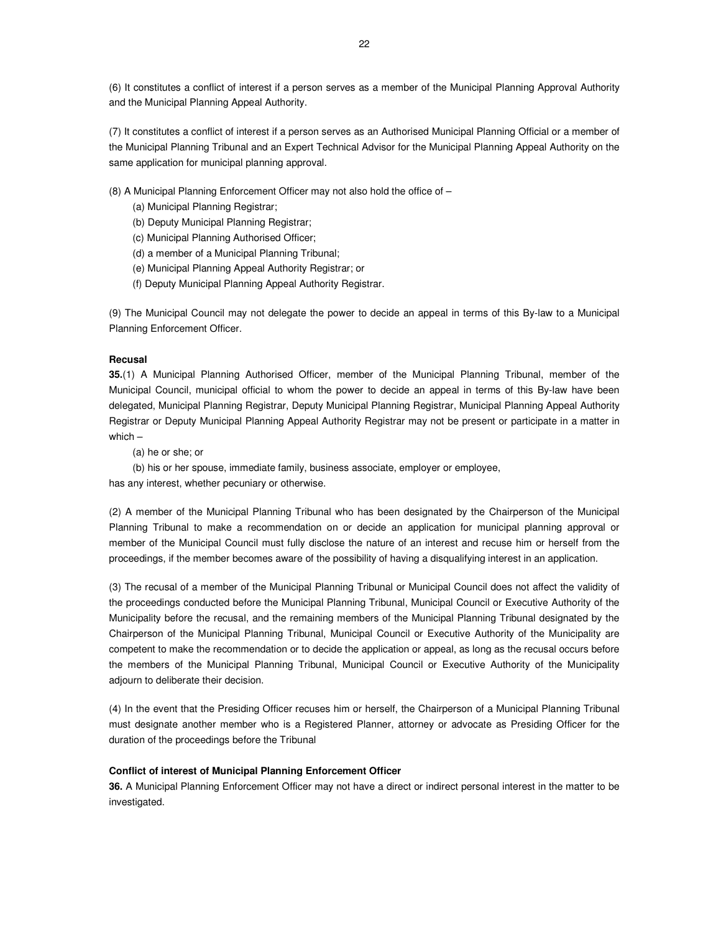(6) It constitutes a conflict of interest if a person serves as a member of the Municipal Planning Approval Authority and the Municipal Planning Appeal Authority.

(7) It constitutes a conflict of interest if a person serves as an Authorised Municipal Planning Official or a member of the Municipal Planning Tribunal and an Expert Technical Advisor for the Municipal Planning Appeal Authority on the same application for municipal planning approval.

(8) A Municipal Planning Enforcement Officer may not also hold the office of –

(a) Municipal Planning Registrar;

(b) Deputy Municipal Planning Registrar;

(c) Municipal Planning Authorised Officer;

(d) a member of a Municipal Planning Tribunal;

(e) Municipal Planning Appeal Authority Registrar; or

(f) Deputy Municipal Planning Appeal Authority Registrar.

(9) The Municipal Council may not delegate the power to decide an appeal in terms of this By-law to a Municipal Planning Enforcement Officer.

#### **Recusal**

**35.**(1) A Municipal Planning Authorised Officer, member of the Municipal Planning Tribunal, member of the Municipal Council, municipal official to whom the power to decide an appeal in terms of this By-law have been delegated, Municipal Planning Registrar, Deputy Municipal Planning Registrar, Municipal Planning Appeal Authority Registrar or Deputy Municipal Planning Appeal Authority Registrar may not be present or participate in a matter in which –

(a) he or she; or

(b) his or her spouse, immediate family, business associate, employer or employee,

has any interest, whether pecuniary or otherwise.

(2) A member of the Municipal Planning Tribunal who has been designated by the Chairperson of the Municipal Planning Tribunal to make a recommendation on or decide an application for municipal planning approval or member of the Municipal Council must fully disclose the nature of an interest and recuse him or herself from the proceedings, if the member becomes aware of the possibility of having a disqualifying interest in an application.

(3) The recusal of a member of the Municipal Planning Tribunal or Municipal Council does not affect the validity of the proceedings conducted before the Municipal Planning Tribunal, Municipal Council or Executive Authority of the Municipality before the recusal, and the remaining members of the Municipal Planning Tribunal designated by the Chairperson of the Municipal Planning Tribunal, Municipal Council or Executive Authority of the Municipality are competent to make the recommendation or to decide the application or appeal, as long as the recusal occurs before the members of the Municipal Planning Tribunal, Municipal Council or Executive Authority of the Municipality adjourn to deliberate their decision.

(4) In the event that the Presiding Officer recuses him or herself, the Chairperson of a Municipal Planning Tribunal must designate another member who is a Registered Planner, attorney or advocate as Presiding Officer for the duration of the proceedings before the Tribunal

### **Conflict of interest of Municipal Planning Enforcement Officer**

**36.** A Municipal Planning Enforcement Officer may not have a direct or indirect personal interest in the matter to be investigated.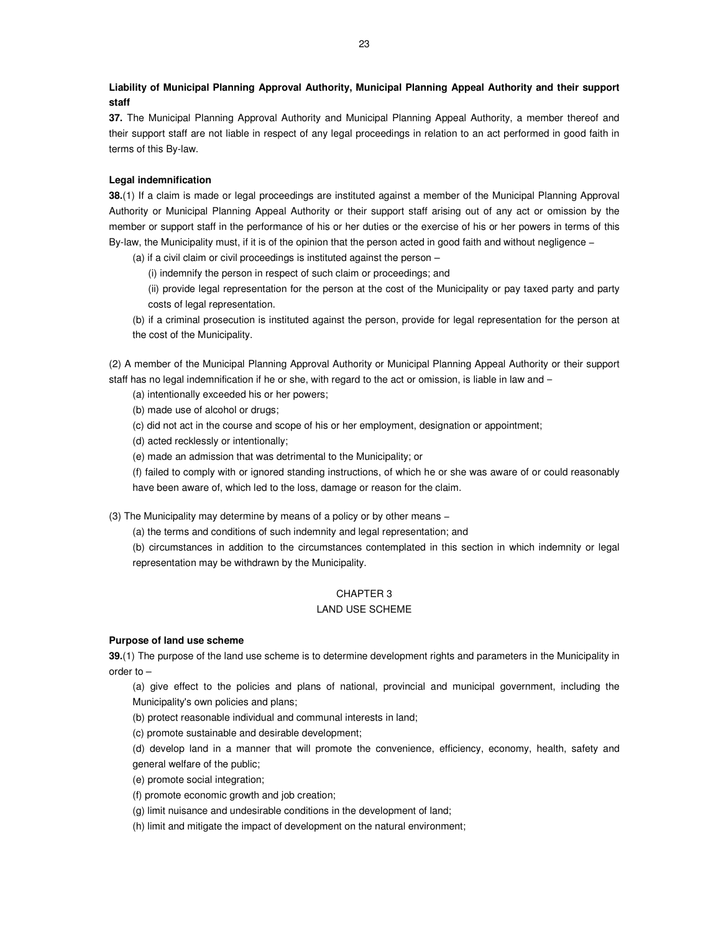**Liability of Municipal Planning Approval Authority, Municipal Planning Appeal Authority and their support staff** 

**37.** The Municipal Planning Approval Authority and Municipal Planning Appeal Authority, a member thereof and their support staff are not liable in respect of any legal proceedings in relation to an act performed in good faith in terms of this By-law.

# **Legal indemnification**

**38.**(1) If a claim is made or legal proceedings are instituted against a member of the Municipal Planning Approval Authority or Municipal Planning Appeal Authority or their support staff arising out of any act or omission by the member or support staff in the performance of his or her duties or the exercise of his or her powers in terms of this By-law, the Municipality must, if it is of the opinion that the person acted in good faith and without negligence −

(a) if a civil claim or civil proceedings is instituted against the person –

(i) indemnify the person in respect of such claim or proceedings; and

(ii) provide legal representation for the person at the cost of the Municipality or pay taxed party and party costs of legal representation.

(b) if a criminal prosecution is instituted against the person, provide for legal representation for the person at the cost of the Municipality.

(2) A member of the Municipal Planning Approval Authority or Municipal Planning Appeal Authority or their support staff has no legal indemnification if he or she, with regard to the act or omission, is liable in law and −

(a) intentionally exceeded his or her powers;

(b) made use of alcohol or drugs;

(c) did not act in the course and scope of his or her employment, designation or appointment;

(d) acted recklessly or intentionally;

(e) made an admission that was detrimental to the Municipality; or

(f) failed to comply with or ignored standing instructions, of which he or she was aware of or could reasonably have been aware of, which led to the loss, damage or reason for the claim.

(3) The Municipality may determine by means of a policy or by other means −

(a) the terms and conditions of such indemnity and legal representation; and

(b) circumstances in addition to the circumstances contemplated in this section in which indemnity or legal representation may be withdrawn by the Municipality.

# CHAPTER 3

# LAND USE SCHEME

#### **Purpose of land use scheme**

**39.**(1) The purpose of the land use scheme is to determine development rights and parameters in the Municipality in order to –

(a) give effect to the policies and plans of national, provincial and municipal government, including the Municipality's own policies and plans;

(b) protect reasonable individual and communal interests in land;

(c) promote sustainable and desirable development;

(d) develop land in a manner that will promote the convenience, efficiency, economy, health, safety and general welfare of the public;

(e) promote social integration;

(f) promote economic growth and job creation;

(g) limit nuisance and undesirable conditions in the development of land;

(h) limit and mitigate the impact of development on the natural environment;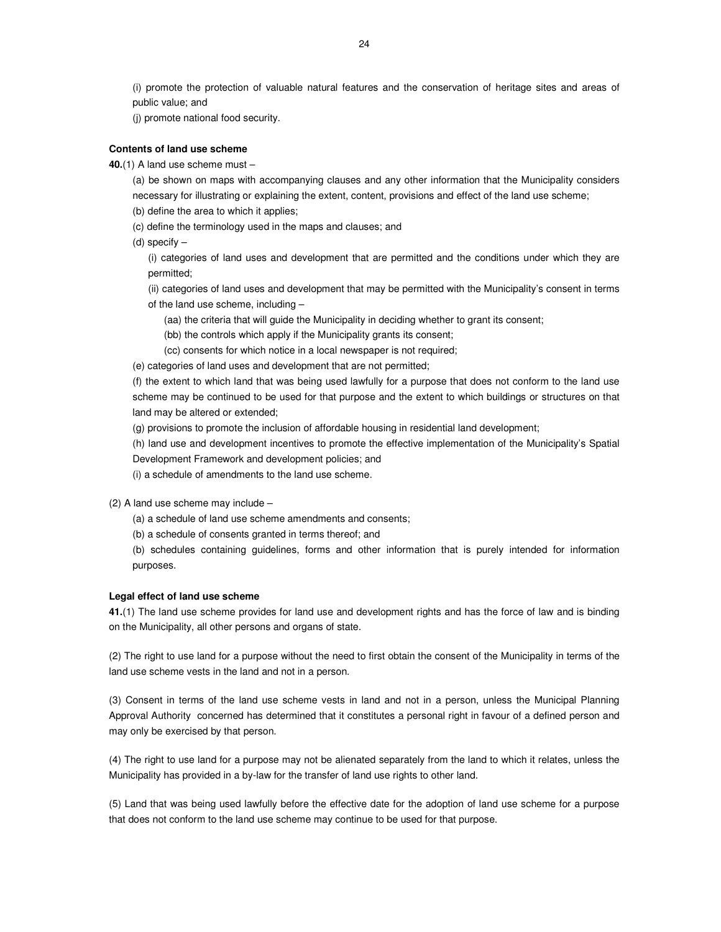(i) promote the protection of valuable natural features and the conservation of heritage sites and areas of public value; and

(j) promote national food security.

#### **Contents of land use scheme**

**40.**(1) A land use scheme must –

(a) be shown on maps with accompanying clauses and any other information that the Municipality considers necessary for illustrating or explaining the extent, content, provisions and effect of the land use scheme;

- (b) define the area to which it applies;
- (c) define the terminology used in the maps and clauses; and
- (d) specify –

(i) categories of land uses and development that are permitted and the conditions under which they are permitted;

(ii) categories of land uses and development that may be permitted with the Municipality's consent in terms of the land use scheme, including –

(aa) the criteria that will guide the Municipality in deciding whether to grant its consent;

(bb) the controls which apply if the Municipality grants its consent;

(cc) consents for which notice in a local newspaper is not required;

(e) categories of land uses and development that are not permitted;

(f) the extent to which land that was being used lawfully for a purpose that does not conform to the land use scheme may be continued to be used for that purpose and the extent to which buildings or structures on that land may be altered or extended;

(g) provisions to promote the inclusion of affordable housing in residential land development;

(h) land use and development incentives to promote the effective implementation of the Municipality's Spatial Development Framework and development policies; and

(i) a schedule of amendments to the land use scheme.

- (2) A land use scheme may include
	- (a) a schedule of land use scheme amendments and consents;
	- (b) a schedule of consents granted in terms thereof; and

(b) schedules containing guidelines, forms and other information that is purely intended for information purposes.

#### **Legal effect of land use scheme**

**41.**(1) The land use scheme provides for land use and development rights and has the force of law and is binding on the Municipality, all other persons and organs of state.

(2) The right to use land for a purpose without the need to first obtain the consent of the Municipality in terms of the land use scheme vests in the land and not in a person.

(3) Consent in terms of the land use scheme vests in land and not in a person, unless the Municipal Planning Approval Authority concerned has determined that it constitutes a personal right in favour of a defined person and may only be exercised by that person.

(4) The right to use land for a purpose may not be alienated separately from the land to which it relates, unless the Municipality has provided in a by-law for the transfer of land use rights to other land.

(5) Land that was being used lawfully before the effective date for the adoption of land use scheme for a purpose that does not conform to the land use scheme may continue to be used for that purpose.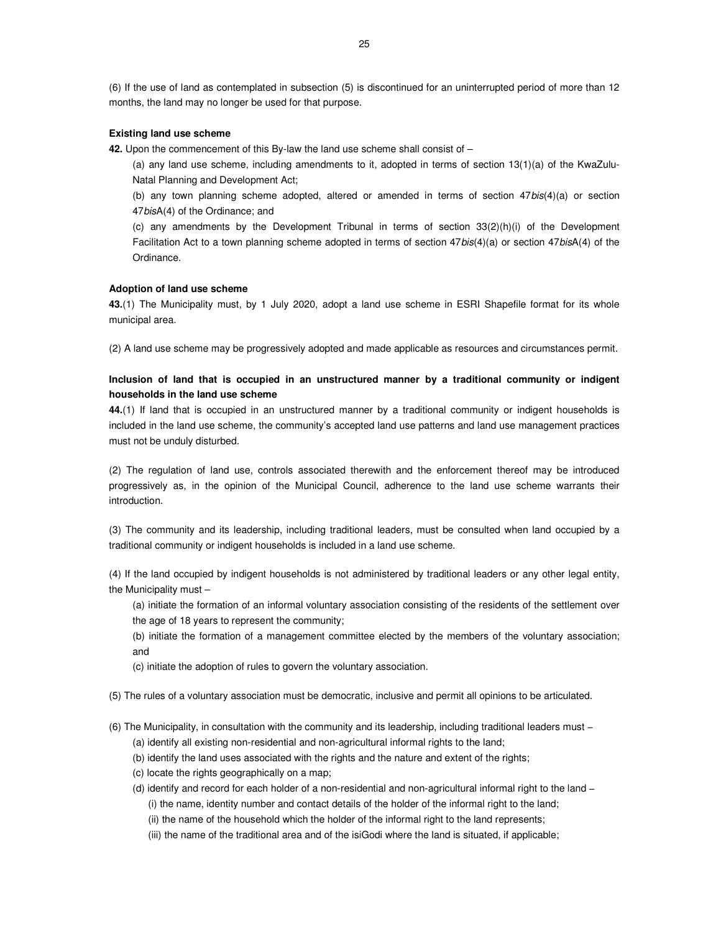(6) If the use of land as contemplated in subsection (5) is discontinued for an uninterrupted period of more than 12 months, the land may no longer be used for that purpose.

# **Existing land use scheme**

- **42.** Upon the commencement of this By-law the land use scheme shall consist of
	- (a) any land use scheme, including amendments to it, adopted in terms of section 13(1)(a) of the KwaZulu-Natal Planning and Development Act;
	- (b) any town planning scheme adopted, altered or amended in terms of section  $47 \text{bis}(4)(a)$  or section 47bisA(4) of the Ordinance; and
	- (c) any amendments by the Development Tribunal in terms of section 33(2)(h)(i) of the Development Facilitation Act to a town planning scheme adopted in terms of section 47bis(4)(a) or section 47bisA(4) of the Ordinance.

#### **Adoption of land use scheme**

**43.**(1) The Municipality must, by 1 July 2020, adopt a land use scheme in ESRI Shapefile format for its whole municipal area.

(2) A land use scheme may be progressively adopted and made applicable as resources and circumstances permit.

# **Inclusion of land that is occupied in an unstructured manner by a traditional community or indigent households in the land use scheme**

**44.**(1) If land that is occupied in an unstructured manner by a traditional community or indigent households is included in the land use scheme, the community's accepted land use patterns and land use management practices must not be unduly disturbed.

(2) The regulation of land use, controls associated therewith and the enforcement thereof may be introduced progressively as, in the opinion of the Municipal Council, adherence to the land use scheme warrants their introduction.

(3) The community and its leadership, including traditional leaders, must be consulted when land occupied by a traditional community or indigent households is included in a land use scheme.

(4) If the land occupied by indigent households is not administered by traditional leaders or any other legal entity, the Municipality must –

- (a) initiate the formation of an informal voluntary association consisting of the residents of the settlement over the age of 18 years to represent the community;
- (b) initiate the formation of a management committee elected by the members of the voluntary association; and
- (c) initiate the adoption of rules to govern the voluntary association.
- (5) The rules of a voluntary association must be democratic, inclusive and permit all opinions to be articulated.
- (6) The Municipality, in consultation with the community and its leadership, including traditional leaders must −
	- (a) identify all existing non-residential and non-agricultural informal rights to the land;
	- (b) identify the land uses associated with the rights and the nature and extent of the rights;
	- (c) locate the rights geographically on a map;
	- (d) identify and record for each holder of a non-residential and non-agricultural informal right to the land − (i) the name, identity number and contact details of the holder of the informal right to the land;
		- (ii) the name of the household which the holder of the informal right to the land represents;
		- (iii) the name of the traditional area and of the isiGodi where the land is situated, if applicable;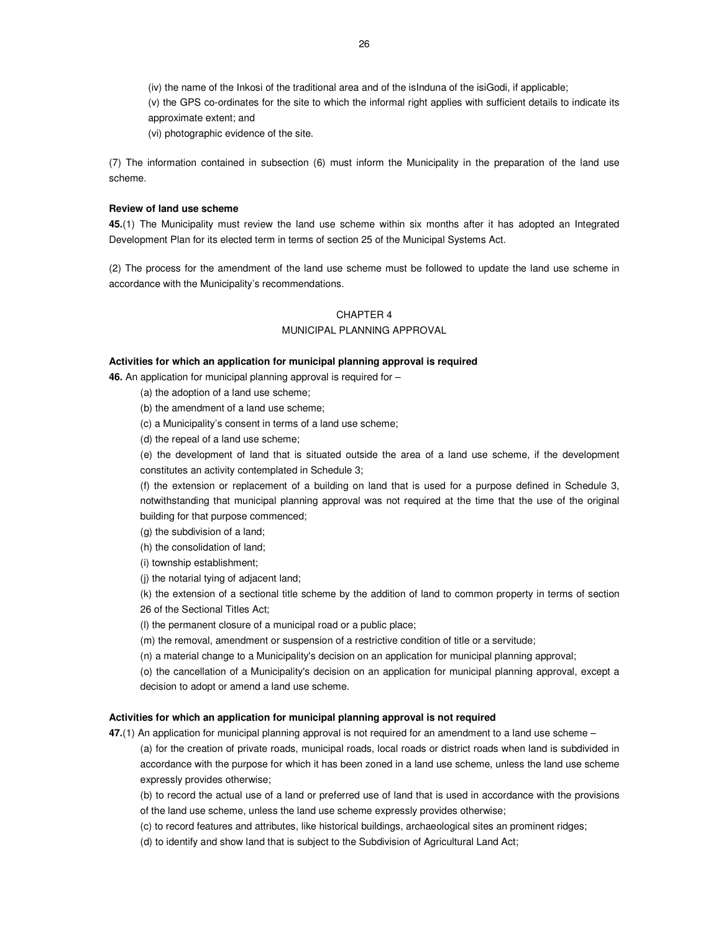(iv) the name of the Inkosi of the traditional area and of the isInduna of the isiGodi, if applicable;

(v) the GPS co-ordinates for the site to which the informal right applies with sufficient details to indicate its approximate extent; and

(vi) photographic evidence of the site.

(7) The information contained in subsection (6) must inform the Municipality in the preparation of the land use scheme.

# **Review of land use scheme**

**45.**(1) The Municipality must review the land use scheme within six months after it has adopted an Integrated Development Plan for its elected term in terms of section 25 of the Municipal Systems Act.

(2) The process for the amendment of the land use scheme must be followed to update the land use scheme in accordance with the Municipality's recommendations.

# CHAPTER 4

# MUNICIPAL PLANNING APPROVAL

#### **Activities for which an application for municipal planning approval is required**

**46.** An application for municipal planning approval is required for –

(a) the adoption of a land use scheme;

(b) the amendment of a land use scheme;

(c) a Municipality's consent in terms of a land use scheme;

(d) the repeal of a land use scheme;

(e) the development of land that is situated outside the area of a land use scheme, if the development constitutes an activity contemplated in Schedule 3;

(f) the extension or replacement of a building on land that is used for a purpose defined in Schedule 3, notwithstanding that municipal planning approval was not required at the time that the use of the original building for that purpose commenced;

(g) the subdivision of a land;

(h) the consolidation of land;

(i) township establishment;

(j) the notarial tying of adjacent land;

(k) the extension of a sectional title scheme by the addition of land to common property in terms of section 26 of the Sectional Titles Act;

(l) the permanent closure of a municipal road or a public place;

(m) the removal, amendment or suspension of a restrictive condition of title or a servitude;

(n) a material change to a Municipality's decision on an application for municipal planning approval;

(o) the cancellation of a Municipality's decision on an application for municipal planning approval, except a decision to adopt or amend a land use scheme.

# **Activities for which an application for municipal planning approval is not required**

**47.**(1) An application for municipal planning approval is not required for an amendment to a land use scheme – (a) for the creation of private roads, municipal roads, local roads or district roads when land is subdivided in accordance with the purpose for which it has been zoned in a land use scheme, unless the land use scheme expressly provides otherwise;

(b) to record the actual use of a land or preferred use of land that is used in accordance with the provisions of the land use scheme, unless the land use scheme expressly provides otherwise;

(c) to record features and attributes, like historical buildings, archaeological sites an prominent ridges;

(d) to identify and show land that is subject to the Subdivision of Agricultural Land Act;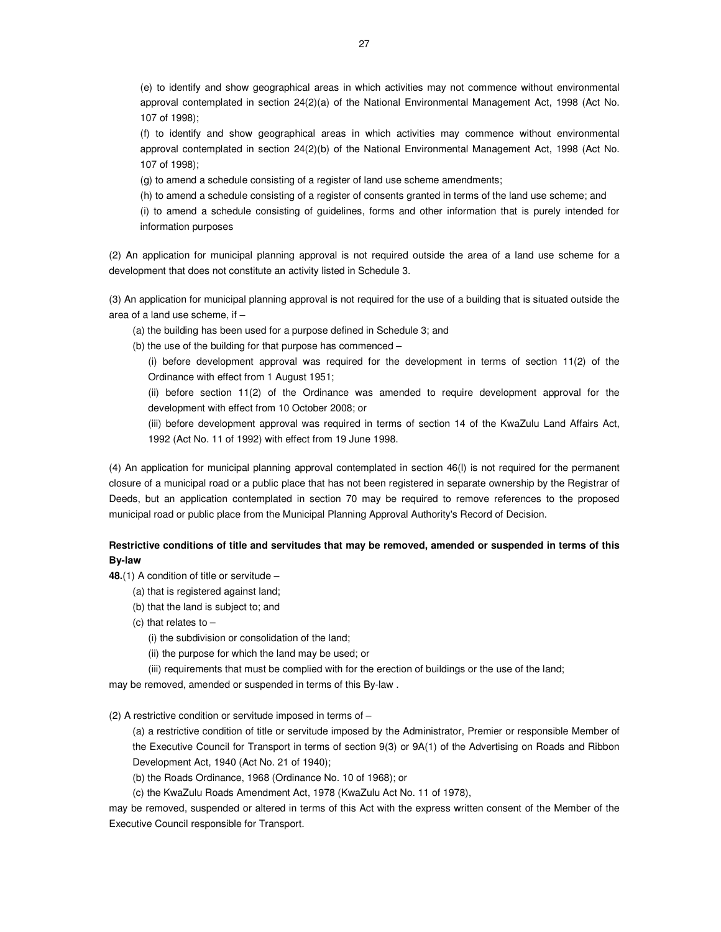(e) to identify and show geographical areas in which activities may not commence without environmental approval contemplated in section 24(2)(a) of the National Environmental Management Act, 1998 (Act No. 107 of 1998);

(f) to identify and show geographical areas in which activities may commence without environmental approval contemplated in section 24(2)(b) of the National Environmental Management Act, 1998 (Act No. 107 of 1998);

(g) to amend a schedule consisting of a register of land use scheme amendments;

(h) to amend a schedule consisting of a register of consents granted in terms of the land use scheme; and (i) to amend a schedule consisting of guidelines, forms and other information that is purely intended for information purposes

(2) An application for municipal planning approval is not required outside the area of a land use scheme for a development that does not constitute an activity listed in Schedule 3.

(3) An application for municipal planning approval is not required for the use of a building that is situated outside the area of a land use scheme, if –

(a) the building has been used for a purpose defined in Schedule 3; and

(b) the use of the building for that purpose has commenced –

(i) before development approval was required for the development in terms of section 11(2) of the Ordinance with effect from 1 August 1951;

(ii) before section 11(2) of the Ordinance was amended to require development approval for the development with effect from 10 October 2008; or

(iii) before development approval was required in terms of section 14 of the KwaZulu Land Affairs Act, 1992 (Act No. 11 of 1992) with effect from 19 June 1998.

(4) An application for municipal planning approval contemplated in section 46(l) is not required for the permanent closure of a municipal road or a public place that has not been registered in separate ownership by the Registrar of Deeds, but an application contemplated in section 70 may be required to remove references to the proposed municipal road or public place from the Municipal Planning Approval Authority's Record of Decision.

# **Restrictive conditions of title and servitudes that may be removed, amended or suspended in terms of this By-law**

**48.**(1) A condition of title or servitude –

(a) that is registered against land;

- (b) that the land is subject to; and
- (c) that relates to  $-$

(i) the subdivision or consolidation of the land;

(ii) the purpose for which the land may be used; or

(iii) requirements that must be complied with for the erection of buildings or the use of the land;

may be removed, amended or suspended in terms of this By-law .

(2) A restrictive condition or servitude imposed in terms of –

(a) a restrictive condition of title or servitude imposed by the Administrator, Premier or responsible Member of the Executive Council for Transport in terms of section 9(3) or 9A(1) of the Advertising on Roads and Ribbon Development Act, 1940 (Act No. 21 of 1940);

(b) the Roads Ordinance, 1968 (Ordinance No. 10 of 1968); or

(c) the KwaZulu Roads Amendment Act, 1978 (KwaZulu Act No. 11 of 1978),

may be removed, suspended or altered in terms of this Act with the express written consent of the Member of the Executive Council responsible for Transport.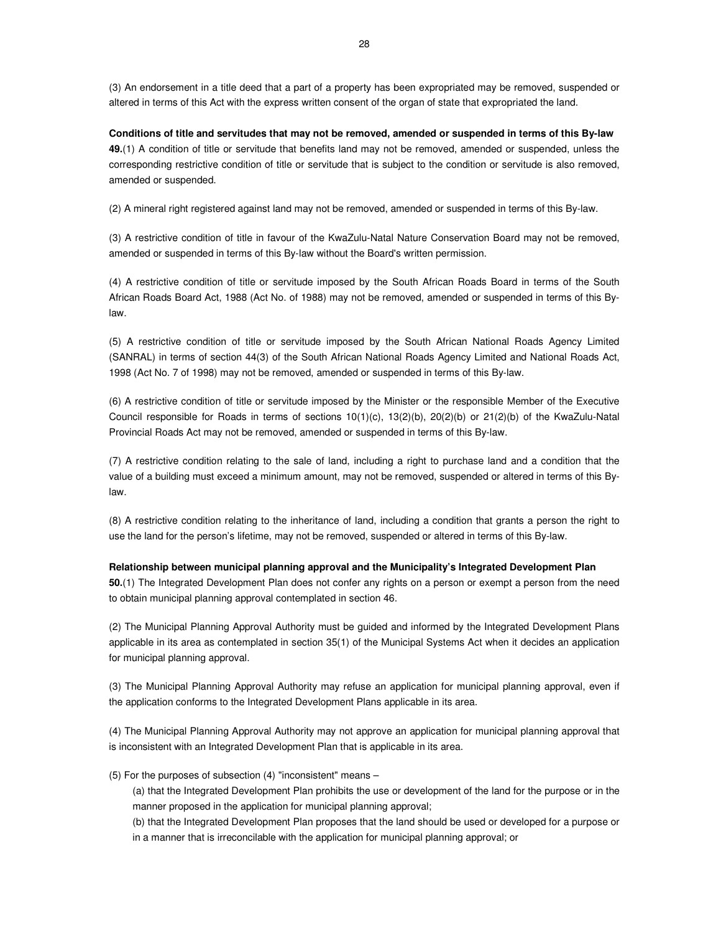(3) An endorsement in a title deed that a part of a property has been expropriated may be removed, suspended or altered in terms of this Act with the express written consent of the organ of state that expropriated the land.

**Conditions of title and servitudes that may not be removed, amended or suspended in terms of this By-law 49.**(1) A condition of title or servitude that benefits land may not be removed, amended or suspended, unless the corresponding restrictive condition of title or servitude that is subject to the condition or servitude is also removed, amended or suspended.

(2) A mineral right registered against land may not be removed, amended or suspended in terms of this By-law.

(3) A restrictive condition of title in favour of the KwaZulu-Natal Nature Conservation Board may not be removed, amended or suspended in terms of this By-law without the Board's written permission.

(4) A restrictive condition of title or servitude imposed by the South African Roads Board in terms of the South African Roads Board Act, 1988 (Act No. of 1988) may not be removed, amended or suspended in terms of this Bylaw.

(5) A restrictive condition of title or servitude imposed by the South African National Roads Agency Limited (SANRAL) in terms of section 44(3) of the South African National Roads Agency Limited and National Roads Act, 1998 (Act No. 7 of 1998) may not be removed, amended or suspended in terms of this By-law.

(6) A restrictive condition of title or servitude imposed by the Minister or the responsible Member of the Executive Council responsible for Roads in terms of sections 10(1)(c), 13(2)(b), 20(2)(b) or 21(2)(b) of the KwaZulu-Natal Provincial Roads Act may not be removed, amended or suspended in terms of this By-law.

(7) A restrictive condition relating to the sale of land, including a right to purchase land and a condition that the value of a building must exceed a minimum amount, may not be removed, suspended or altered in terms of this Bylaw.

(8) A restrictive condition relating to the inheritance of land, including a condition that grants a person the right to use the land for the person's lifetime, may not be removed, suspended or altered in terms of this By-law.

#### **Relationship between municipal planning approval and the Municipality's Integrated Development Plan**

**50.**(1) The Integrated Development Plan does not confer any rights on a person or exempt a person from the need to obtain municipal planning approval contemplated in section 46.

(2) The Municipal Planning Approval Authority must be guided and informed by the Integrated Development Plans applicable in its area as contemplated in section 35(1) of the Municipal Systems Act when it decides an application for municipal planning approval.

(3) The Municipal Planning Approval Authority may refuse an application for municipal planning approval, even if the application conforms to the Integrated Development Plans applicable in its area.

(4) The Municipal Planning Approval Authority may not approve an application for municipal planning approval that is inconsistent with an Integrated Development Plan that is applicable in its area.

(5) For the purposes of subsection (4) "inconsistent" means –

(a) that the Integrated Development Plan prohibits the use or development of the land for the purpose or in the manner proposed in the application for municipal planning approval;

(b) that the Integrated Development Plan proposes that the land should be used or developed for a purpose or in a manner that is irreconcilable with the application for municipal planning approval; or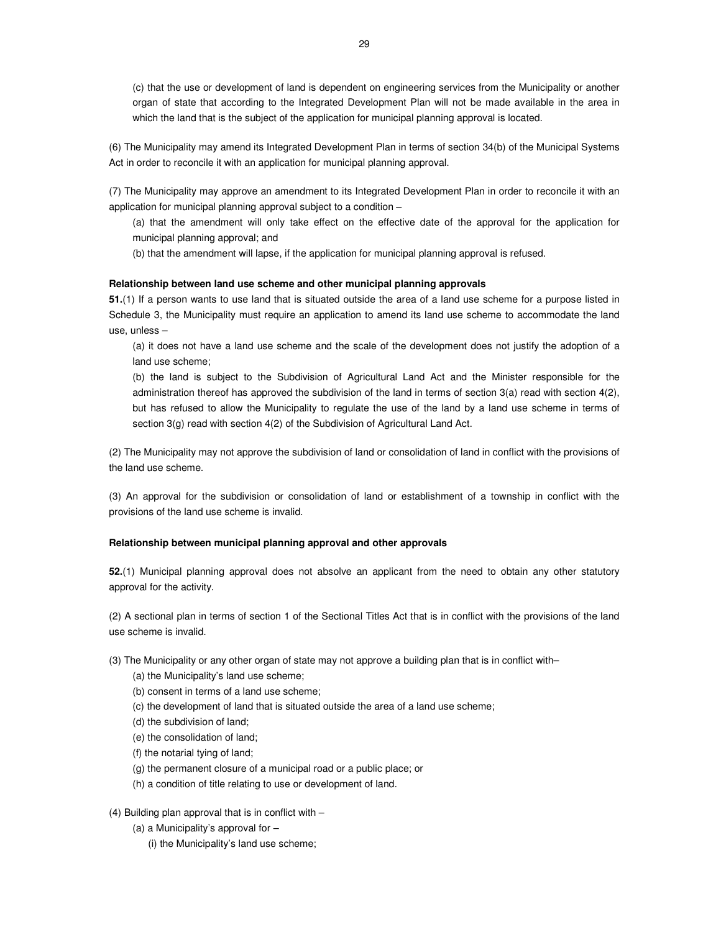(c) that the use or development of land is dependent on engineering services from the Municipality or another organ of state that according to the Integrated Development Plan will not be made available in the area in which the land that is the subject of the application for municipal planning approval is located.

(6) The Municipality may amend its Integrated Development Plan in terms of section 34(b) of the Municipal Systems Act in order to reconcile it with an application for municipal planning approval.

(7) The Municipality may approve an amendment to its Integrated Development Plan in order to reconcile it with an application for municipal planning approval subject to a condition –

(a) that the amendment will only take effect on the effective date of the approval for the application for municipal planning approval; and

(b) that the amendment will lapse, if the application for municipal planning approval is refused.

#### **Relationship between land use scheme and other municipal planning approvals**

**51.**(1) If a person wants to use land that is situated outside the area of a land use scheme for a purpose listed in Schedule 3, the Municipality must require an application to amend its land use scheme to accommodate the land use, unless –

(a) it does not have a land use scheme and the scale of the development does not justify the adoption of a land use scheme;

(b) the land is subject to the Subdivision of Agricultural Land Act and the Minister responsible for the administration thereof has approved the subdivision of the land in terms of section 3(a) read with section 4(2), but has refused to allow the Municipality to regulate the use of the land by a land use scheme in terms of section 3(g) read with section 4(2) of the Subdivision of Agricultural Land Act.

(2) The Municipality may not approve the subdivision of land or consolidation of land in conflict with the provisions of the land use scheme.

(3) An approval for the subdivision or consolidation of land or establishment of a township in conflict with the provisions of the land use scheme is invalid.

#### **Relationship between municipal planning approval and other approvals**

**52.**(1) Municipal planning approval does not absolve an applicant from the need to obtain any other statutory approval for the activity.

(2) A sectional plan in terms of section 1 of the Sectional Titles Act that is in conflict with the provisions of the land use scheme is invalid.

(3) The Municipality or any other organ of state may not approve a building plan that is in conflict with–

- (a) the Municipality's land use scheme;
- (b) consent in terms of a land use scheme;
- (c) the development of land that is situated outside the area of a land use scheme;
- (d) the subdivision of land;
- (e) the consolidation of land;
- (f) the notarial tying of land;
- (g) the permanent closure of a municipal road or a public place; or
- (h) a condition of title relating to use or development of land.

(4) Building plan approval that is in conflict with –

- (a) a Municipality's approval for
	- (i) the Municipality's land use scheme;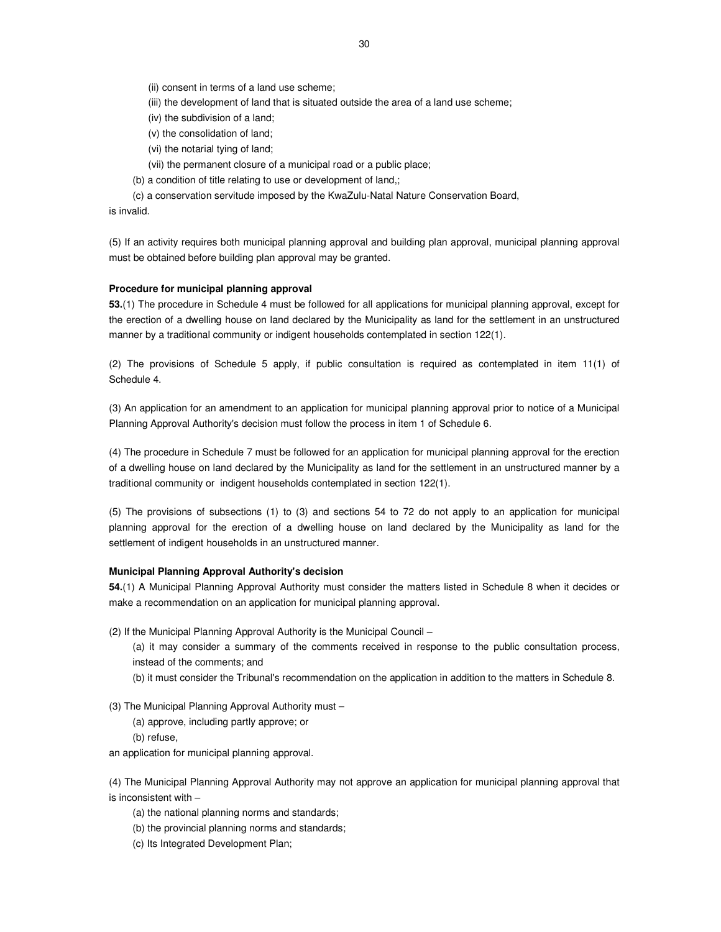(ii) consent in terms of a land use scheme;

- (iii) the development of land that is situated outside the area of a land use scheme;
- (iv) the subdivision of a land;
- (v) the consolidation of land;
- (vi) the notarial tying of land;
- (vii) the permanent closure of a municipal road or a public place;
- (b) a condition of title relating to use or development of land,;
- (c) a conservation servitude imposed by the KwaZulu-Natal Nature Conservation Board,

is invalid.

(5) If an activity requires both municipal planning approval and building plan approval, municipal planning approval must be obtained before building plan approval may be granted.

#### **Procedure for municipal planning approval**

**53.**(1) The procedure in Schedule 4 must be followed for all applications for municipal planning approval, except for the erection of a dwelling house on land declared by the Municipality as land for the settlement in an unstructured manner by a traditional community or indigent households contemplated in section 122(1).

(2) The provisions of Schedule 5 apply, if public consultation is required as contemplated in item 11(1) of Schedule 4.

(3) An application for an amendment to an application for municipal planning approval prior to notice of a Municipal Planning Approval Authority's decision must follow the process in item 1 of Schedule 6.

(4) The procedure in Schedule 7 must be followed for an application for municipal planning approval for the erection of a dwelling house on land declared by the Municipality as land for the settlement in an unstructured manner by a traditional community or indigent households contemplated in section 122(1).

(5) The provisions of subsections (1) to (3) and sections 54 to 72 do not apply to an application for municipal planning approval for the erection of a dwelling house on land declared by the Municipality as land for the settlement of indigent households in an unstructured manner.

# **Municipal Planning Approval Authority's decision**

**54.**(1) A Municipal Planning Approval Authority must consider the matters listed in Schedule 8 when it decides or make a recommendation on an application for municipal planning approval.

(2) If the Municipal Planning Approval Authority is the Municipal Council –

(a) it may consider a summary of the comments received in response to the public consultation process, instead of the comments; and

(b) it must consider the Tribunal's recommendation on the application in addition to the matters in Schedule 8.

(3) The Municipal Planning Approval Authority must –

- (a) approve, including partly approve; or
- (b) refuse,

an application for municipal planning approval.

(4) The Municipal Planning Approval Authority may not approve an application for municipal planning approval that is inconsistent with –

- (a) the national planning norms and standards;
- (b) the provincial planning norms and standards;
- (c) Its Integrated Development Plan;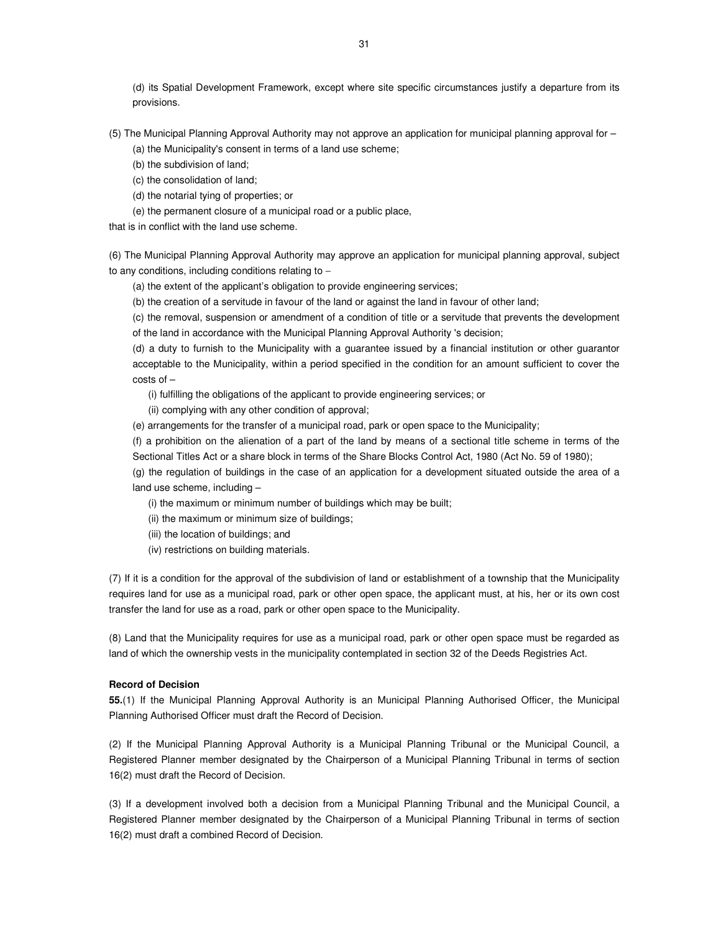(d) its Spatial Development Framework, except where site specific circumstances justify a departure from its provisions.

(5) The Municipal Planning Approval Authority may not approve an application for municipal planning approval for – (a) the Municipality's consent in terms of a land use scheme;

(b) the subdivision of land;

(c) the consolidation of land;

(d) the notarial tying of properties; or

(e) the permanent closure of a municipal road or a public place,

that is in conflict with the land use scheme.

(6) The Municipal Planning Approval Authority may approve an application for municipal planning approval, subject to any conditions, including conditions relating to −

(a) the extent of the applicant's obligation to provide engineering services;

(b) the creation of a servitude in favour of the land or against the land in favour of other land;

(c) the removal, suspension or amendment of a condition of title or a servitude that prevents the development of the land in accordance with the Municipal Planning Approval Authority 's decision;

(d) a duty to furnish to the Municipality with a guarantee issued by a financial institution or other guarantor acceptable to the Municipality, within a period specified in the condition for an amount sufficient to cover the costs of –

(i) fulfilling the obligations of the applicant to provide engineering services; or

(ii) complying with any other condition of approval;

(e) arrangements for the transfer of a municipal road, park or open space to the Municipality;

(f) a prohibition on the alienation of a part of the land by means of a sectional title scheme in terms of the Sectional Titles Act or a share block in terms of the Share Blocks Control Act, 1980 (Act No. 59 of 1980);

(g) the regulation of buildings in the case of an application for a development situated outside the area of a land use scheme, including –

(i) the maximum or minimum number of buildings which may be built;

(ii) the maximum or minimum size of buildings;

- (iii) the location of buildings; and
- (iv) restrictions on building materials.

(7) If it is a condition for the approval of the subdivision of land or establishment of a township that the Municipality requires land for use as a municipal road, park or other open space, the applicant must, at his, her or its own cost transfer the land for use as a road, park or other open space to the Municipality.

(8) Land that the Municipality requires for use as a municipal road, park or other open space must be regarded as land of which the ownership vests in the municipality contemplated in section 32 of the Deeds Registries Act.

### **Record of Decision**

**55.**(1) If the Municipal Planning Approval Authority is an Municipal Planning Authorised Officer, the Municipal Planning Authorised Officer must draft the Record of Decision.

(2) If the Municipal Planning Approval Authority is a Municipal Planning Tribunal or the Municipal Council, a Registered Planner member designated by the Chairperson of a Municipal Planning Tribunal in terms of section 16(2) must draft the Record of Decision.

(3) If a development involved both a decision from a Municipal Planning Tribunal and the Municipal Council, a Registered Planner member designated by the Chairperson of a Municipal Planning Tribunal in terms of section 16(2) must draft a combined Record of Decision.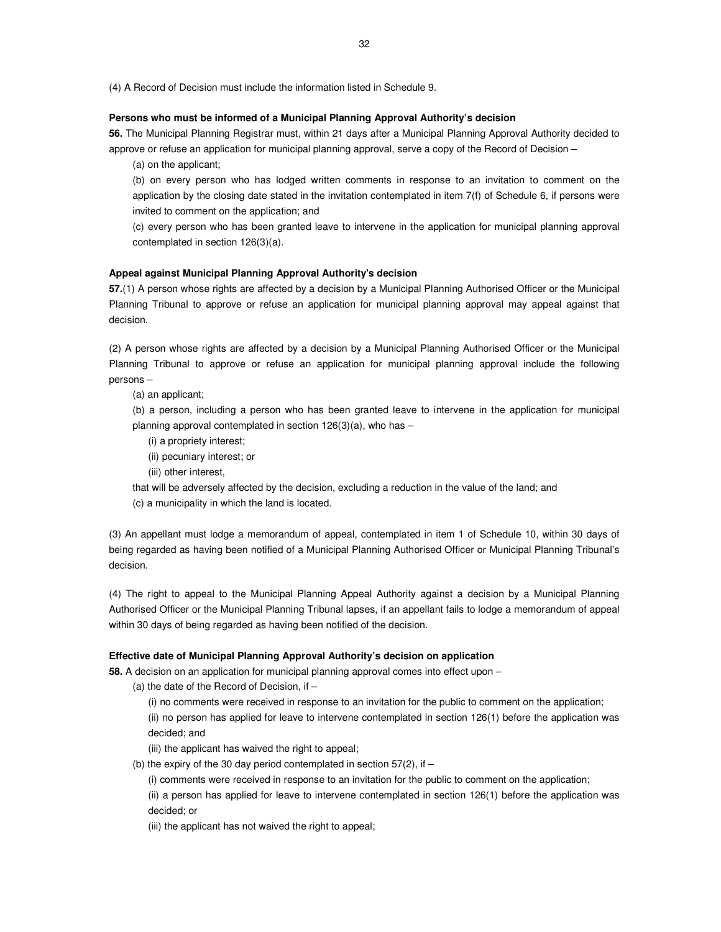(4) A Record of Decision must include the information listed in Schedule 9.

### **Persons who must be informed of a Municipal Planning Approval Authority's decision**

**56.** The Municipal Planning Registrar must, within 21 days after a Municipal Planning Approval Authority decided to approve or refuse an application for municipal planning approval, serve a copy of the Record of Decision –

(a) on the applicant;

(b) on every person who has lodged written comments in response to an invitation to comment on the application by the closing date stated in the invitation contemplated in item 7(f) of Schedule 6, if persons were invited to comment on the application; and

(c) every person who has been granted leave to intervene in the application for municipal planning approval contemplated in section 126(3)(a).

#### **Appeal against Municipal Planning Approval Authority's decision**

**57.**(1) A person whose rights are affected by a decision by a Municipal Planning Authorised Officer or the Municipal Planning Tribunal to approve or refuse an application for municipal planning approval may appeal against that decision.

(2) A person whose rights are affected by a decision by a Municipal Planning Authorised Officer or the Municipal Planning Tribunal to approve or refuse an application for municipal planning approval include the following persons –

(a) an applicant;

(b) a person, including a person who has been granted leave to intervene in the application for municipal planning approval contemplated in section  $126(3)(a)$ , who has –

- (i) a propriety interest;
- (ii) pecuniary interest; or
- (iii) other interest,

that will be adversely affected by the decision, excluding a reduction in the value of the land; and

(c) a municipality in which the land is located.

(3) An appellant must lodge a memorandum of appeal, contemplated in item 1 of Schedule 10, within 30 days of being regarded as having been notified of a Municipal Planning Authorised Officer or Municipal Planning Tribunal's decision.

(4) The right to appeal to the Municipal Planning Appeal Authority against a decision by a Municipal Planning Authorised Officer or the Municipal Planning Tribunal lapses, if an appellant fails to lodge a memorandum of appeal within 30 days of being regarded as having been notified of the decision.

#### **Effective date of Municipal Planning Approval Authority's decision on application**

**58.** A decision on an application for municipal planning approval comes into effect upon –

(a) the date of the Record of Decision, if  $-$ 

(i) no comments were received in response to an invitation for the public to comment on the application; (ii) no person has applied for leave to intervene contemplated in section 126(1) before the application was decided; and

(iii) the applicant has waived the right to appeal;

(b) the expiry of the 30 day period contemplated in section  $57(2)$ , if –

(i) comments were received in response to an invitation for the public to comment on the application;

(ii) a person has applied for leave to intervene contemplated in section 126(1) before the application was decided; or

(iii) the applicant has not waived the right to appeal;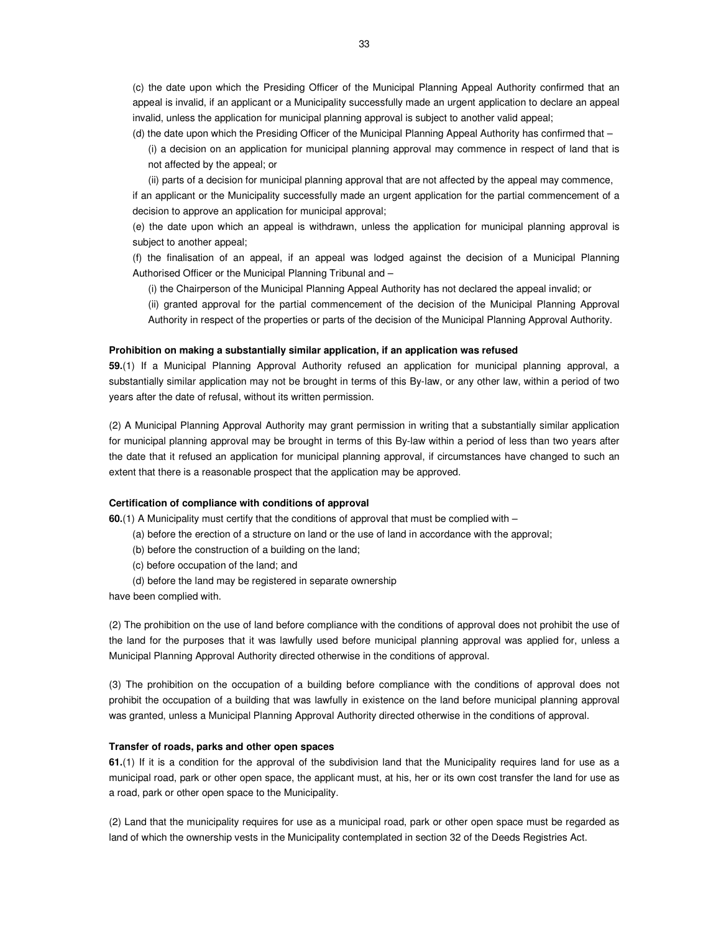(c) the date upon which the Presiding Officer of the Municipal Planning Appeal Authority confirmed that an appeal is invalid, if an applicant or a Municipality successfully made an urgent application to declare an appeal invalid, unless the application for municipal planning approval is subject to another valid appeal;

(d) the date upon which the Presiding Officer of the Municipal Planning Appeal Authority has confirmed that –

(i) a decision on an application for municipal planning approval may commence in respect of land that is not affected by the appeal; or

(ii) parts of a decision for municipal planning approval that are not affected by the appeal may commence,

if an applicant or the Municipality successfully made an urgent application for the partial commencement of a decision to approve an application for municipal approval;

(e) the date upon which an appeal is withdrawn, unless the application for municipal planning approval is subject to another appeal;

(f) the finalisation of an appeal, if an appeal was lodged against the decision of a Municipal Planning Authorised Officer or the Municipal Planning Tribunal and –

(i) the Chairperson of the Municipal Planning Appeal Authority has not declared the appeal invalid; or

(ii) granted approval for the partial commencement of the decision of the Municipal Planning Approval Authority in respect of the properties or parts of the decision of the Municipal Planning Approval Authority.

#### **Prohibition on making a substantially similar application, if an application was refused**

**59.**(1) If a Municipal Planning Approval Authority refused an application for municipal planning approval, a substantially similar application may not be brought in terms of this By-law, or any other law, within a period of two years after the date of refusal, without its written permission.

(2) A Municipal Planning Approval Authority may grant permission in writing that a substantially similar application for municipal planning approval may be brought in terms of this By-law within a period of less than two years after the date that it refused an application for municipal planning approval, if circumstances have changed to such an extent that there is a reasonable prospect that the application may be approved.

# **Certification of compliance with conditions of approval**

**60.**(1) A Municipality must certify that the conditions of approval that must be complied with –

- (a) before the erection of a structure on land or the use of land in accordance with the approval;
- (b) before the construction of a building on the land;
- (c) before occupation of the land; and
- (d) before the land may be registered in separate ownership

have been complied with.

(2) The prohibition on the use of land before compliance with the conditions of approval does not prohibit the use of the land for the purposes that it was lawfully used before municipal planning approval was applied for, unless a Municipal Planning Approval Authority directed otherwise in the conditions of approval.

(3) The prohibition on the occupation of a building before compliance with the conditions of approval does not prohibit the occupation of a building that was lawfully in existence on the land before municipal planning approval was granted, unless a Municipal Planning Approval Authority directed otherwise in the conditions of approval.

#### **Transfer of roads, parks and other open spaces**

**61.**(1) If it is a condition for the approval of the subdivision land that the Municipality requires land for use as a municipal road, park or other open space, the applicant must, at his, her or its own cost transfer the land for use as a road, park or other open space to the Municipality.

(2) Land that the municipality requires for use as a municipal road, park or other open space must be regarded as land of which the ownership vests in the Municipality contemplated in section 32 of the Deeds Registries Act.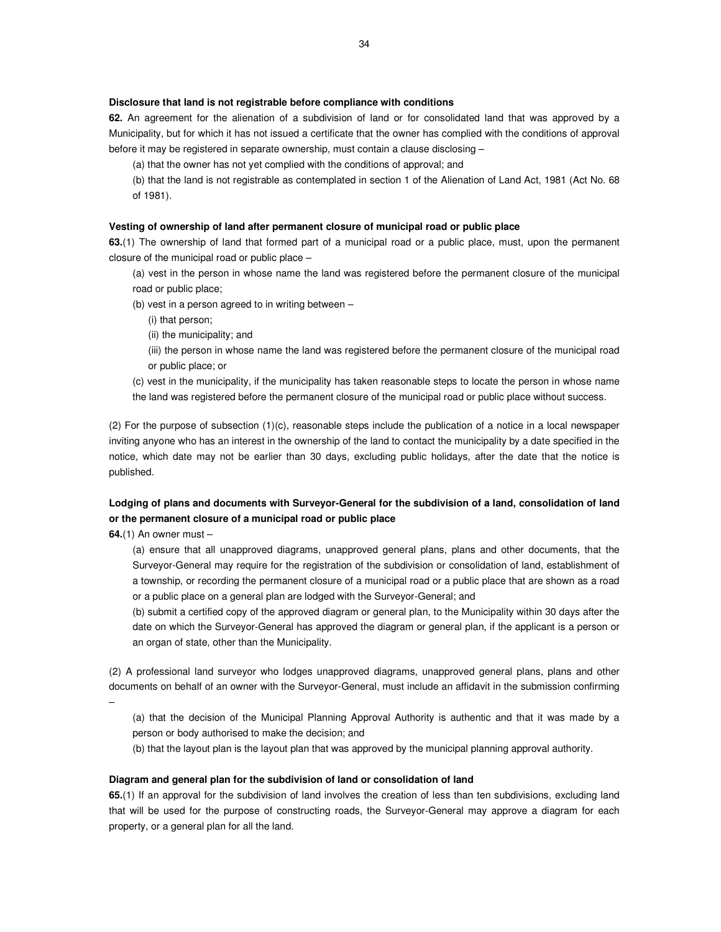### **Disclosure that land is not registrable before compliance with conditions**

**62.** An agreement for the alienation of a subdivision of land or for consolidated land that was approved by a Municipality, but for which it has not issued a certificate that the owner has complied with the conditions of approval before it may be registered in separate ownership, must contain a clause disclosing –

(a) that the owner has not yet complied with the conditions of approval; and

(b) that the land is not registrable as contemplated in section 1 of the Alienation of Land Act, 1981 (Act No. 68 of 1981).

#### **Vesting of ownership of land after permanent closure of municipal road or public place**

**63.**(1) The ownership of land that formed part of a municipal road or a public place, must, upon the permanent closure of the municipal road or public place –

(a) vest in the person in whose name the land was registered before the permanent closure of the municipal road or public place;

(b) vest in a person agreed to in writing between –

(i) that person;

(ii) the municipality; and

(iii) the person in whose name the land was registered before the permanent closure of the municipal road or public place; or

(c) vest in the municipality, if the municipality has taken reasonable steps to locate the person in whose name the land was registered before the permanent closure of the municipal road or public place without success.

(2) For the purpose of subsection (1)(c), reasonable steps include the publication of a notice in a local newspaper inviting anyone who has an interest in the ownership of the land to contact the municipality by a date specified in the notice, which date may not be earlier than 30 days, excluding public holidays, after the date that the notice is published.

# **Lodging of plans and documents with Surveyor-General for the subdivision of a land, consolidation of land or the permanent closure of a municipal road or public place**

**64.**(1) An owner must –

(a) ensure that all unapproved diagrams, unapproved general plans, plans and other documents, that the Surveyor-General may require for the registration of the subdivision or consolidation of land, establishment of a township, or recording the permanent closure of a municipal road or a public place that are shown as a road or a public place on a general plan are lodged with the Surveyor-General; and

(b) submit a certified copy of the approved diagram or general plan, to the Municipality within 30 days after the date on which the Surveyor-General has approved the diagram or general plan, if the applicant is a person or an organ of state, other than the Municipality.

(2) A professional land surveyor who lodges unapproved diagrams, unapproved general plans, plans and other documents on behalf of an owner with the Surveyor-General, must include an affidavit in the submission confirming

–

(a) that the decision of the Municipal Planning Approval Authority is authentic and that it was made by a person or body authorised to make the decision; and

(b) that the layout plan is the layout plan that was approved by the municipal planning approval authority.

#### **Diagram and general plan for the subdivision of land or consolidation of land**

**65.**(1) If an approval for the subdivision of land involves the creation of less than ten subdivisions, excluding land that will be used for the purpose of constructing roads, the Surveyor-General may approve a diagram for each property, or a general plan for all the land.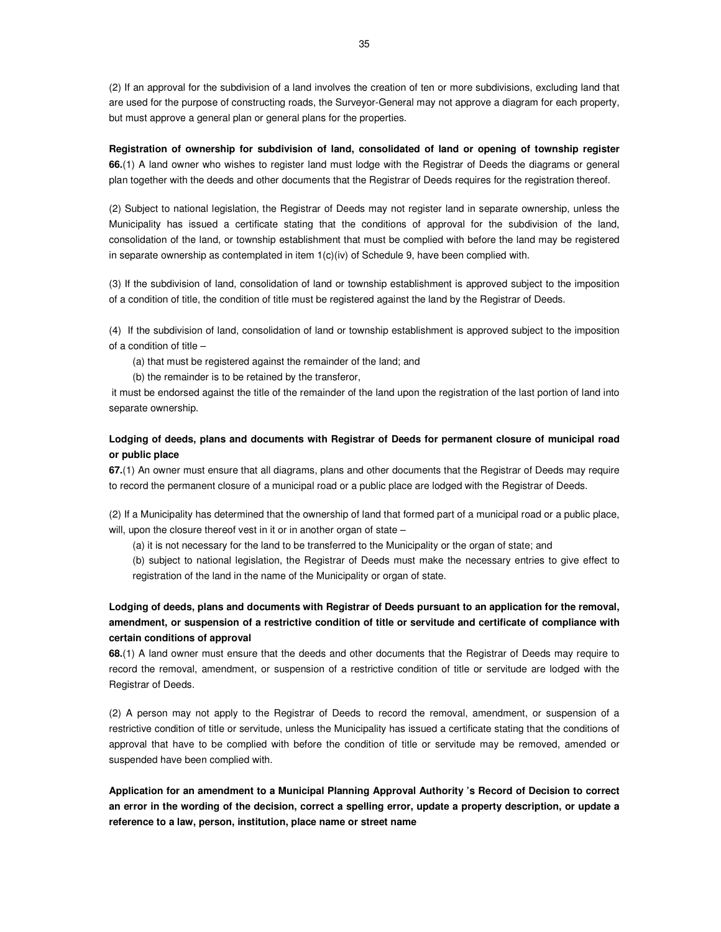(2) If an approval for the subdivision of a land involves the creation of ten or more subdivisions, excluding land that are used for the purpose of constructing roads, the Surveyor-General may not approve a diagram for each property, but must approve a general plan or general plans for the properties.

**Registration of ownership for subdivision of land, consolidated of land or opening of township register 66.**(1) A land owner who wishes to register land must lodge with the Registrar of Deeds the diagrams or general plan together with the deeds and other documents that the Registrar of Deeds requires for the registration thereof.

(2) Subject to national legislation, the Registrar of Deeds may not register land in separate ownership, unless the Municipality has issued a certificate stating that the conditions of approval for the subdivision of the land, consolidation of the land, or township establishment that must be complied with before the land may be registered in separate ownership as contemplated in item 1(c)(iv) of Schedule 9, have been complied with.

(3) If the subdivision of land, consolidation of land or township establishment is approved subject to the imposition of a condition of title, the condition of title must be registered against the land by the Registrar of Deeds.

(4) If the subdivision of land, consolidation of land or township establishment is approved subject to the imposition of a condition of title –

(a) that must be registered against the remainder of the land; and

(b) the remainder is to be retained by the transferor,

 it must be endorsed against the title of the remainder of the land upon the registration of the last portion of land into separate ownership.

# **Lodging of deeds, plans and documents with Registrar of Deeds for permanent closure of municipal road or public place**

**67.**(1) An owner must ensure that all diagrams, plans and other documents that the Registrar of Deeds may require to record the permanent closure of a municipal road or a public place are lodged with the Registrar of Deeds.

(2) If a Municipality has determined that the ownership of land that formed part of a municipal road or a public place, will, upon the closure thereof vest in it or in another organ of state -

(a) it is not necessary for the land to be transferred to the Municipality or the organ of state; and

(b) subject to national legislation, the Registrar of Deeds must make the necessary entries to give effect to registration of the land in the name of the Municipality or organ of state.

**Lodging of deeds, plans and documents with Registrar of Deeds pursuant to an application for the removal, amendment, or suspension of a restrictive condition of title or servitude and certificate of compliance with certain conditions of approval** 

**68.**(1) A land owner must ensure that the deeds and other documents that the Registrar of Deeds may require to record the removal, amendment, or suspension of a restrictive condition of title or servitude are lodged with the Registrar of Deeds.

(2) A person may not apply to the Registrar of Deeds to record the removal, amendment, or suspension of a restrictive condition of title or servitude, unless the Municipality has issued a certificate stating that the conditions of approval that have to be complied with before the condition of title or servitude may be removed, amended or suspended have been complied with.

**Application for an amendment to a Municipal Planning Approval Authority 's Record of Decision to correct an error in the wording of the decision, correct a spelling error, update a property description, or update a reference to a law, person, institution, place name or street name**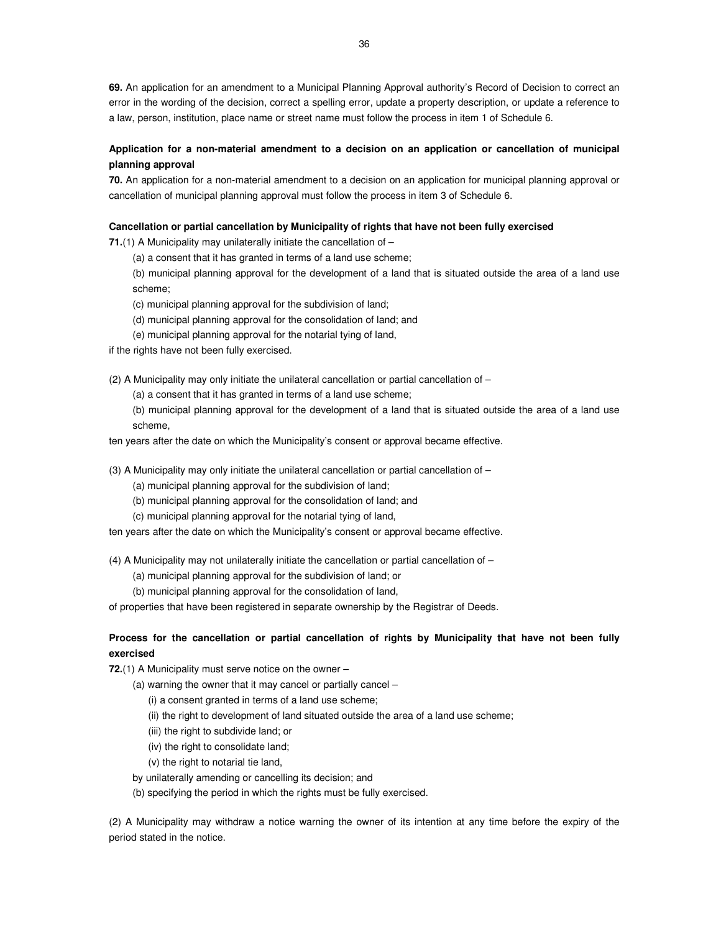**69.** An application for an amendment to a Municipal Planning Approval authority's Record of Decision to correct an error in the wording of the decision, correct a spelling error, update a property description, or update a reference to a law, person, institution, place name or street name must follow the process in item 1 of Schedule 6.

# **Application for a non-material amendment to a decision on an application or cancellation of municipal planning approval**

**70.** An application for a non-material amendment to a decision on an application for municipal planning approval or cancellation of municipal planning approval must follow the process in item 3 of Schedule 6.

### **Cancellation or partial cancellation by Municipality of rights that have not been fully exercised**

**71.**(1) A Municipality may unilaterally initiate the cancellation of –

(a) a consent that it has granted in terms of a land use scheme;

(b) municipal planning approval for the development of a land that is situated outside the area of a land use scheme;

(c) municipal planning approval for the subdivision of land;

- (d) municipal planning approval for the consolidation of land; and
- (e) municipal planning approval for the notarial tying of land,

if the rights have not been fully exercised.

(2) A Municipality may only initiate the unilateral cancellation or partial cancellation of  $-$ 

(a) a consent that it has granted in terms of a land use scheme;

(b) municipal planning approval for the development of a land that is situated outside the area of a land use scheme,

ten years after the date on which the Municipality's consent or approval became effective.

(3) A Municipality may only initiate the unilateral cancellation or partial cancellation of –

(a) municipal planning approval for the subdivision of land;

- (b) municipal planning approval for the consolidation of land; and
- (c) municipal planning approval for the notarial tying of land,

ten years after the date on which the Municipality's consent or approval became effective.

(4) A Municipality may not unilaterally initiate the cancellation or partial cancellation of  $-$ 

(a) municipal planning approval for the subdivision of land; or

(b) municipal planning approval for the consolidation of land,

of properties that have been registered in separate ownership by the Registrar of Deeds.

# **Process for the cancellation or partial cancellation of rights by Municipality that have not been fully exercised**

**72.**(1) A Municipality must serve notice on the owner –

- (a) warning the owner that it may cancel or partially cancel
	- (i) a consent granted in terms of a land use scheme;
	- (ii) the right to development of land situated outside the area of a land use scheme;
	- (iii) the right to subdivide land; or
	- (iv) the right to consolidate land;
	- (v) the right to notarial tie land,
- by unilaterally amending or cancelling its decision; and
- (b) specifying the period in which the rights must be fully exercised.

(2) A Municipality may withdraw a notice warning the owner of its intention at any time before the expiry of the period stated in the notice.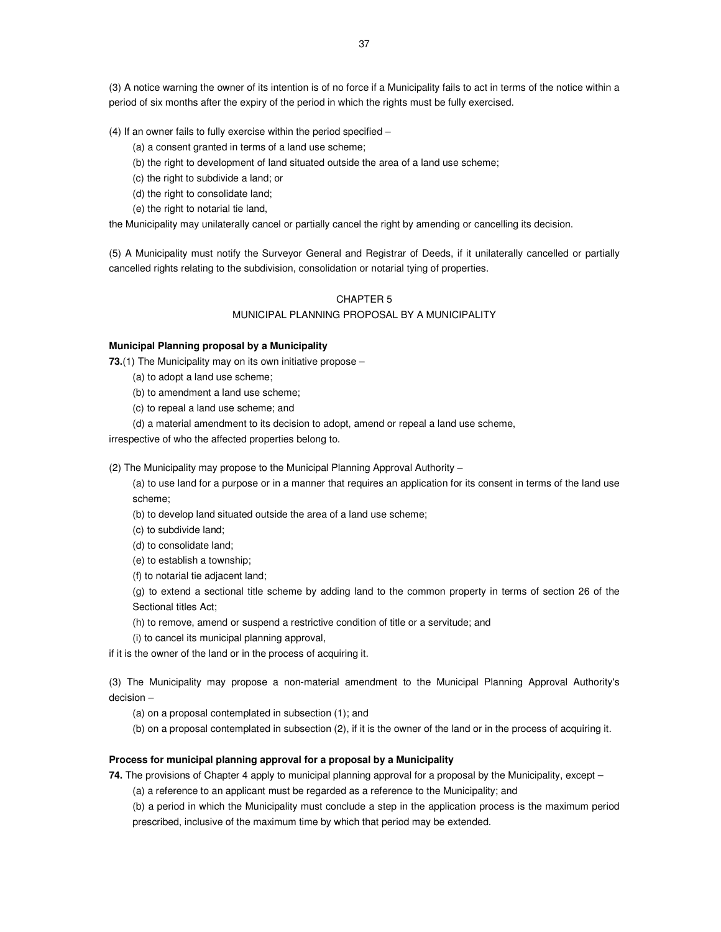(3) A notice warning the owner of its intention is of no force if a Municipality fails to act in terms of the notice within a period of six months after the expiry of the period in which the rights must be fully exercised.

(4) If an owner fails to fully exercise within the period specified –

- (a) a consent granted in terms of a land use scheme;
- (b) the right to development of land situated outside the area of a land use scheme;
- (c) the right to subdivide a land; or
- (d) the right to consolidate land;
- (e) the right to notarial tie land,

the Municipality may unilaterally cancel or partially cancel the right by amending or cancelling its decision.

(5) A Municipality must notify the Surveyor General and Registrar of Deeds, if it unilaterally cancelled or partially cancelled rights relating to the subdivision, consolidation or notarial tying of properties.

# CHAPTER 5 MUNICIPAL PLANNING PROPOSAL BY A MUNICIPALITY

## **Municipal Planning proposal by a Municipality**

**73.**(1) The Municipality may on its own initiative propose –

- (a) to adopt a land use scheme;
- (b) to amendment a land use scheme;
- (c) to repeal a land use scheme; and
- (d) a material amendment to its decision to adopt, amend or repeal a land use scheme,

irrespective of who the affected properties belong to.

(2) The Municipality may propose to the Municipal Planning Approval Authority –

(a) to use land for a purpose or in a manner that requires an application for its consent in terms of the land use scheme;

- (b) to develop land situated outside the area of a land use scheme;
- (c) to subdivide land;
- (d) to consolidate land;
- (e) to establish a township;
- (f) to notarial tie adjacent land;

(g) to extend a sectional title scheme by adding land to the common property in terms of section 26 of the Sectional titles Act;

- (h) to remove, amend or suspend a restrictive condition of title or a servitude; and
- (i) to cancel its municipal planning approval,

if it is the owner of the land or in the process of acquiring it.

(3) The Municipality may propose a non-material amendment to the Municipal Planning Approval Authority's decision –

(a) on a proposal contemplated in subsection (1); and

(b) on a proposal contemplated in subsection (2), if it is the owner of the land or in the process of acquiring it.

#### **Process for municipal planning approval for a proposal by a Municipality**

**74.** The provisions of Chapter 4 apply to municipal planning approval for a proposal by the Municipality, except –

(a) a reference to an applicant must be regarded as a reference to the Municipality; and

(b) a period in which the Municipality must conclude a step in the application process is the maximum period prescribed, inclusive of the maximum time by which that period may be extended.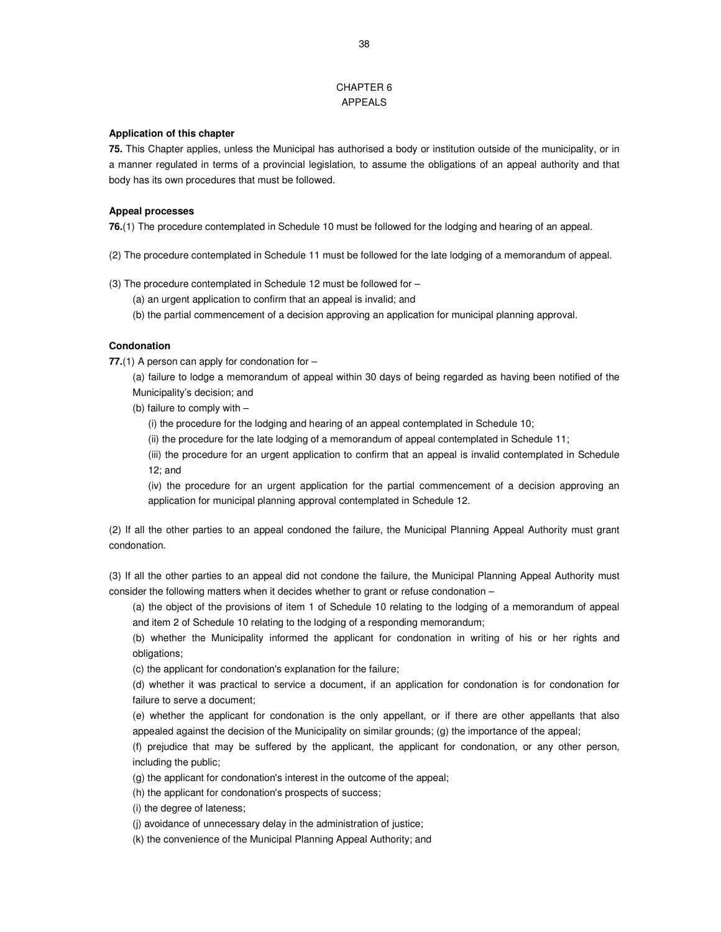# CHAPTER 6 APPEALS

#### **Application of this chapter**

**75.** This Chapter applies, unless the Municipal has authorised a body or institution outside of the municipality, or in a manner regulated in terms of a provincial legislation, to assume the obligations of an appeal authority and that body has its own procedures that must be followed.

#### **Appeal processes**

**76.**(1) The procedure contemplated in Schedule 10 must be followed for the lodging and hearing of an appeal.

- (2) The procedure contemplated in Schedule 11 must be followed for the late lodging of a memorandum of appeal.
- (3) The procedure contemplated in Schedule 12 must be followed for
	- (a) an urgent application to confirm that an appeal is invalid; and
	- (b) the partial commencement of a decision approving an application for municipal planning approval.

#### **Condonation**

**77.**(1) A person can apply for condonation for –

(a) failure to lodge a memorandum of appeal within 30 days of being regarded as having been notified of the Municipality's decision; and

- (b) failure to comply with
	- (i) the procedure for the lodging and hearing of an appeal contemplated in Schedule 10;
	- (ii) the procedure for the late lodging of a memorandum of appeal contemplated in Schedule 11;
	- (iii) the procedure for an urgent application to confirm that an appeal is invalid contemplated in Schedule 12; and
	- (iv) the procedure for an urgent application for the partial commencement of a decision approving an application for municipal planning approval contemplated in Schedule 12.

(2) If all the other parties to an appeal condoned the failure, the Municipal Planning Appeal Authority must grant condonation.

(3) If all the other parties to an appeal did not condone the failure, the Municipal Planning Appeal Authority must consider the following matters when it decides whether to grant or refuse condonation –

(a) the object of the provisions of item 1 of Schedule 10 relating to the lodging of a memorandum of appeal and item 2 of Schedule 10 relating to the lodging of a responding memorandum;

(b) whether the Municipality informed the applicant for condonation in writing of his or her rights and obligations;

(c) the applicant for condonation's explanation for the failure;

(d) whether it was practical to service a document, if an application for condonation is for condonation for failure to serve a document;

(e) whether the applicant for condonation is the only appellant, or if there are other appellants that also appealed against the decision of the Municipality on similar grounds; (g) the importance of the appeal;

(f) prejudice that may be suffered by the applicant, the applicant for condonation, or any other person, including the public;

(g) the applicant for condonation's interest in the outcome of the appeal;

(h) the applicant for condonation's prospects of success;

(i) the degree of lateness;

(j) avoidance of unnecessary delay in the administration of justice;

(k) the convenience of the Municipal Planning Appeal Authority; and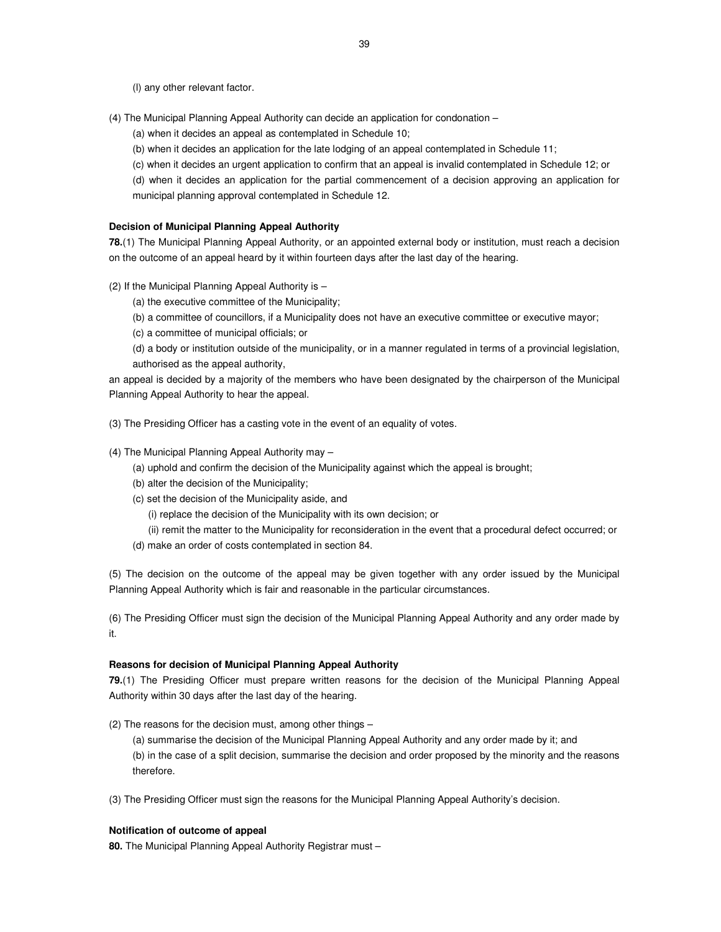(l) any other relevant factor.

- (4) The Municipal Planning Appeal Authority can decide an application for condonation
	- (a) when it decides an appeal as contemplated in Schedule 10;
	- (b) when it decides an application for the late lodging of an appeal contemplated in Schedule 11;
	- (c) when it decides an urgent application to confirm that an appeal is invalid contemplated in Schedule 12; or
	- (d) when it decides an application for the partial commencement of a decision approving an application for municipal planning approval contemplated in Schedule 12.

#### **Decision of Municipal Planning Appeal Authority**

**78.**(1) The Municipal Planning Appeal Authority, or an appointed external body or institution, must reach a decision on the outcome of an appeal heard by it within fourteen days after the last day of the hearing.

- (2) If the Municipal Planning Appeal Authority is
	- (a) the executive committee of the Municipality;
	- (b) a committee of councillors, if a Municipality does not have an executive committee or executive mayor;
	- (c) a committee of municipal officials; or
	- (d) a body or institution outside of the municipality, or in a manner regulated in terms of a provincial legislation, authorised as the appeal authority,

an appeal is decided by a majority of the members who have been designated by the chairperson of the Municipal Planning Appeal Authority to hear the appeal.

(3) The Presiding Officer has a casting vote in the event of an equality of votes.

#### (4) The Municipal Planning Appeal Authority may –

- (a) uphold and confirm the decision of the Municipality against which the appeal is brought;
- (b) alter the decision of the Municipality;
- (c) set the decision of the Municipality aside, and

(i) replace the decision of the Municipality with its own decision; or

- (ii) remit the matter to the Municipality for reconsideration in the event that a procedural defect occurred; or
- (d) make an order of costs contemplated in section 84.

(5) The decision on the outcome of the appeal may be given together with any order issued by the Municipal Planning Appeal Authority which is fair and reasonable in the particular circumstances.

(6) The Presiding Officer must sign the decision of the Municipal Planning Appeal Authority and any order made by it.

#### **Reasons for decision of Municipal Planning Appeal Authority**

**79.**(1) The Presiding Officer must prepare written reasons for the decision of the Municipal Planning Appeal Authority within 30 days after the last day of the hearing.

(2) The reasons for the decision must, among other things –

(a) summarise the decision of the Municipal Planning Appeal Authority and any order made by it; and (b) in the case of a split decision, summarise the decision and order proposed by the minority and the reasons therefore.

(3) The Presiding Officer must sign the reasons for the Municipal Planning Appeal Authority's decision.

#### **Notification of outcome of appeal**

**80.** The Municipal Planning Appeal Authority Registrar must –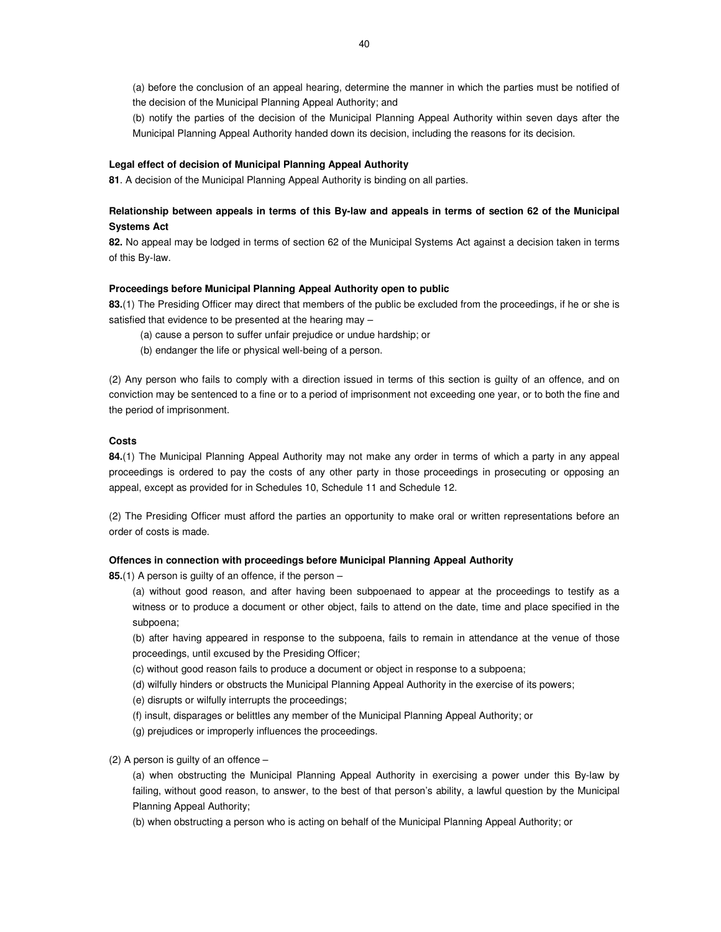(a) before the conclusion of an appeal hearing, determine the manner in which the parties must be notified of the decision of the Municipal Planning Appeal Authority; and

(b) notify the parties of the decision of the Municipal Planning Appeal Authority within seven days after the Municipal Planning Appeal Authority handed down its decision, including the reasons for its decision.

#### **Legal effect of decision of Municipal Planning Appeal Authority**

**81**. A decision of the Municipal Planning Appeal Authority is binding on all parties.

# **Relationship between appeals in terms of this By-law and appeals in terms of section 62 of the Municipal Systems Act**

**82.** No appeal may be lodged in terms of section 62 of the Municipal Systems Act against a decision taken in terms of this By-law.

#### **Proceedings before Municipal Planning Appeal Authority open to public**

**83.**(1) The Presiding Officer may direct that members of the public be excluded from the proceedings, if he or she is satisfied that evidence to be presented at the hearing may –

- (a) cause a person to suffer unfair prejudice or undue hardship; or
- (b) endanger the life or physical well-being of a person.

(2) Any person who fails to comply with a direction issued in terms of this section is guilty of an offence, and on conviction may be sentenced to a fine or to a period of imprisonment not exceeding one year, or to both the fine and the period of imprisonment.

## **Costs**

**84.**(1) The Municipal Planning Appeal Authority may not make any order in terms of which a party in any appeal proceedings is ordered to pay the costs of any other party in those proceedings in prosecuting or opposing an appeal, except as provided for in Schedules 10, Schedule 11 and Schedule 12.

(2) The Presiding Officer must afford the parties an opportunity to make oral or written representations before an order of costs is made.

#### **Offences in connection with proceedings before Municipal Planning Appeal Authority**

**85.**(1) A person is guilty of an offence, if the person –

(a) without good reason, and after having been subpoenaed to appear at the proceedings to testify as a witness or to produce a document or other object, fails to attend on the date, time and place specified in the subpoena;

(b) after having appeared in response to the subpoena, fails to remain in attendance at the venue of those proceedings, until excused by the Presiding Officer;

(c) without good reason fails to produce a document or object in response to a subpoena;

(d) wilfully hinders or obstructs the Municipal Planning Appeal Authority in the exercise of its powers;

(e) disrupts or wilfully interrupts the proceedings;

- (f) insult, disparages or belittles any member of the Municipal Planning Appeal Authority; or
- (g) prejudices or improperly influences the proceedings.

(2) A person is guilty of an offence –

(a) when obstructing the Municipal Planning Appeal Authority in exercising a power under this By-law by failing, without good reason, to answer, to the best of that person's ability, a lawful question by the Municipal Planning Appeal Authority;

(b) when obstructing a person who is acting on behalf of the Municipal Planning Appeal Authority; or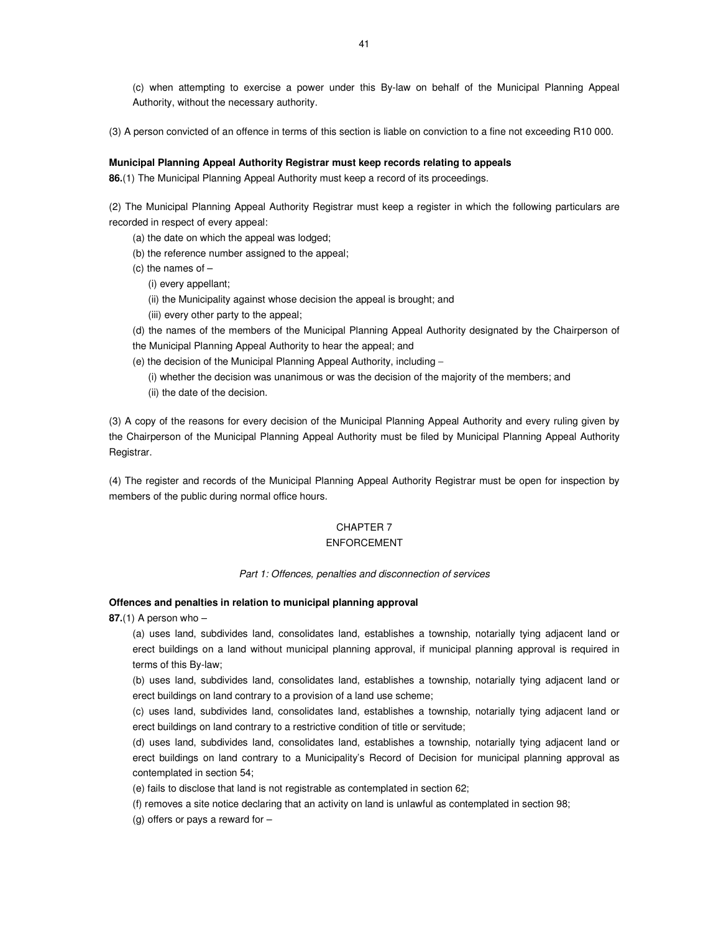(c) when attempting to exercise a power under this By-law on behalf of the Municipal Planning Appeal Authority, without the necessary authority.

(3) A person convicted of an offence in terms of this section is liable on conviction to a fine not exceeding R10 000.

### **Municipal Planning Appeal Authority Registrar must keep records relating to appeals**

**86.**(1) The Municipal Planning Appeal Authority must keep a record of its proceedings.

(2) The Municipal Planning Appeal Authority Registrar must keep a register in which the following particulars are recorded in respect of every appeal:

- (a) the date on which the appeal was lodged;
- (b) the reference number assigned to the appeal;
- (c) the names of  $-$ 
	- (i) every appellant;
	- (ii) the Municipality against whose decision the appeal is brought; and
	- (iii) every other party to the appeal;
- (d) the names of the members of the Municipal Planning Appeal Authority designated by the Chairperson of
- the Municipal Planning Appeal Authority to hear the appeal; and
- (e) the decision of the Municipal Planning Appeal Authority, including −
	- (i) whether the decision was unanimous or was the decision of the majority of the members; and
	- (ii) the date of the decision.

(3) A copy of the reasons for every decision of the Municipal Planning Appeal Authority and every ruling given by the Chairperson of the Municipal Planning Appeal Authority must be filed by Municipal Planning Appeal Authority Registrar.

(4) The register and records of the Municipal Planning Appeal Authority Registrar must be open for inspection by members of the public during normal office hours.

# CHAPTER 7

## ENFORCEMENT

#### Part 1: Offences, penalties and disconnection of services

## **Offences and penalties in relation to municipal planning approval**

**87.**(1) A person who –

(a) uses land, subdivides land, consolidates land, establishes a township, notarially tying adjacent land or erect buildings on a land without municipal planning approval, if municipal planning approval is required in terms of this By-law;

(b) uses land, subdivides land, consolidates land, establishes a township, notarially tying adjacent land or erect buildings on land contrary to a provision of a land use scheme;

(c) uses land, subdivides land, consolidates land, establishes a township, notarially tying adjacent land or erect buildings on land contrary to a restrictive condition of title or servitude;

(d) uses land, subdivides land, consolidates land, establishes a township, notarially tying adjacent land or erect buildings on land contrary to a Municipality's Record of Decision for municipal planning approval as contemplated in section 54;

(e) fails to disclose that land is not registrable as contemplated in section 62;

(f) removes a site notice declaring that an activity on land is unlawful as contemplated in section 98;

(g) offers or pays a reward for –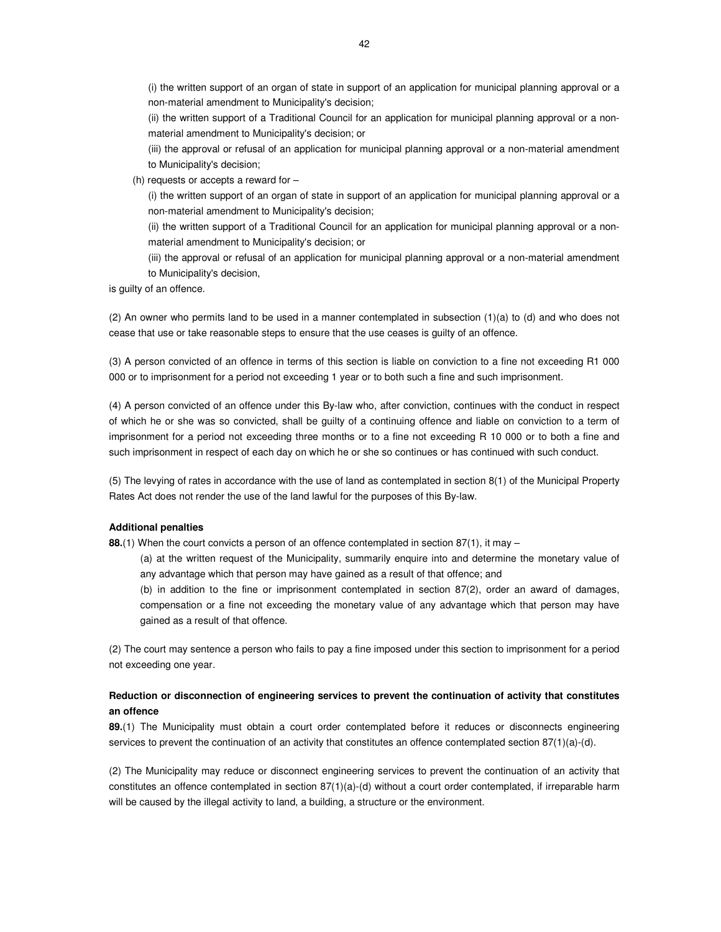(i) the written support of an organ of state in support of an application for municipal planning approval or a non-material amendment to Municipality's decision;

(ii) the written support of a Traditional Council for an application for municipal planning approval or a nonmaterial amendment to Municipality's decision; or

(iii) the approval or refusal of an application for municipal planning approval or a non-material amendment to Municipality's decision;

(h) requests or accepts a reward for –

(i) the written support of an organ of state in support of an application for municipal planning approval or a non-material amendment to Municipality's decision;

(ii) the written support of a Traditional Council for an application for municipal planning approval or a nonmaterial amendment to Municipality's decision; or

(iii) the approval or refusal of an application for municipal planning approval or a non-material amendment to Municipality's decision,

is guilty of an offence.

(2) An owner who permits land to be used in a manner contemplated in subsection (1)(a) to (d) and who does not cease that use or take reasonable steps to ensure that the use ceases is guilty of an offence.

(3) A person convicted of an offence in terms of this section is liable on conviction to a fine not exceeding R1 000 000 or to imprisonment for a period not exceeding 1 year or to both such a fine and such imprisonment.

(4) A person convicted of an offence under this By-law who, after conviction, continues with the conduct in respect of which he or she was so convicted, shall be guilty of a continuing offence and liable on conviction to a term of imprisonment for a period not exceeding three months or to a fine not exceeding R 10 000 or to both a fine and such imprisonment in respect of each day on which he or she so continues or has continued with such conduct.

(5) The levying of rates in accordance with the use of land as contemplated in section 8(1) of the Municipal Property Rates Act does not render the use of the land lawful for the purposes of this By-law.

#### **Additional penalties**

**88.**(1) When the court convicts a person of an offence contemplated in section 87(1), it may –

(a) at the written request of the Municipality, summarily enquire into and determine the monetary value of any advantage which that person may have gained as a result of that offence; and

(b) in addition to the fine or imprisonment contemplated in section 87(2), order an award of damages, compensation or a fine not exceeding the monetary value of any advantage which that person may have gained as a result of that offence.

(2) The court may sentence a person who fails to pay a fine imposed under this section to imprisonment for a period not exceeding one year.

# **Reduction or disconnection of engineering services to prevent the continuation of activity that constitutes an offence**

**89.**(1) The Municipality must obtain a court order contemplated before it reduces or disconnects engineering services to prevent the continuation of an activity that constitutes an offence contemplated section  $87(1)(a)-(d)$ .

(2) The Municipality may reduce or disconnect engineering services to prevent the continuation of an activity that constitutes an offence contemplated in section 87(1)(a)-(d) without a court order contemplated, if irreparable harm will be caused by the illegal activity to land, a building, a structure or the environment.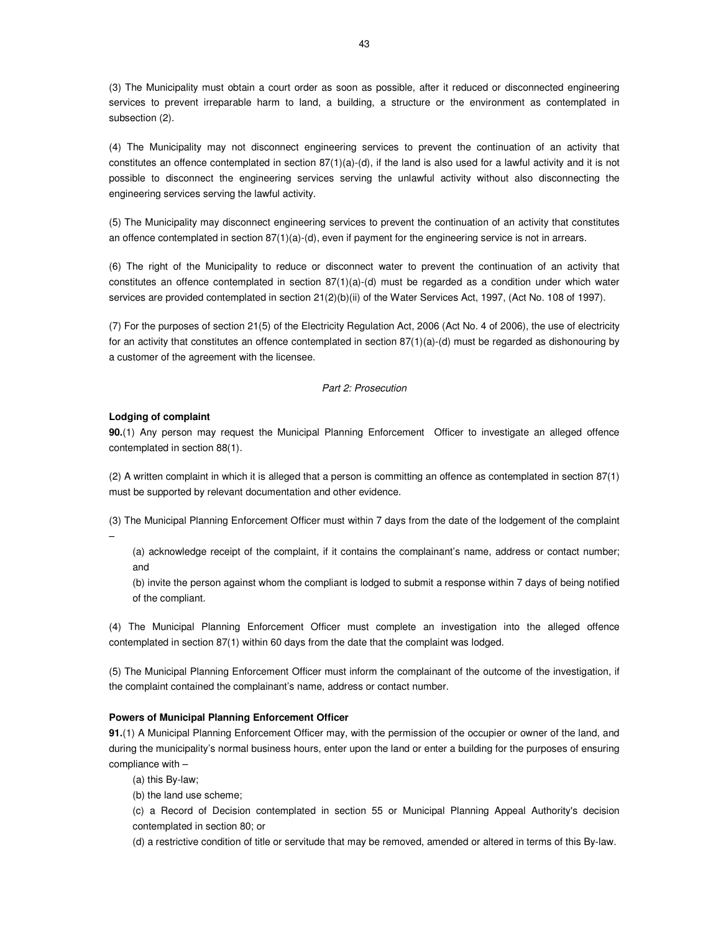(3) The Municipality must obtain a court order as soon as possible, after it reduced or disconnected engineering services to prevent irreparable harm to land, a building, a structure or the environment as contemplated in subsection (2).

(4) The Municipality may not disconnect engineering services to prevent the continuation of an activity that constitutes an offence contemplated in section  $87(1)(a)-(d)$ , if the land is also used for a lawful activity and it is not possible to disconnect the engineering services serving the unlawful activity without also disconnecting the engineering services serving the lawful activity.

(5) The Municipality may disconnect engineering services to prevent the continuation of an activity that constitutes an offence contemplated in section 87(1)(a)-(d), even if payment for the engineering service is not in arrears.

(6) The right of the Municipality to reduce or disconnect water to prevent the continuation of an activity that constitutes an offence contemplated in section 87(1)(a)-(d) must be regarded as a condition under which water services are provided contemplated in section 21(2)(b)(ii) of the Water Services Act, 1997, (Act No. 108 of 1997).

(7) For the purposes of section 21(5) of the Electricity Regulation Act, 2006 (Act No. 4 of 2006), the use of electricity for an activity that constitutes an offence contemplated in section 87(1)(a)-(d) must be regarded as dishonouring by a customer of the agreement with the licensee.

## Part 2: Prosecution

#### **Lodging of complaint**

**90.**(1) Any person may request the Municipal Planning Enforcement Officer to investigate an alleged offence contemplated in section 88(1).

(2) A written complaint in which it is alleged that a person is committing an offence as contemplated in section 87(1) must be supported by relevant documentation and other evidence.

(3) The Municipal Planning Enforcement Officer must within 7 days from the date of the lodgement of the complaint –

(a) acknowledge receipt of the complaint, if it contains the complainant's name, address or contact number; and

(b) invite the person against whom the compliant is lodged to submit a response within 7 days of being notified of the compliant.

(4) The Municipal Planning Enforcement Officer must complete an investigation into the alleged offence contemplated in section 87(1) within 60 days from the date that the complaint was lodged.

(5) The Municipal Planning Enforcement Officer must inform the complainant of the outcome of the investigation, if the complaint contained the complainant's name, address or contact number.

#### **Powers of Municipal Planning Enforcement Officer**

**91.**(1) A Municipal Planning Enforcement Officer may, with the permission of the occupier or owner of the land, and during the municipality's normal business hours, enter upon the land or enter a building for the purposes of ensuring compliance with –

(a) this By-law;

(b) the land use scheme;

(c) a Record of Decision contemplated in section 55 or Municipal Planning Appeal Authority's decision contemplated in section 80; or

(d) a restrictive condition of title or servitude that may be removed, amended or altered in terms of this By-law.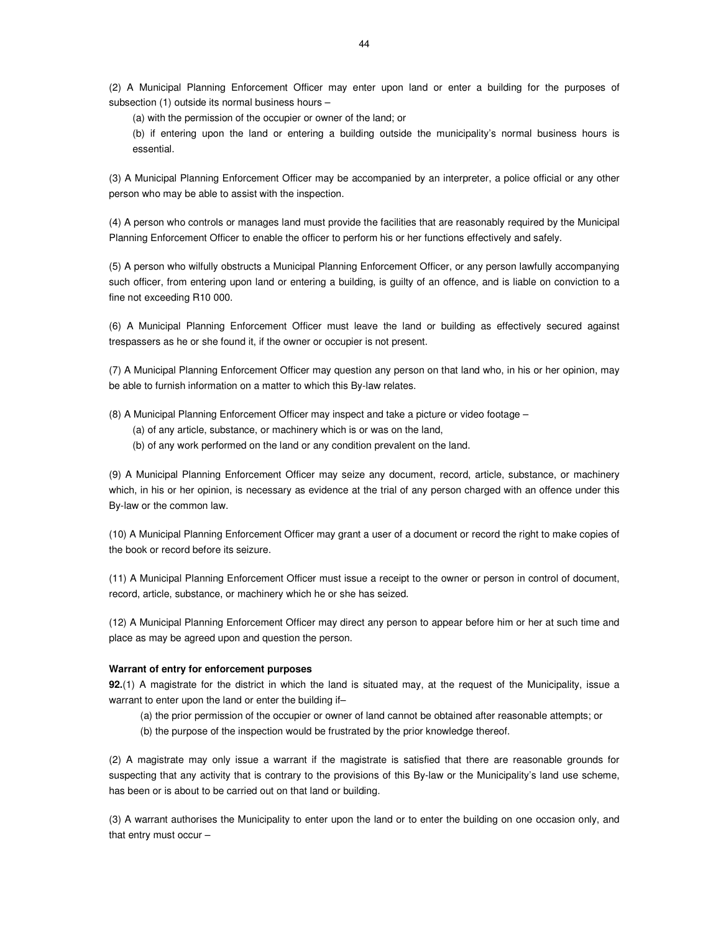(2) A Municipal Planning Enforcement Officer may enter upon land or enter a building for the purposes of subsection (1) outside its normal business hours –

(a) with the permission of the occupier or owner of the land; or

(b) if entering upon the land or entering a building outside the municipality's normal business hours is essential.

(3) A Municipal Planning Enforcement Officer may be accompanied by an interpreter, a police official or any other person who may be able to assist with the inspection.

(4) A person who controls or manages land must provide the facilities that are reasonably required by the Municipal Planning Enforcement Officer to enable the officer to perform his or her functions effectively and safely.

(5) A person who wilfully obstructs a Municipal Planning Enforcement Officer, or any person lawfully accompanying such officer, from entering upon land or entering a building, is guilty of an offence, and is liable on conviction to a fine not exceeding R10 000.

(6) A Municipal Planning Enforcement Officer must leave the land or building as effectively secured against trespassers as he or she found it, if the owner or occupier is not present.

(7) A Municipal Planning Enforcement Officer may question any person on that land who, in his or her opinion, may be able to furnish information on a matter to which this By-law relates.

(8) A Municipal Planning Enforcement Officer may inspect and take a picture or video footage –

- (a) of any article, substance, or machinery which is or was on the land,
- (b) of any work performed on the land or any condition prevalent on the land.

(9) A Municipal Planning Enforcement Officer may seize any document, record, article, substance, or machinery which, in his or her opinion, is necessary as evidence at the trial of any person charged with an offence under this By-law or the common law.

(10) A Municipal Planning Enforcement Officer may grant a user of a document or record the right to make copies of the book or record before its seizure.

(11) A Municipal Planning Enforcement Officer must issue a receipt to the owner or person in control of document, record, article, substance, or machinery which he or she has seized.

(12) A Municipal Planning Enforcement Officer may direct any person to appear before him or her at such time and place as may be agreed upon and question the person.

## **Warrant of entry for enforcement purposes**

**92.**(1) A magistrate for the district in which the land is situated may, at the request of the Municipality, issue a warrant to enter upon the land or enter the building if–

(a) the prior permission of the occupier or owner of land cannot be obtained after reasonable attempts; or

(b) the purpose of the inspection would be frustrated by the prior knowledge thereof.

(2) A magistrate may only issue a warrant if the magistrate is satisfied that there are reasonable grounds for suspecting that any activity that is contrary to the provisions of this By-law or the Municipality's land use scheme, has been or is about to be carried out on that land or building.

(3) A warrant authorises the Municipality to enter upon the land or to enter the building on one occasion only, and that entry must occur –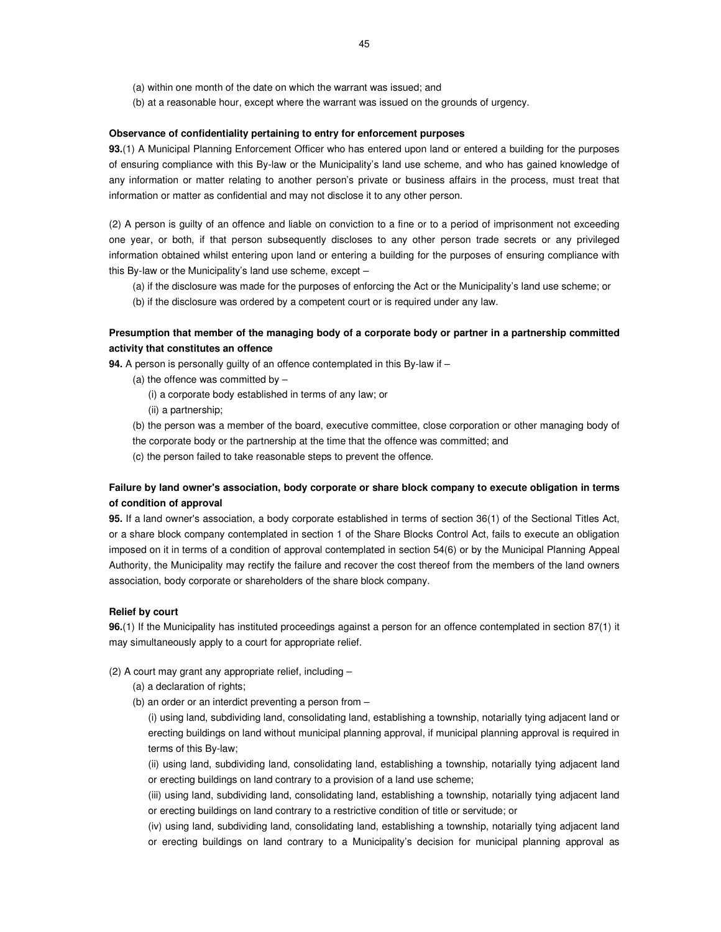(a) within one month of the date on which the warrant was issued; and

(b) at a reasonable hour, except where the warrant was issued on the grounds of urgency.

## **Observance of confidentiality pertaining to entry for enforcement purposes**

**93.**(1) A Municipal Planning Enforcement Officer who has entered upon land or entered a building for the purposes of ensuring compliance with this By-law or the Municipality's land use scheme, and who has gained knowledge of any information or matter relating to another person's private or business affairs in the process, must treat that information or matter as confidential and may not disclose it to any other person.

(2) A person is guilty of an offence and liable on conviction to a fine or to a period of imprisonment not exceeding one year, or both, if that person subsequently discloses to any other person trade secrets or any privileged information obtained whilst entering upon land or entering a building for the purposes of ensuring compliance with this By-law or the Municipality's land use scheme, except –

(a) if the disclosure was made for the purposes of enforcing the Act or the Municipality's land use scheme; or

(b) if the disclosure was ordered by a competent court or is required under any law.

# **Presumption that member of the managing body of a corporate body or partner in a partnership committed activity that constitutes an offence**

**94.** A person is personally guilty of an offence contemplated in this By-law if –

- (a) the offence was committed by  $-$ 
	- (i) a corporate body established in terms of any law; or
	- (ii) a partnership;

(b) the person was a member of the board, executive committee, close corporation or other managing body of

the corporate body or the partnership at the time that the offence was committed; and

(c) the person failed to take reasonable steps to prevent the offence.

# **Failure by land owner's association, body corporate or share block company to execute obligation in terms of condition of approval**

**95.** If a land owner's association, a body corporate established in terms of section 36(1) of the Sectional Titles Act, or a share block company contemplated in section 1 of the Share Blocks Control Act, fails to execute an obligation imposed on it in terms of a condition of approval contemplated in section 54(6) or by the Municipal Planning Appeal Authority, the Municipality may rectify the failure and recover the cost thereof from the members of the land owners association, body corporate or shareholders of the share block company.

#### **Relief by court**

**96.**(1) If the Municipality has instituted proceedings against a person for an offence contemplated in section 87(1) it may simultaneously apply to a court for appropriate relief.

- (2) A court may grant any appropriate relief, including
	- (a) a declaration of rights;
	- (b) an order or an interdict preventing a person from –

(i) using land, subdividing land, consolidating land, establishing a township, notarially tying adjacent land or erecting buildings on land without municipal planning approval, if municipal planning approval is required in terms of this By-law;

(ii) using land, subdividing land, consolidating land, establishing a township, notarially tying adjacent land or erecting buildings on land contrary to a provision of a land use scheme;

(iii) using land, subdividing land, consolidating land, establishing a township, notarially tying adjacent land or erecting buildings on land contrary to a restrictive condition of title or servitude; or

(iv) using land, subdividing land, consolidating land, establishing a township, notarially tying adjacent land or erecting buildings on land contrary to a Municipality's decision for municipal planning approval as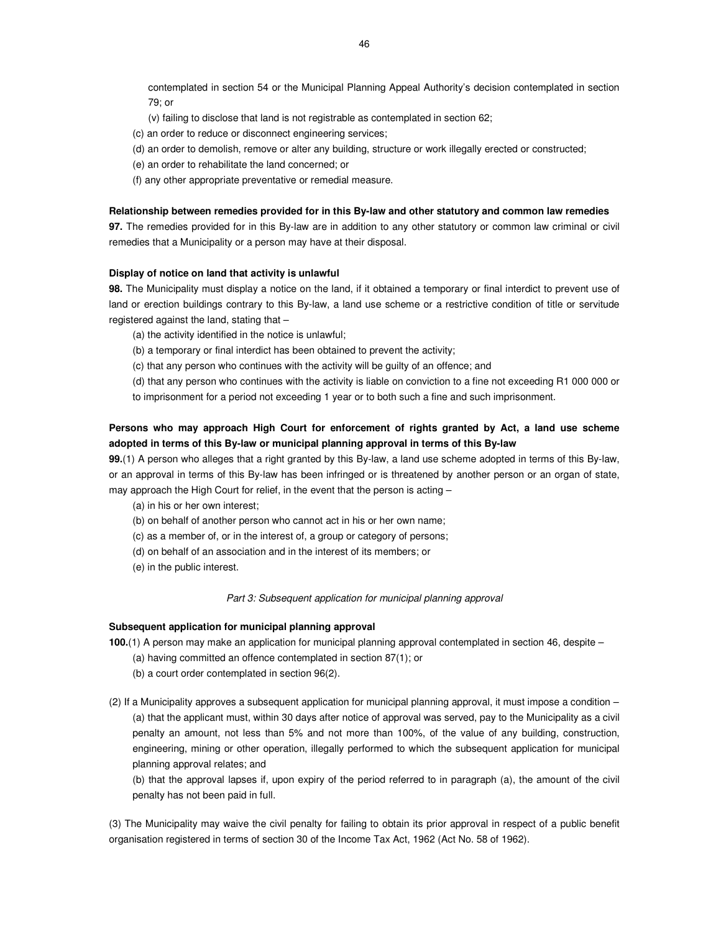contemplated in section 54 or the Municipal Planning Appeal Authority's decision contemplated in section 79; or

- (v) failing to disclose that land is not registrable as contemplated in section 62;
- (c) an order to reduce or disconnect engineering services;
- (d) an order to demolish, remove or alter any building, structure or work illegally erected or constructed;
- (e) an order to rehabilitate the land concerned; or
- (f) any other appropriate preventative or remedial measure.

#### **Relationship between remedies provided for in this By-law and other statutory and common law remedies**

**97.** The remedies provided for in this By-law are in addition to any other statutory or common law criminal or civil remedies that a Municipality or a person may have at their disposal.

#### **Display of notice on land that activity is unlawful**

**98.** The Municipality must display a notice on the land, if it obtained a temporary or final interdict to prevent use of land or erection buildings contrary to this By-law, a land use scheme or a restrictive condition of title or servitude registered against the land, stating that –

- (a) the activity identified in the notice is unlawful;
- (b) a temporary or final interdict has been obtained to prevent the activity;
- (c) that any person who continues with the activity will be guilty of an offence; and

(d) that any person who continues with the activity is liable on conviction to a fine not exceeding R1 000 000 or to imprisonment for a period not exceeding 1 year or to both such a fine and such imprisonment.

# **Persons who may approach High Court for enforcement of rights granted by Act, a land use scheme adopted in terms of this By-law or municipal planning approval in terms of this By-law**

**99.**(1) A person who alleges that a right granted by this By-law, a land use scheme adopted in terms of this By-law, or an approval in terms of this By-law has been infringed or is threatened by another person or an organ of state, may approach the High Court for relief, in the event that the person is acting –

- (a) in his or her own interest;
- (b) on behalf of another person who cannot act in his or her own name;
- (c) as a member of, or in the interest of, a group or category of persons;
- (d) on behalf of an association and in the interest of its members; or
- (e) in the public interest.

#### Part 3: Subsequent application for municipal planning approval

#### **Subsequent application for municipal planning approval**

**100.**(1) A person may make an application for municipal planning approval contemplated in section 46, despite –

- (a) having committed an offence contemplated in section 87(1); or
- (b) a court order contemplated in section 96(2).
- (2) If a Municipality approves a subsequent application for municipal planning approval, it must impose a condition (a) that the applicant must, within 30 days after notice of approval was served, pay to the Municipality as a civil penalty an amount, not less than 5% and not more than 100%, of the value of any building, construction, engineering, mining or other operation, illegally performed to which the subsequent application for municipal planning approval relates; and

(b) that the approval lapses if, upon expiry of the period referred to in paragraph (a), the amount of the civil penalty has not been paid in full.

(3) The Municipality may waive the civil penalty for failing to obtain its prior approval in respect of a public benefit organisation registered in terms of section 30 of the Income Tax Act, 1962 (Act No. 58 of 1962).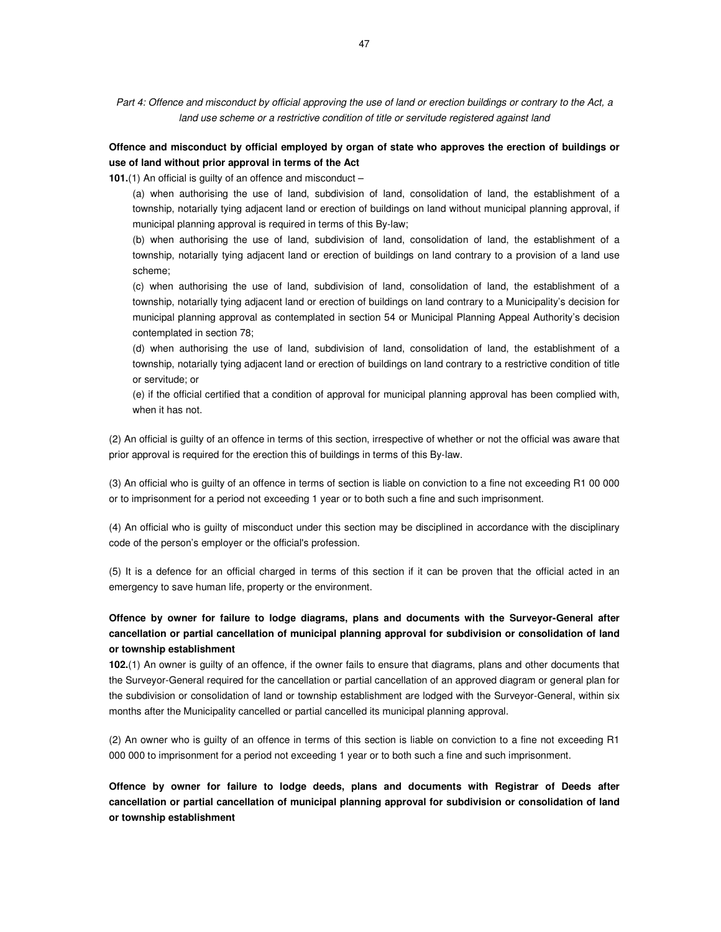Part 4: Offence and misconduct by official approving the use of land or erection buildings or contrary to the Act, a land use scheme or a restrictive condition of title or servitude registered against land

# **Offence and misconduct by official employed by organ of state who approves the erection of buildings or use of land without prior approval in terms of the Act**

**101.**(1) An official is guilty of an offence and misconduct –

(a) when authorising the use of land, subdivision of land, consolidation of land, the establishment of a township, notarially tying adjacent land or erection of buildings on land without municipal planning approval, if municipal planning approval is required in terms of this By-law;

(b) when authorising the use of land, subdivision of land, consolidation of land, the establishment of a township, notarially tying adjacent land or erection of buildings on land contrary to a provision of a land use scheme;

(c) when authorising the use of land, subdivision of land, consolidation of land, the establishment of a township, notarially tying adjacent land or erection of buildings on land contrary to a Municipality's decision for municipal planning approval as contemplated in section 54 or Municipal Planning Appeal Authority's decision contemplated in section 78;

(d) when authorising the use of land, subdivision of land, consolidation of land, the establishment of a township, notarially tying adjacent land or erection of buildings on land contrary to a restrictive condition of title or servitude; or

(e) if the official certified that a condition of approval for municipal planning approval has been complied with, when it has not.

(2) An official is guilty of an offence in terms of this section, irrespective of whether or not the official was aware that prior approval is required for the erection this of buildings in terms of this By-law.

(3) An official who is guilty of an offence in terms of section is liable on conviction to a fine not exceeding R1 00 000 or to imprisonment for a period not exceeding 1 year or to both such a fine and such imprisonment.

(4) An official who is guilty of misconduct under this section may be disciplined in accordance with the disciplinary code of the person's employer or the official's profession.

(5) It is a defence for an official charged in terms of this section if it can be proven that the official acted in an emergency to save human life, property or the environment.

# **Offence by owner for failure to lodge diagrams, plans and documents with the Surveyor-General after cancellation or partial cancellation of municipal planning approval for subdivision or consolidation of land or township establishment**

**102.**(1) An owner is guilty of an offence, if the owner fails to ensure that diagrams, plans and other documents that the Surveyor-General required for the cancellation or partial cancellation of an approved diagram or general plan for the subdivision or consolidation of land or township establishment are lodged with the Surveyor-General, within six months after the Municipality cancelled or partial cancelled its municipal planning approval.

(2) An owner who is guilty of an offence in terms of this section is liable on conviction to a fine not exceeding R1 000 000 to imprisonment for a period not exceeding 1 year or to both such a fine and such imprisonment.

**Offence by owner for failure to lodge deeds, plans and documents with Registrar of Deeds after cancellation or partial cancellation of municipal planning approval for subdivision or consolidation of land or township establishment**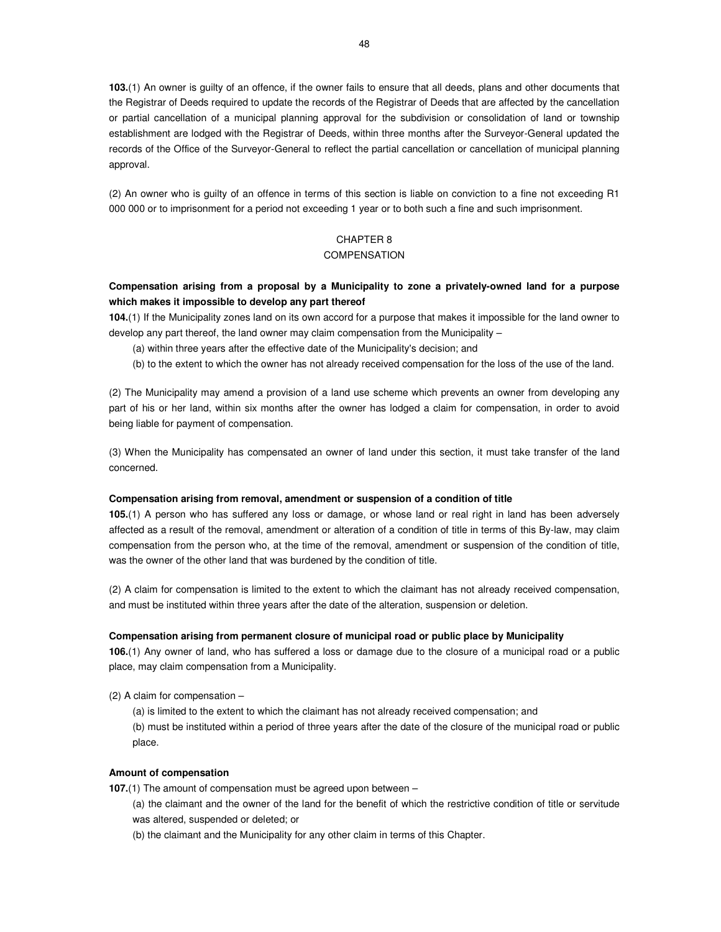**103.**(1) An owner is guilty of an offence, if the owner fails to ensure that all deeds, plans and other documents that the Registrar of Deeds required to update the records of the Registrar of Deeds that are affected by the cancellation or partial cancellation of a municipal planning approval for the subdivision or consolidation of land or township establishment are lodged with the Registrar of Deeds, within three months after the Surveyor-General updated the records of the Office of the Surveyor-General to reflect the partial cancellation or cancellation of municipal planning approval.

(2) An owner who is guilty of an offence in terms of this section is liable on conviction to a fine not exceeding R1 000 000 or to imprisonment for a period not exceeding 1 year or to both such a fine and such imprisonment.

# CHAPTER 8 **COMPENSATION**

# **Compensation arising from a proposal by a Municipality to zone a privately-owned land for a purpose which makes it impossible to develop any part thereof**

**104.**(1) If the Municipality zones land on its own accord for a purpose that makes it impossible for the land owner to develop any part thereof, the land owner may claim compensation from the Municipality –

- (a) within three years after the effective date of the Municipality's decision; and
- (b) to the extent to which the owner has not already received compensation for the loss of the use of the land.

(2) The Municipality may amend a provision of a land use scheme which prevents an owner from developing any part of his or her land, within six months after the owner has lodged a claim for compensation, in order to avoid being liable for payment of compensation.

(3) When the Municipality has compensated an owner of land under this section, it must take transfer of the land concerned.

#### **Compensation arising from removal, amendment or suspension of a condition of title**

**105.**(1) A person who has suffered any loss or damage, or whose land or real right in land has been adversely affected as a result of the removal, amendment or alteration of a condition of title in terms of this By-law, may claim compensation from the person who, at the time of the removal, amendment or suspension of the condition of title, was the owner of the other land that was burdened by the condition of title.

(2) A claim for compensation is limited to the extent to which the claimant has not already received compensation, and must be instituted within three years after the date of the alteration, suspension or deletion.

#### **Compensation arising from permanent closure of municipal road or public place by Municipality**

**106.**(1) Any owner of land, who has suffered a loss or damage due to the closure of a municipal road or a public place, may claim compensation from a Municipality.

(2) A claim for compensation –

(a) is limited to the extent to which the claimant has not already received compensation; and (b) must be instituted within a period of three years after the date of the closure of the municipal road or public place.

#### **Amount of compensation**

**107.**(1) The amount of compensation must be agreed upon between –

(a) the claimant and the owner of the land for the benefit of which the restrictive condition of title or servitude was altered, suspended or deleted; or

(b) the claimant and the Municipality for any other claim in terms of this Chapter.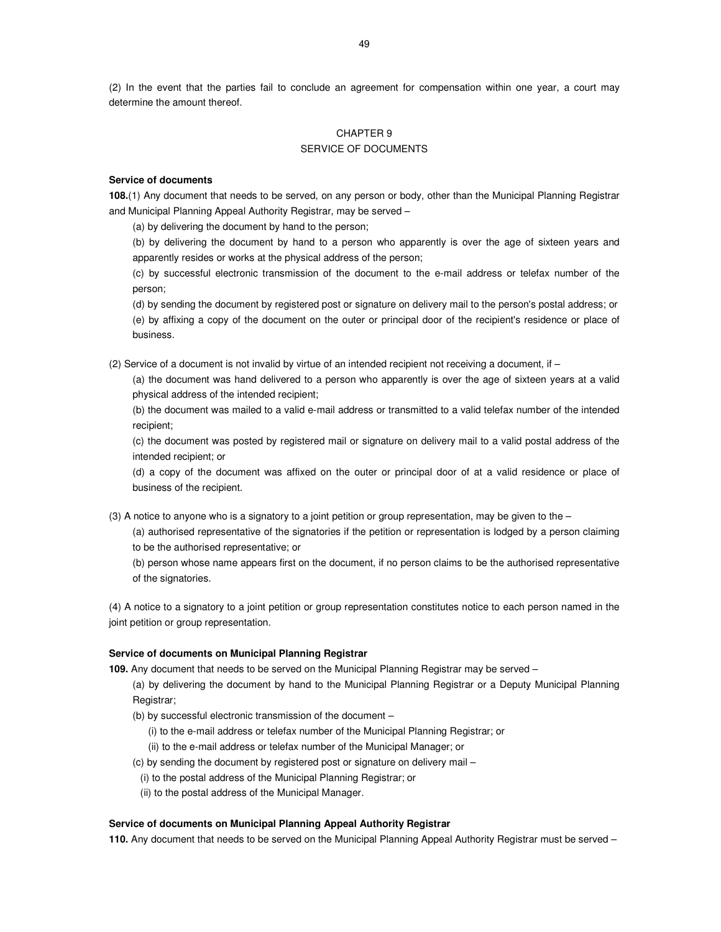(2) In the event that the parties fail to conclude an agreement for compensation within one year, a court may determine the amount thereof.

# CHAPTER 9 SERVICE OF DOCUMENTS

#### **Service of documents**

**108.**(1) Any document that needs to be served, on any person or body, other than the Municipal Planning Registrar and Municipal Planning Appeal Authority Registrar, may be served –

(a) by delivering the document by hand to the person;

(b) by delivering the document by hand to a person who apparently is over the age of sixteen years and apparently resides or works at the physical address of the person;

(c) by successful electronic transmission of the document to the e-mail address or telefax number of the person;

(d) by sending the document by registered post or signature on delivery mail to the person's postal address; or (e) by affixing a copy of the document on the outer or principal door of the recipient's residence or place of business.

(2) Service of a document is not invalid by virtue of an intended recipient not receiving a document, if –

(a) the document was hand delivered to a person who apparently is over the age of sixteen years at a valid physical address of the intended recipient;

(b) the document was mailed to a valid e-mail address or transmitted to a valid telefax number of the intended recipient;

(c) the document was posted by registered mail or signature on delivery mail to a valid postal address of the intended recipient; or

(d) a copy of the document was affixed on the outer or principal door of at a valid residence or place of business of the recipient.

(3) A notice to anyone who is a signatory to a joint petition or group representation, may be given to the –

(a) authorised representative of the signatories if the petition or representation is lodged by a person claiming to be the authorised representative; or

(b) person whose name appears first on the document, if no person claims to be the authorised representative of the signatories.

(4) A notice to a signatory to a joint petition or group representation constitutes notice to each person named in the joint petition or group representation.

## **Service of documents on Municipal Planning Registrar**

**109.** Any document that needs to be served on the Municipal Planning Registrar may be served –

(a) by delivering the document by hand to the Municipal Planning Registrar or a Deputy Municipal Planning Registrar;

(b) by successful electronic transmission of the document –

- (i) to the e-mail address or telefax number of the Municipal Planning Registrar; or
- (ii) to the e-mail address or telefax number of the Municipal Manager; or
- (c) by sending the document by registered post or signature on delivery mail
	- (i) to the postal address of the Municipal Planning Registrar; or
	- (ii) to the postal address of the Municipal Manager.

## **Service of documents on Municipal Planning Appeal Authority Registrar**

**110.** Any document that needs to be served on the Municipal Planning Appeal Authority Registrar must be served –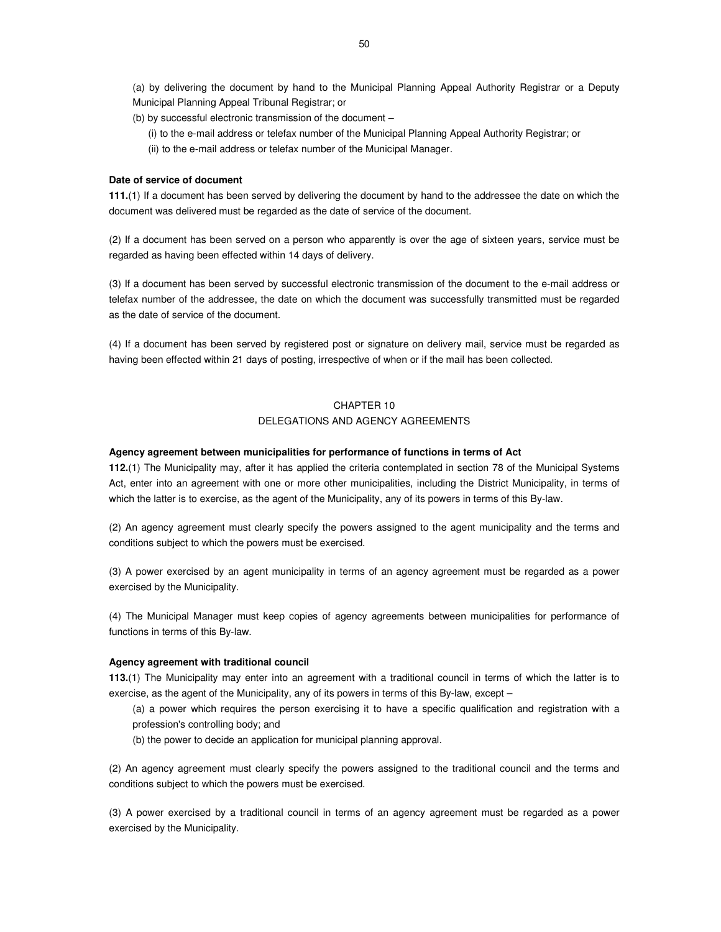(a) by delivering the document by hand to the Municipal Planning Appeal Authority Registrar or a Deputy Municipal Planning Appeal Tribunal Registrar; or

- (b) by successful electronic transmission of the document
	- (i) to the e-mail address or telefax number of the Municipal Planning Appeal Authority Registrar; or
	- (ii) to the e-mail address or telefax number of the Municipal Manager.

## **Date of service of document**

**111.**(1) If a document has been served by delivering the document by hand to the addressee the date on which the document was delivered must be regarded as the date of service of the document.

(2) If a document has been served on a person who apparently is over the age of sixteen years, service must be regarded as having been effected within 14 days of delivery.

(3) If a document has been served by successful electronic transmission of the document to the e-mail address or telefax number of the addressee, the date on which the document was successfully transmitted must be regarded as the date of service of the document.

(4) If a document has been served by registered post or signature on delivery mail, service must be regarded as having been effected within 21 days of posting, irrespective of when or if the mail has been collected.

# CHAPTER 10 DELEGATIONS AND AGENCY AGREEMENTS

#### **Agency agreement between municipalities for performance of functions in terms of Act**

**112.**(1) The Municipality may, after it has applied the criteria contemplated in section 78 of the Municipal Systems Act, enter into an agreement with one or more other municipalities, including the District Municipality, in terms of which the latter is to exercise, as the agent of the Municipality, any of its powers in terms of this By-law.

(2) An agency agreement must clearly specify the powers assigned to the agent municipality and the terms and conditions subject to which the powers must be exercised.

(3) A power exercised by an agent municipality in terms of an agency agreement must be regarded as a power exercised by the Municipality.

(4) The Municipal Manager must keep copies of agency agreements between municipalities for performance of functions in terms of this By-law.

#### **Agency agreement with traditional council**

**113.**(1) The Municipality may enter into an agreement with a traditional council in terms of which the latter is to exercise, as the agent of the Municipality, any of its powers in terms of this By-law, except –

(a) a power which requires the person exercising it to have a specific qualification and registration with a profession's controlling body; and

(b) the power to decide an application for municipal planning approval.

(2) An agency agreement must clearly specify the powers assigned to the traditional council and the terms and conditions subject to which the powers must be exercised.

(3) A power exercised by a traditional council in terms of an agency agreement must be regarded as a power exercised by the Municipality.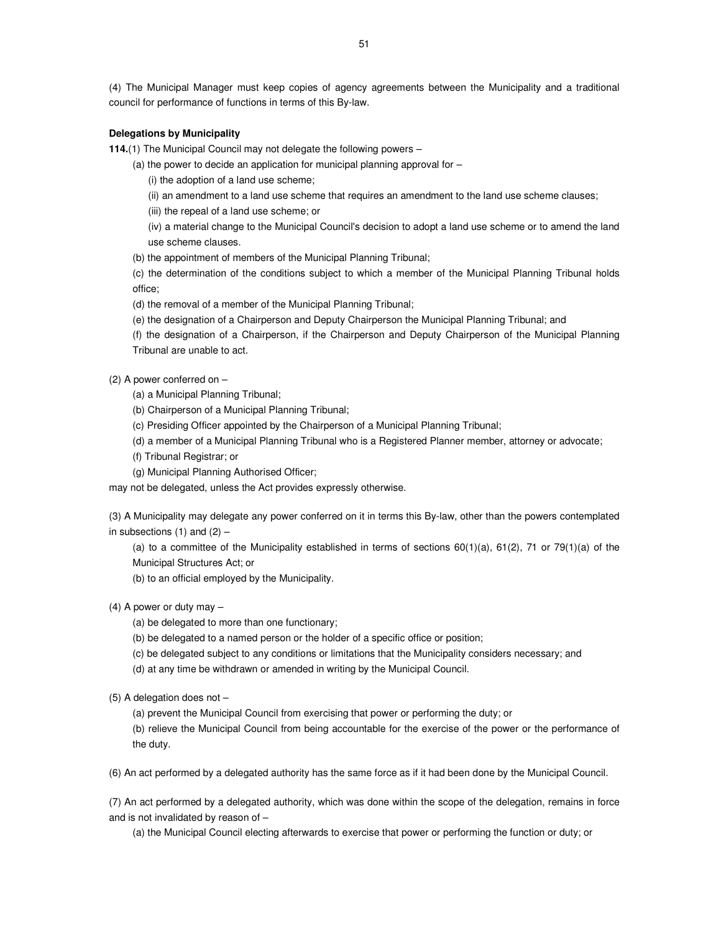(4) The Municipal Manager must keep copies of agency agreements between the Municipality and a traditional council for performance of functions in terms of this By-law.

# **Delegations by Municipality**

**114.**(1) The Municipal Council may not delegate the following powers –

- (a) the power to decide an application for municipal planning approval for
	- (i) the adoption of a land use scheme;
	- (ii) an amendment to a land use scheme that requires an amendment to the land use scheme clauses;
	- (iii) the repeal of a land use scheme; or
	- (iv) a material change to the Municipal Council's decision to adopt a land use scheme or to amend the land use scheme clauses.
- (b) the appointment of members of the Municipal Planning Tribunal;

(c) the determination of the conditions subject to which a member of the Municipal Planning Tribunal holds office;

(d) the removal of a member of the Municipal Planning Tribunal;

(e) the designation of a Chairperson and Deputy Chairperson the Municipal Planning Tribunal; and

(f) the designation of a Chairperson, if the Chairperson and Deputy Chairperson of the Municipal Planning Tribunal are unable to act.

#### (2) A power conferred on –

(a) a Municipal Planning Tribunal;

- (b) Chairperson of a Municipal Planning Tribunal;
- (c) Presiding Officer appointed by the Chairperson of a Municipal Planning Tribunal;
- (d) a member of a Municipal Planning Tribunal who is a Registered Planner member, attorney or advocate;
- (f) Tribunal Registrar; or
- (g) Municipal Planning Authorised Officer;

may not be delegated, unless the Act provides expressly otherwise.

(3) A Municipality may delegate any power conferred on it in terms this By-law, other than the powers contemplated in subsections  $(1)$  and  $(2)$  –

(a) to a committee of the Municipality established in terms of sections  $60(1)(a)$ ,  $61(2)$ ,  $71$  or  $79(1)(a)$  of the Municipal Structures Act; or

(b) to an official employed by the Municipality.

# (4) A power or duty may –

- (a) be delegated to more than one functionary;
- (b) be delegated to a named person or the holder of a specific office or position;
- (c) be delegated subject to any conditions or limitations that the Municipality considers necessary; and
- (d) at any time be withdrawn or amended in writing by the Municipal Council.
- (5) A delegation does not –

(a) prevent the Municipal Council from exercising that power or performing the duty; or

(b) relieve the Municipal Council from being accountable for the exercise of the power or the performance of the duty.

(6) An act performed by a delegated authority has the same force as if it had been done by the Municipal Council.

(7) An act performed by a delegated authority, which was done within the scope of the delegation, remains in force and is not invalidated by reason of –

(a) the Municipal Council electing afterwards to exercise that power or performing the function or duty; or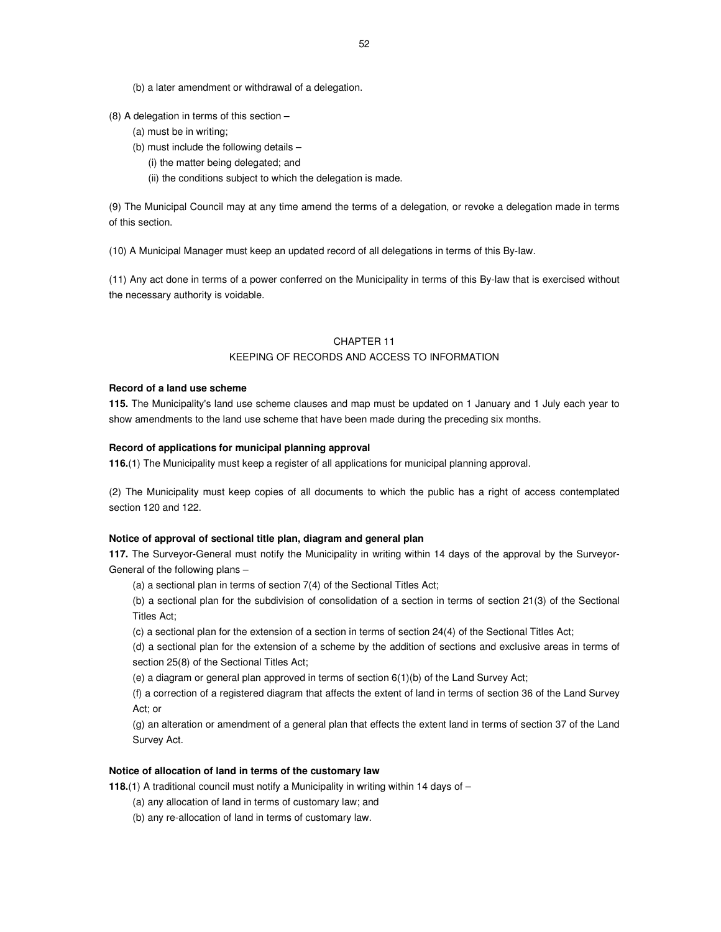- (b) a later amendment or withdrawal of a delegation.
- (8) A delegation in terms of this section
	- (a) must be in writing;
	- (b) must include the following details
		- (i) the matter being delegated; and
		- (ii) the conditions subject to which the delegation is made.

(9) The Municipal Council may at any time amend the terms of a delegation, or revoke a delegation made in terms of this section.

(10) A Municipal Manager must keep an updated record of all delegations in terms of this By-law.

(11) Any act done in terms of a power conferred on the Municipality in terms of this By-law that is exercised without the necessary authority is voidable.

# CHAPTER 11

## KEEPING OF RECORDS AND ACCESS TO INFORMATION

## **Record of a land use scheme**

**115.** The Municipality's land use scheme clauses and map must be updated on 1 January and 1 July each year to show amendments to the land use scheme that have been made during the preceding six months.

## **Record of applications for municipal planning approval**

**116.**(1) The Municipality must keep a register of all applications for municipal planning approval.

(2) The Municipality must keep copies of all documents to which the public has a right of access contemplated section 120 and 122.

## **Notice of approval of sectional title plan, diagram and general plan**

**117.** The Surveyor-General must notify the Municipality in writing within 14 days of the approval by the Surveyor-General of the following plans –

(a) a sectional plan in terms of section 7(4) of the Sectional Titles Act;

(b) a sectional plan for the subdivision of consolidation of a section in terms of section 21(3) of the Sectional Titles Act;

(c) a sectional plan for the extension of a section in terms of section 24(4) of the Sectional Titles Act;

(d) a sectional plan for the extension of a scheme by the addition of sections and exclusive areas in terms of section 25(8) of the Sectional Titles Act;

(e) a diagram or general plan approved in terms of section 6(1)(b) of the Land Survey Act;

(f) a correction of a registered diagram that affects the extent of land in terms of section 36 of the Land Survey Act; or

(g) an alteration or amendment of a general plan that effects the extent land in terms of section 37 of the Land Survey Act.

## **Notice of allocation of land in terms of the customary law**

**118.**(1) A traditional council must notify a Municipality in writing within 14 days of –

- (a) any allocation of land in terms of customary law; and
- (b) any re-allocation of land in terms of customary law.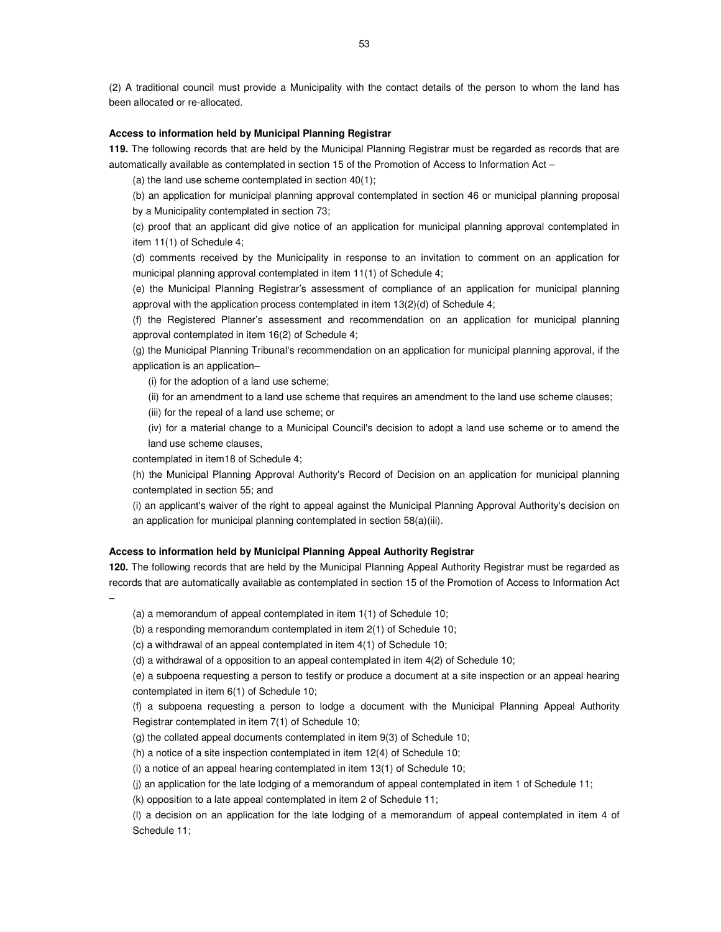(2) A traditional council must provide a Municipality with the contact details of the person to whom the land has been allocated or re-allocated.

## **Access to information held by Municipal Planning Registrar**

**119.** The following records that are held by the Municipal Planning Registrar must be regarded as records that are automatically available as contemplated in section 15 of the Promotion of Access to Information Act –

(a) the land use scheme contemplated in section 40(1);

(b) an application for municipal planning approval contemplated in section 46 or municipal planning proposal by a Municipality contemplated in section 73;

(c) proof that an applicant did give notice of an application for municipal planning approval contemplated in item 11(1) of Schedule 4;

(d) comments received by the Municipality in response to an invitation to comment on an application for municipal planning approval contemplated in item 11(1) of Schedule 4;

(e) the Municipal Planning Registrar's assessment of compliance of an application for municipal planning approval with the application process contemplated in item 13(2)(d) of Schedule 4;

(f) the Registered Planner's assessment and recommendation on an application for municipal planning approval contemplated in item 16(2) of Schedule 4;

(g) the Municipal Planning Tribunal's recommendation on an application for municipal planning approval, if the application is an application–

(i) for the adoption of a land use scheme;

(ii) for an amendment to a land use scheme that requires an amendment to the land use scheme clauses;

(iii) for the repeal of a land use scheme; or

(iv) for a material change to a Municipal Council's decision to adopt a land use scheme or to amend the land use scheme clauses,

contemplated in item18 of Schedule 4;

(h) the Municipal Planning Approval Authority's Record of Decision on an application for municipal planning contemplated in section 55; and

(i) an applicant's waiver of the right to appeal against the Municipal Planning Approval Authority's decision on an application for municipal planning contemplated in section 58(a)(iii).

#### **Access to information held by Municipal Planning Appeal Authority Registrar**

**120.** The following records that are held by the Municipal Planning Appeal Authority Registrar must be regarded as records that are automatically available as contemplated in section 15 of the Promotion of Access to Information Act

–

(a) a memorandum of appeal contemplated in item 1(1) of Schedule 10;

(b) a responding memorandum contemplated in item 2(1) of Schedule 10;

(c) a withdrawal of an appeal contemplated in item 4(1) of Schedule 10;

(d) a withdrawal of a opposition to an appeal contemplated in item 4(2) of Schedule 10;

(e) a subpoena requesting a person to testify or produce a document at a site inspection or an appeal hearing contemplated in item 6(1) of Schedule 10;

(f) a subpoena requesting a person to lodge a document with the Municipal Planning Appeal Authority Registrar contemplated in item 7(1) of Schedule 10;

(g) the collated appeal documents contemplated in item 9(3) of Schedule 10;

(h) a notice of a site inspection contemplated in item 12(4) of Schedule 10;

(i) a notice of an appeal hearing contemplated in item 13(1) of Schedule 10;

(j) an application for the late lodging of a memorandum of appeal contemplated in item 1 of Schedule 11;

(k) opposition to a late appeal contemplated in item 2 of Schedule 11;

(l) a decision on an application for the late lodging of a memorandum of appeal contemplated in item 4 of Schedule 11;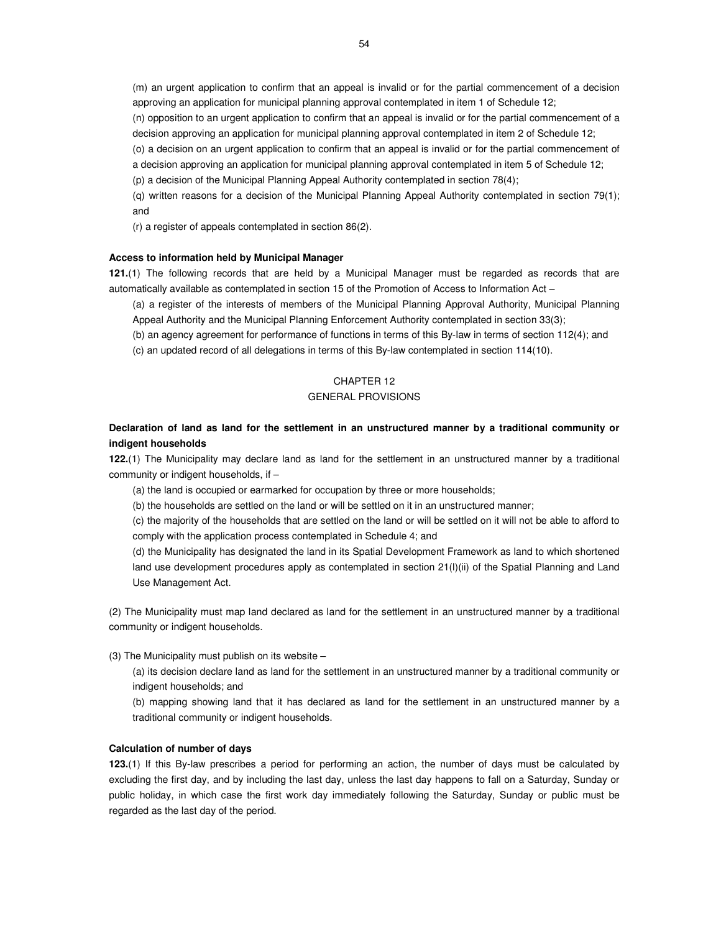(m) an urgent application to confirm that an appeal is invalid or for the partial commencement of a decision approving an application for municipal planning approval contemplated in item 1 of Schedule 12;

(n) opposition to an urgent application to confirm that an appeal is invalid or for the partial commencement of a decision approving an application for municipal planning approval contemplated in item 2 of Schedule 12;

(o) a decision on an urgent application to confirm that an appeal is invalid or for the partial commencement of a decision approving an application for municipal planning approval contemplated in item 5 of Schedule 12;

(p) a decision of the Municipal Planning Appeal Authority contemplated in section 78(4);

(q) written reasons for a decision of the Municipal Planning Appeal Authority contemplated in section 79(1); and

(r) a register of appeals contemplated in section 86(2).

## **Access to information held by Municipal Manager**

**121.**(1) The following records that are held by a Municipal Manager must be regarded as records that are automatically available as contemplated in section 15 of the Promotion of Access to Information Act –

(a) a register of the interests of members of the Municipal Planning Approval Authority, Municipal Planning Appeal Authority and the Municipal Planning Enforcement Authority contemplated in section 33(3);

(b) an agency agreement for performance of functions in terms of this By-law in terms of section 112(4); and

(c) an updated record of all delegations in terms of this By-law contemplated in section 114(10).

# CHAPTER 12

## GENERAL PROVISIONS

# **Declaration of land as land for the settlement in an unstructured manner by a traditional community or indigent households**

**122.**(1) The Municipality may declare land as land for the settlement in an unstructured manner by a traditional community or indigent households, if –

(a) the land is occupied or earmarked for occupation by three or more households;

(b) the households are settled on the land or will be settled on it in an unstructured manner;

(c) the majority of the households that are settled on the land or will be settled on it will not be able to afford to comply with the application process contemplated in Schedule 4; and

(d) the Municipality has designated the land in its Spatial Development Framework as land to which shortened land use development procedures apply as contemplated in section 21(l)(ii) of the Spatial Planning and Land Use Management Act.

(2) The Municipality must map land declared as land for the settlement in an unstructured manner by a traditional community or indigent households.

(3) The Municipality must publish on its website –

(a) its decision declare land as land for the settlement in an unstructured manner by a traditional community or indigent households; and

(b) mapping showing land that it has declared as land for the settlement in an unstructured manner by a traditional community or indigent households.

#### **Calculation of number of days**

**123.**(1) If this By-law prescribes a period for performing an action, the number of days must be calculated by excluding the first day, and by including the last day, unless the last day happens to fall on a Saturday, Sunday or public holiday, in which case the first work day immediately following the Saturday, Sunday or public must be regarded as the last day of the period.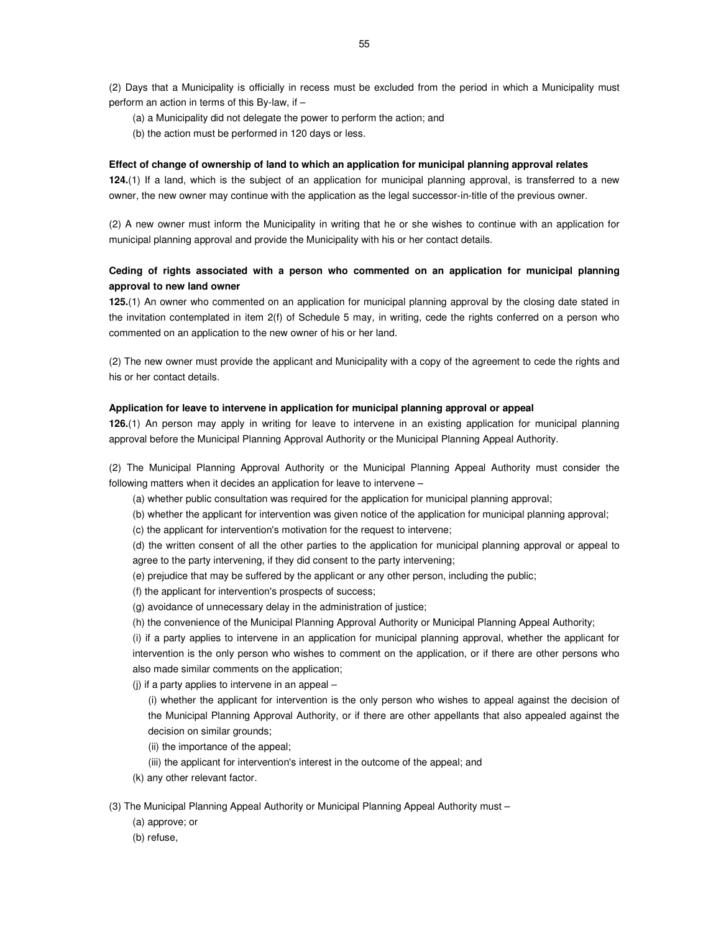(2) Days that a Municipality is officially in recess must be excluded from the period in which a Municipality must perform an action in terms of this By-law, if –

- (a) a Municipality did not delegate the power to perform the action; and
- (b) the action must be performed in 120 days or less.

#### **Effect of change of ownership of land to which an application for municipal planning approval relates**

**124.**(1) If a land, which is the subject of an application for municipal planning approval, is transferred to a new owner, the new owner may continue with the application as the legal successor-in-title of the previous owner.

(2) A new owner must inform the Municipality in writing that he or she wishes to continue with an application for municipal planning approval and provide the Municipality with his or her contact details.

# **Ceding of rights associated with a person who commented on an application for municipal planning approval to new land owner**

**125.**(1) An owner who commented on an application for municipal planning approval by the closing date stated in the invitation contemplated in item 2(f) of Schedule 5 may, in writing, cede the rights conferred on a person who commented on an application to the new owner of his or her land.

(2) The new owner must provide the applicant and Municipality with a copy of the agreement to cede the rights and his or her contact details.

## **Application for leave to intervene in application for municipal planning approval or appeal**

**126.**(1) An person may apply in writing for leave to intervene in an existing application for municipal planning approval before the Municipal Planning Approval Authority or the Municipal Planning Appeal Authority.

(2) The Municipal Planning Approval Authority or the Municipal Planning Appeal Authority must consider the following matters when it decides an application for leave to intervene –

(a) whether public consultation was required for the application for municipal planning approval;

(b) whether the applicant for intervention was given notice of the application for municipal planning approval;

(c) the applicant for intervention's motivation for the request to intervene;

(d) the written consent of all the other parties to the application for municipal planning approval or appeal to agree to the party intervening, if they did consent to the party intervening;

(e) prejudice that may be suffered by the applicant or any other person, including the public;

(f) the applicant for intervention's prospects of success;

(g) avoidance of unnecessary delay in the administration of justice;

(h) the convenience of the Municipal Planning Approval Authority or Municipal Planning Appeal Authority;

(i) if a party applies to intervene in an application for municipal planning approval, whether the applicant for intervention is the only person who wishes to comment on the application, or if there are other persons who also made similar comments on the application;

(j) if a party applies to intervene in an appeal –

(i) whether the applicant for intervention is the only person who wishes to appeal against the decision of the Municipal Planning Approval Authority, or if there are other appellants that also appealed against the decision on similar grounds;

- (ii) the importance of the appeal;
- (iii) the applicant for intervention's interest in the outcome of the appeal; and
- (k) any other relevant factor.

(3) The Municipal Planning Appeal Authority or Municipal Planning Appeal Authority must –

(a) approve; or

(b) refuse,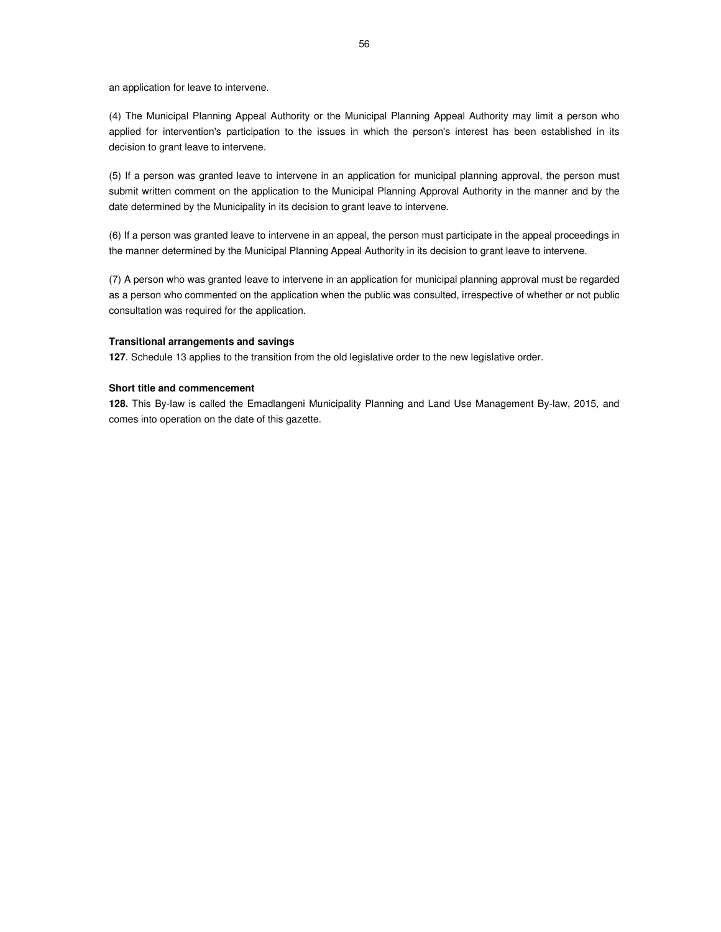an application for leave to intervene.

(4) The Municipal Planning Appeal Authority or the Municipal Planning Appeal Authority may limit a person who applied for intervention's participation to the issues in which the person's interest has been established in its decision to grant leave to intervene.

(5) If a person was granted leave to intervene in an application for municipal planning approval, the person must submit written comment on the application to the Municipal Planning Approval Authority in the manner and by the date determined by the Municipality in its decision to grant leave to intervene.

(6) If a person was granted leave to intervene in an appeal, the person must participate in the appeal proceedings in the manner determined by the Municipal Planning Appeal Authority in its decision to grant leave to intervene.

(7) A person who was granted leave to intervene in an application for municipal planning approval must be regarded as a person who commented on the application when the public was consulted, irrespective of whether or not public consultation was required for the application.

## **Transitional arrangements and savings**

**127**. Schedule 13 applies to the transition from the old legislative order to the new legislative order.

#### **Short title and commencement**

**128.** This By-law is called the Emadlangeni Municipality Planning and Land Use Management By-law, 2015, and comes into operation on the date of this gazette.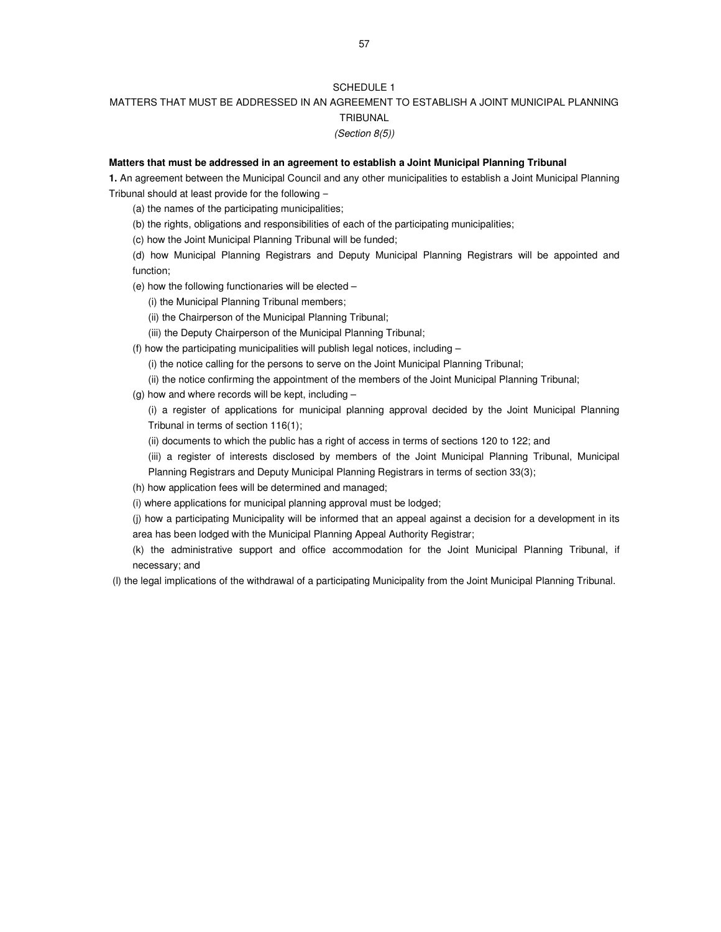# SCHEDULE 1

# MATTERS THAT MUST BE ADDRESSED IN AN AGREEMENT TO ESTABLISH A JOINT MUNICIPAL PLANNING TRIBUNAL

# (Section 8(5))

# **Matters that must be addressed in an agreement to establish a Joint Municipal Planning Tribunal**

**1.** An agreement between the Municipal Council and any other municipalities to establish a Joint Municipal Planning Tribunal should at least provide for the following −

- (a) the names of the participating municipalities;
- (b) the rights, obligations and responsibilities of each of the participating municipalities;
- (c) how the Joint Municipal Planning Tribunal will be funded;
- (d) how Municipal Planning Registrars and Deputy Municipal Planning Registrars will be appointed and function;
- (e) how the following functionaries will be elected
	- (i) the Municipal Planning Tribunal members;
	- (ii) the Chairperson of the Municipal Planning Tribunal;
	- (iii) the Deputy Chairperson of the Municipal Planning Tribunal;
- (f) how the participating municipalities will publish legal notices, including
	- (i) the notice calling for the persons to serve on the Joint Municipal Planning Tribunal;
	- (ii) the notice confirming the appointment of the members of the Joint Municipal Planning Tribunal;
- (g) how and where records will be kept, including  $-$

(i) a register of applications for municipal planning approval decided by the Joint Municipal Planning Tribunal in terms of section 116(1);

- (ii) documents to which the public has a right of access in terms of sections 120 to 122; and
- (iii) a register of interests disclosed by members of the Joint Municipal Planning Tribunal, Municipal Planning Registrars and Deputy Municipal Planning Registrars in terms of section 33(3);
- (h) how application fees will be determined and managed;
- (i) where applications for municipal planning approval must be lodged;
- (j) how a participating Municipality will be informed that an appeal against a decision for a development in its area has been lodged with the Municipal Planning Appeal Authority Registrar;
- (k) the administrative support and office accommodation for the Joint Municipal Planning Tribunal, if necessary; and

(l) the legal implications of the withdrawal of a participating Municipality from the Joint Municipal Planning Tribunal.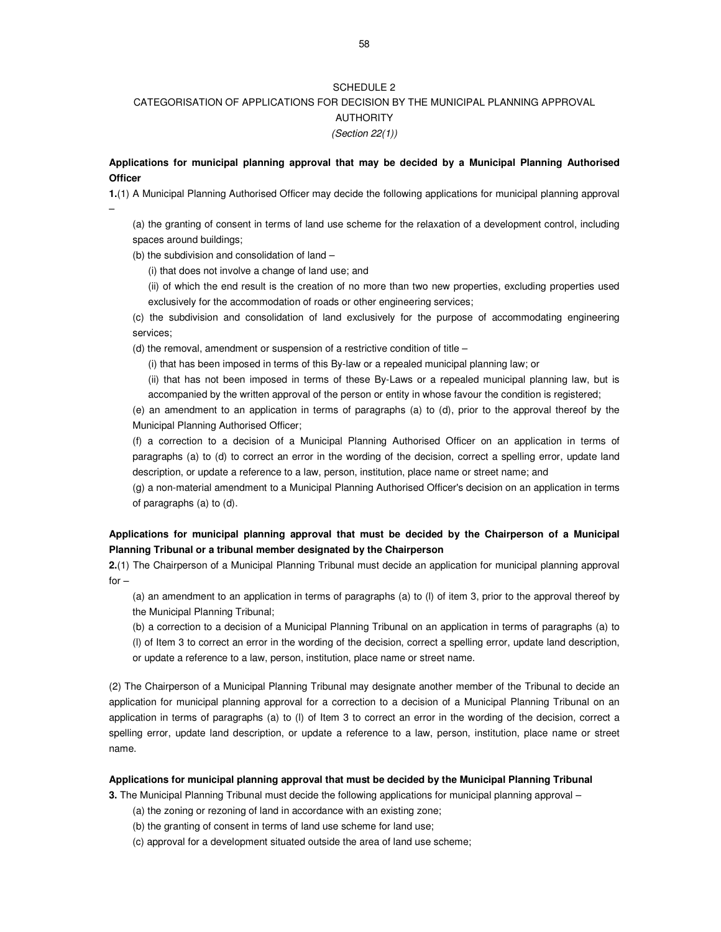## SCHEDULE 2

# CATEGORISATION OF APPLICATIONS FOR DECISION BY THE MUNICIPAL PLANNING APPROVAL AUTHORITY (Section 22(1))

**Applications for municipal planning approval that may be decided by a Municipal Planning Authorised Officer**

**1.**(1) A Municipal Planning Authorised Officer may decide the following applications for municipal planning approval –

(a) the granting of consent in terms of land use scheme for the relaxation of a development control, including spaces around buildings;

(b) the subdivision and consolidation of land –

(i) that does not involve a change of land use; and

(ii) of which the end result is the creation of no more than two new properties, excluding properties used exclusively for the accommodation of roads or other engineering services;

(c) the subdivision and consolidation of land exclusively for the purpose of accommodating engineering services;

(d) the removal, amendment or suspension of a restrictive condition of title –

(i) that has been imposed in terms of this By-law or a repealed municipal planning law; or

(ii) that has not been imposed in terms of these By-Laws or a repealed municipal planning law, but is accompanied by the written approval of the person or entity in whose favour the condition is registered;

(e) an amendment to an application in terms of paragraphs (a) to (d), prior to the approval thereof by the Municipal Planning Authorised Officer;

(f) a correction to a decision of a Municipal Planning Authorised Officer on an application in terms of paragraphs (a) to (d) to correct an error in the wording of the decision, correct a spelling error, update land description, or update a reference to a law, person, institution, place name or street name; and

(g) a non-material amendment to a Municipal Planning Authorised Officer's decision on an application in terms of paragraphs (a) to (d).

# **Applications for municipal planning approval that must be decided by the Chairperson of a Municipal Planning Tribunal or a tribunal member designated by the Chairperson**

**2.**(1) The Chairperson of a Municipal Planning Tribunal must decide an application for municipal planning approval  $for -$ 

(a) an amendment to an application in terms of paragraphs (a) to (l) of item 3, prior to the approval thereof by the Municipal Planning Tribunal;

(b) a correction to a decision of a Municipal Planning Tribunal on an application in terms of paragraphs (a) to (l) of Item 3 to correct an error in the wording of the decision, correct a spelling error, update land description, or update a reference to a law, person, institution, place name or street name.

(2) The Chairperson of a Municipal Planning Tribunal may designate another member of the Tribunal to decide an application for municipal planning approval for a correction to a decision of a Municipal Planning Tribunal on an application in terms of paragraphs (a) to (l) of Item 3 to correct an error in the wording of the decision, correct a spelling error, update land description, or update a reference to a law, person, institution, place name or street name.

#### **Applications for municipal planning approval that must be decided by the Municipal Planning Tribunal**

**3.** The Municipal Planning Tribunal must decide the following applications for municipal planning approval –

- (a) the zoning or rezoning of land in accordance with an existing zone;
- (b) the granting of consent in terms of land use scheme for land use;
- (c) approval for a development situated outside the area of land use scheme;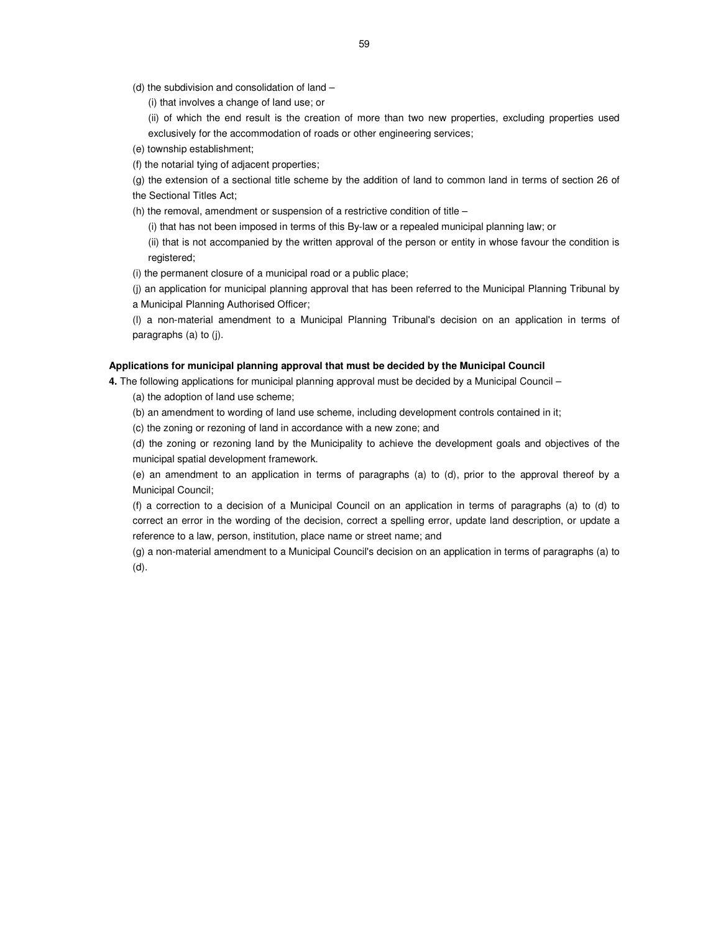- (d) the subdivision and consolidation of land
	- (i) that involves a change of land use; or
	- (ii) of which the end result is the creation of more than two new properties, excluding properties used exclusively for the accommodation of roads or other engineering services;
- (e) township establishment;
- (f) the notarial tying of adjacent properties;
- (g) the extension of a sectional title scheme by the addition of land to common land in terms of section 26 of the Sectional Titles Act;
- (h) the removal, amendment or suspension of a restrictive condition of title
	- (i) that has not been imposed in terms of this By-law or a repealed municipal planning law; or
	- (ii) that is not accompanied by the written approval of the person or entity in whose favour the condition is registered;
- (i) the permanent closure of a municipal road or a public place;
- (j) an application for municipal planning approval that has been referred to the Municipal Planning Tribunal by a Municipal Planning Authorised Officer;
- (l) a non-material amendment to a Municipal Planning Tribunal's decision on an application in terms of paragraphs (a) to (j).

#### **Applications for municipal planning approval that must be decided by the Municipal Council**

**4.** The following applications for municipal planning approval must be decided by a Municipal Council –

- (a) the adoption of land use scheme;
- (b) an amendment to wording of land use scheme, including development controls contained in it;
- (c) the zoning or rezoning of land in accordance with a new zone; and
- (d) the zoning or rezoning land by the Municipality to achieve the development goals and objectives of the municipal spatial development framework.
- (e) an amendment to an application in terms of paragraphs (a) to (d), prior to the approval thereof by a Municipal Council;
- (f) a correction to a decision of a Municipal Council on an application in terms of paragraphs (a) to (d) to correct an error in the wording of the decision, correct a spelling error, update land description, or update a reference to a law, person, institution, place name or street name; and
- (g) a non-material amendment to a Municipal Council's decision on an application in terms of paragraphs (a) to (d).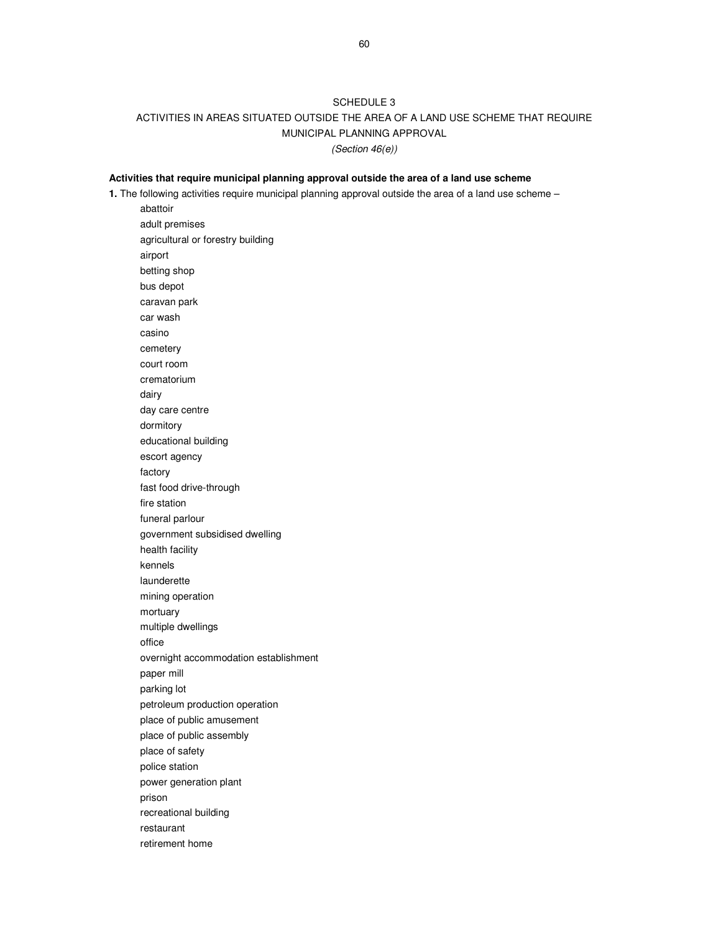# SCHEDULE 3 ACTIVITIES IN AREAS SITUATED OUTSIDE THE AREA OF A LAND USE SCHEME THAT REQUIRE MUNICIPAL PLANNING APPROVAL (Section 46(e))

# **Activities that require municipal planning approval outside the area of a land use scheme**

**1.** The following activities require municipal planning approval outside the area of a land use scheme –

abattoir adult premises agricultural or forestry building airport betting shop bus depot caravan park car wash casino cemetery court room crematorium dairy day care centre dormitory educational building escort agency factory fast food drive-through fire station funeral parlour government subsidised dwelling health facility kennels launderette mining operation mortuary multiple dwellings office overnight accommodation establishment paper mill parking lot petroleum production operation place of public amusement place of public assembly place of safety police station power generation plant prison recreational building restaurant retirement home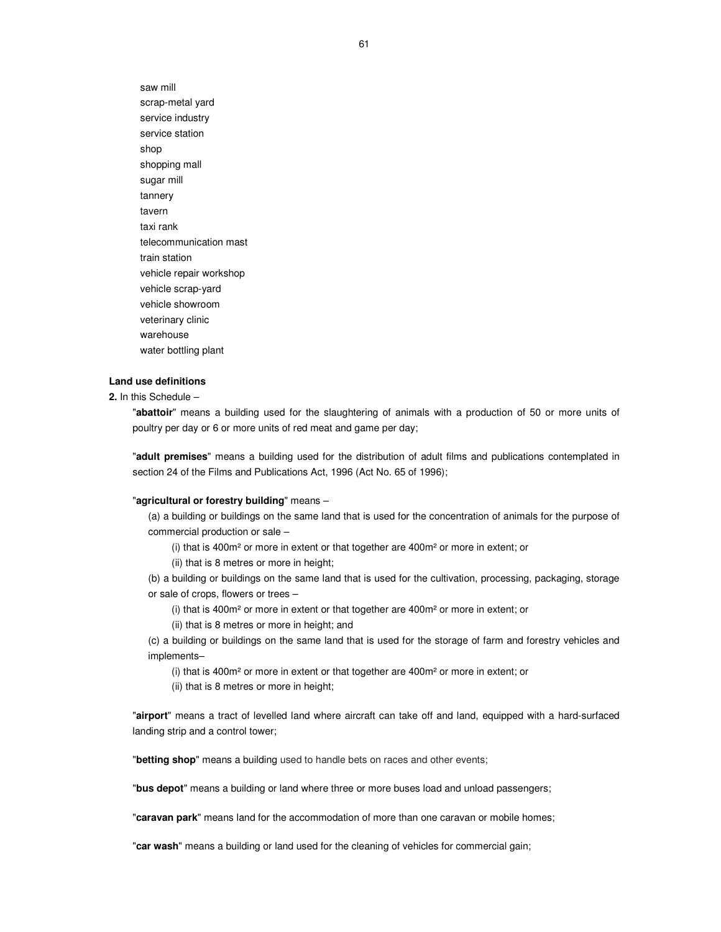saw mill scrap-metal yard service industry service station shop shopping mall sugar mill tannery tavern taxi rank telecommunication mast train station vehicle repair workshop vehicle scrap-yard vehicle showroom veterinary clinic warehouse water bottling plant

## **Land use definitions**

**2.** In this Schedule –

"**abattoir**" means a building used for the slaughtering of animals with a production of 50 or more units of poultry per day or 6 or more units of red meat and game per day;

"**adult premises**" means a building used for the distribution of adult films and publications contemplated in section 24 of the Films and Publications Act, 1996 (Act No. 65 of 1996);

#### "**agricultural or forestry building**" means –

(a) a building or buildings on the same land that is used for the concentration of animals for the purpose of commercial production or sale –

(i) that is 400m² or more in extent or that together are 400m² or more in extent; or

(ii) that is 8 metres or more in height;

(b) a building or buildings on the same land that is used for the cultivation, processing, packaging, storage or sale of crops, flowers or trees –

(i) that is 400m² or more in extent or that together are 400m² or more in extent; or

(ii) that is 8 metres or more in height; and

(c) a building or buildings on the same land that is used for the storage of farm and forestry vehicles and implements–

(i) that is 400m² or more in extent or that together are 400m² or more in extent; or

(ii) that is 8 metres or more in height;

"**airport**" means a tract of levelled land where aircraft can take off and land, equipped with a hard-surfaced landing strip and a control tower;

"**betting shop**" means a building used to handle bets on races and other events;

"**bus depot**" means a building or land where three or more buses load and unload passengers;

"**caravan park**" means land for the accommodation of more than one caravan or mobile homes;

"**car wash**" means a building or land used for the cleaning of vehicles for commercial gain;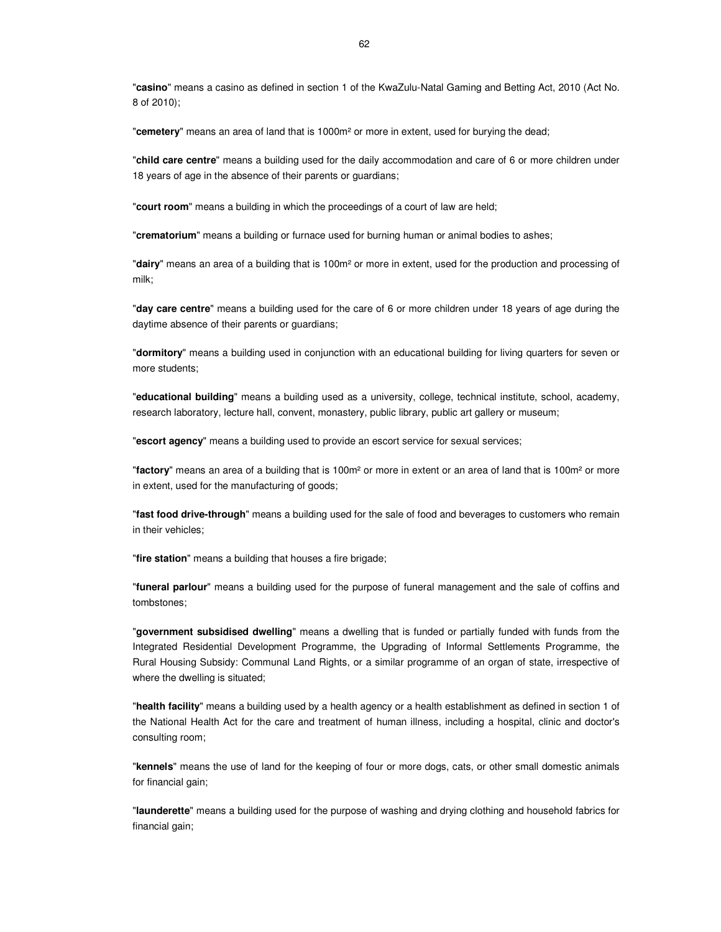"**casino**" means a casino as defined in section 1 of the KwaZulu-Natal Gaming and Betting Act, 2010 (Act No. 8 of 2010);

"**cemetery**" means an area of land that is 1000m² or more in extent, used for burying the dead;

"**child care centre**" means a building used for the daily accommodation and care of 6 or more children under 18 years of age in the absence of their parents or guardians;

"**court room**" means a building in which the proceedings of a court of law are held;

"**crematorium**" means a building or furnace used for burning human or animal bodies to ashes;

"**dairy**" means an area of a building that is 100m² or more in extent, used for the production and processing of milk;

"**day care centre**" means a building used for the care of 6 or more children under 18 years of age during the daytime absence of their parents or guardians;

"**dormitory**" means a building used in conjunction with an educational building for living quarters for seven or more students;

"**educational building**" means a building used as a university, college, technical institute, school, academy, research laboratory, lecture hall, convent, monastery, public library, public art gallery or museum;

"**escort agency**" means a building used to provide an escort service for sexual services;

"**factory**" means an area of a building that is 100m² or more in extent or an area of land that is 100m² or more in extent, used for the manufacturing of goods;

"**fast food drive-through**" means a building used for the sale of food and beverages to customers who remain in their vehicles;

"**fire station**" means a building that houses a fire brigade;

"**funeral parlour**" means a building used for the purpose of funeral management and the sale of coffins and tombstones;

"**government subsidised dwelling**" means a dwelling that is funded or partially funded with funds from the Integrated Residential Development Programme, the Upgrading of Informal Settlements Programme, the Rural Housing Subsidy: Communal Land Rights, or a similar programme of an organ of state, irrespective of where the dwelling is situated;

"**health facility**" means a building used by a health agency or a health establishment as defined in section 1 of the National Health Act for the care and treatment of human illness, including a hospital, clinic and doctor's consulting room;

"**kennels**" means the use of land for the keeping of four or more dogs, cats, or other small domestic animals for financial gain;

"**launderette**" means a building used for the purpose of washing and drying clothing and household fabrics for financial gain;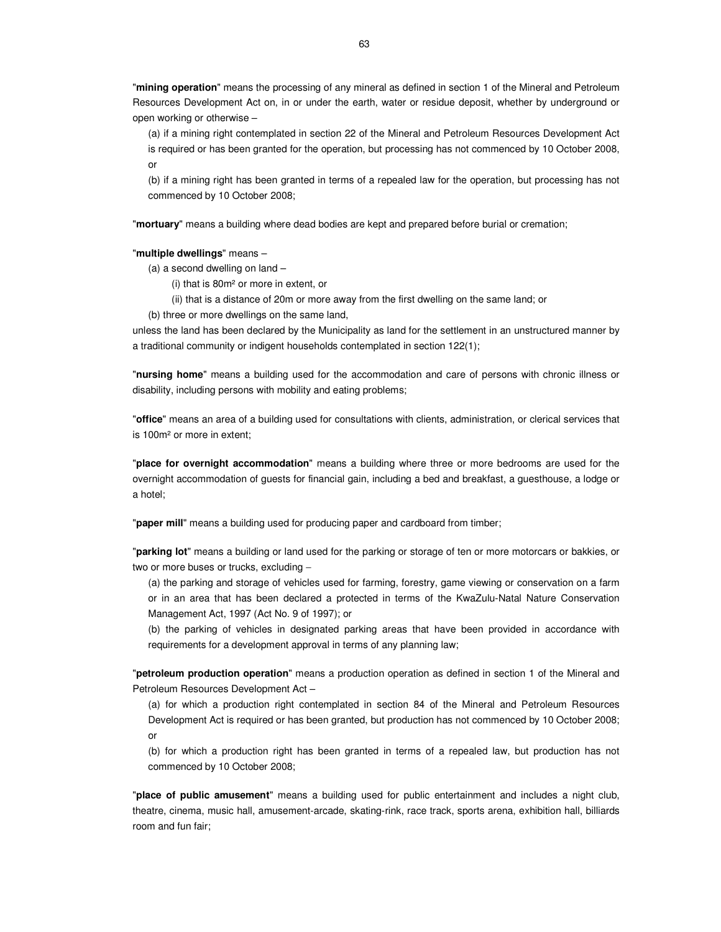"**mining operation**" means the processing of any mineral as defined in section 1 of the Mineral and Petroleum Resources Development Act on, in or under the earth, water or residue deposit, whether by underground or open working or otherwise –

(a) if a mining right contemplated in section 22 of the Mineral and Petroleum Resources Development Act is required or has been granted for the operation, but processing has not commenced by 10 October 2008, or

(b) if a mining right has been granted in terms of a repealed law for the operation, but processing has not commenced by 10 October 2008;

"**mortuary**" means a building where dead bodies are kept and prepared before burial or cremation;

#### "**multiple dwellings**" means –

- (a) a second dwelling on land
	- (i) that is 80m² or more in extent, or
	- (ii) that is a distance of 20m or more away from the first dwelling on the same land; or
- (b) three or more dwellings on the same land,

unless the land has been declared by the Municipality as land for the settlement in an unstructured manner by a traditional community or indigent households contemplated in section 122(1);

"**nursing home**" means a building used for the accommodation and care of persons with chronic illness or disability, including persons with mobility and eating problems;

"**office**" means an area of a building used for consultations with clients, administration, or clerical services that is 100m² or more in extent;

"**place for overnight accommodation**" means a building where three or more bedrooms are used for the overnight accommodation of guests for financial gain, including a bed and breakfast, a guesthouse, a lodge or a hotel;

"**paper mill**" means a building used for producing paper and cardboard from timber;

"**parking lot**" means a building or land used for the parking or storage of ten or more motorcars or bakkies, or two or more buses or trucks, excluding −

(a) the parking and storage of vehicles used for farming, forestry, game viewing or conservation on a farm or in an area that has been declared a protected in terms of the KwaZulu-Natal Nature Conservation Management Act, 1997 (Act No. 9 of 1997); or

(b) the parking of vehicles in designated parking areas that have been provided in accordance with requirements for a development approval in terms of any planning law;

"**petroleum production operation**" means a production operation as defined in section 1 of the Mineral and Petroleum Resources Development Act –

(a) for which a production right contemplated in section 84 of the Mineral and Petroleum Resources Development Act is required or has been granted, but production has not commenced by 10 October 2008; or

(b) for which a production right has been granted in terms of a repealed law, but production has not commenced by 10 October 2008;

"**place of public amusement**" means a building used for public entertainment and includes a night club, theatre, cinema, music hall, amusement-arcade, skating-rink, race track, sports arena, exhibition hall, billiards room and fun fair;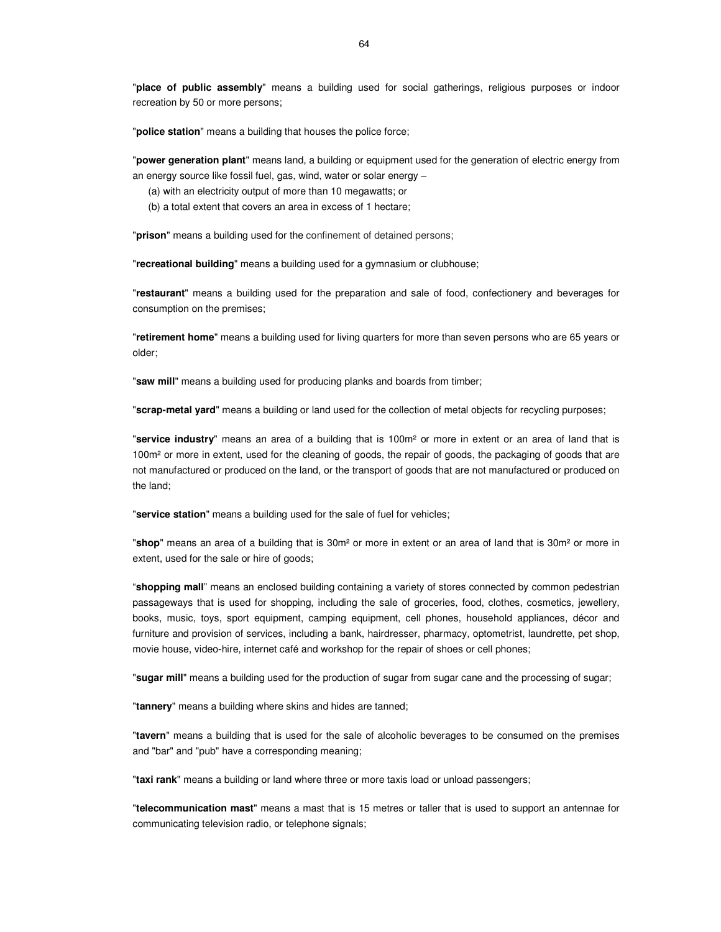"**police station**" means a building that houses the police force;

"**power generation plant**" means land, a building or equipment used for the generation of electric energy from an energy source like fossil fuel, gas, wind, water or solar energy –

(a) with an electricity output of more than 10 megawatts; or

(b) a total extent that covers an area in excess of 1 hectare;

"**prison**" means a building used for the confinement of detained persons;

"**recreational building**" means a building used for a gymnasium or clubhouse;

"**restaurant**" means a building used for the preparation and sale of food, confectionery and beverages for consumption on the premises;

"**retirement home**" means a building used for living quarters for more than seven persons who are 65 years or older;

"**saw mill**" means a building used for producing planks and boards from timber;

"**scrap-metal yard**" means a building or land used for the collection of metal objects for recycling purposes;

"**service industry**" means an area of a building that is 100m² or more in extent or an area of land that is 100m² or more in extent, used for the cleaning of goods, the repair of goods, the packaging of goods that are not manufactured or produced on the land, or the transport of goods that are not manufactured or produced on the land;

"**service station**" means a building used for the sale of fuel for vehicles;

"**shop**" means an area of a building that is 30m² or more in extent or an area of land that is 30m² or more in extent, used for the sale or hire of goods;

"**shopping mall**" means an enclosed building containing a variety of stores connected by common pedestrian passageways that is used for shopping, including the sale of groceries, food, clothes, cosmetics, jewellery, books, music, toys, sport equipment, camping equipment, cell phones, household appliances, décor and furniture and provision of services, including a bank, hairdresser, pharmacy, optometrist, laundrette, pet shop, movie house, video-hire, internet café and workshop for the repair of shoes or cell phones;

"**sugar mill**" means a building used for the production of sugar from sugar cane and the processing of sugar;

"**tannery**" means a building where skins and hides are tanned;

"**tavern**" means a building that is used for the sale of alcoholic beverages to be consumed on the premises and "bar" and "pub" have a corresponding meaning;

"**taxi rank**" means a building or land where three or more taxis load or unload passengers;

"**telecommunication mast**" means a mast that is 15 metres or taller that is used to support an antennae for communicating television radio, or telephone signals;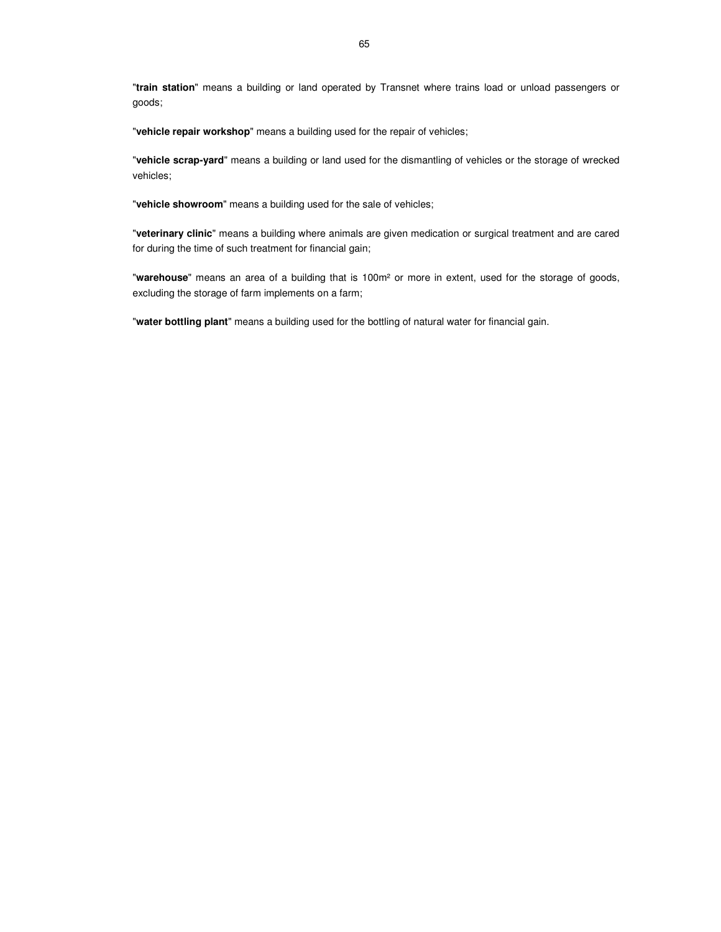"**train station**" means a building or land operated by Transnet where trains load or unload passengers or goods;

"**vehicle repair workshop**" means a building used for the repair of vehicles;

"**vehicle scrap-yard**" means a building or land used for the dismantling of vehicles or the storage of wrecked vehicles;

"**vehicle showroom**" means a building used for the sale of vehicles;

"**veterinary clinic**" means a building where animals are given medication or surgical treatment and are cared for during the time of such treatment for financial gain;

"**warehouse**" means an area of a building that is 100m² or more in extent, used for the storage of goods, excluding the storage of farm implements on a farm;

"**water bottling plant**" means a building used for the bottling of natural water for financial gain.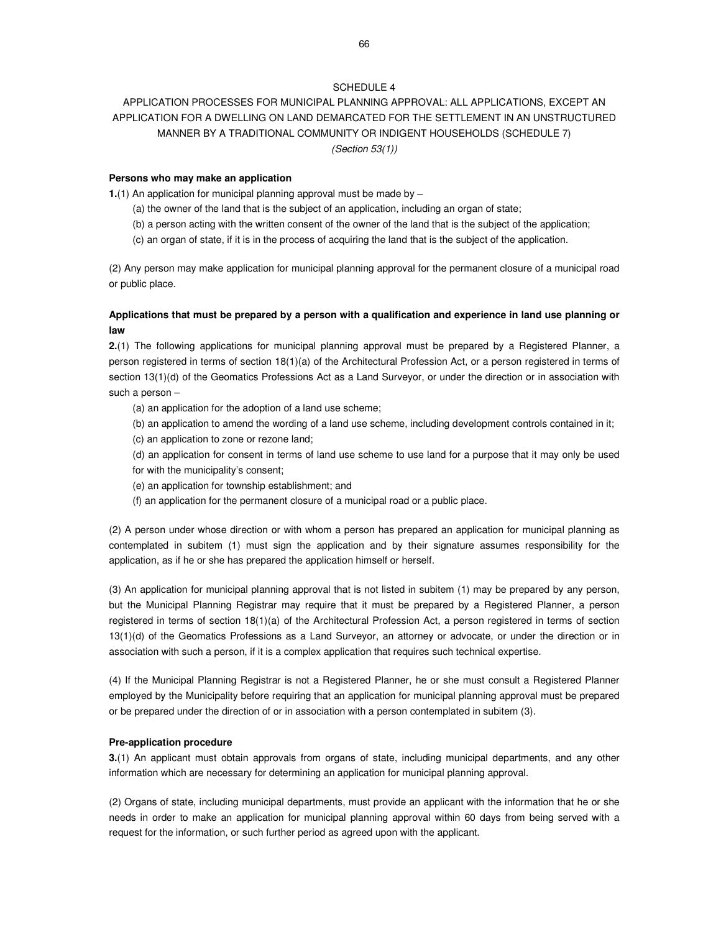## SCHEDULE 4

# APPLICATION PROCESSES FOR MUNICIPAL PLANNING APPROVAL: ALL APPLICATIONS, EXCEPT AN APPLICATION FOR A DWELLING ON LAND DEMARCATED FOR THE SETTLEMENT IN AN UNSTRUCTURED MANNER BY A TRADITIONAL COMMUNITY OR INDIGENT HOUSEHOLDS (SCHEDULE 7) (Section 53(1))

#### **Persons who may make an application**

**1.**(1) An application for municipal planning approval must be made by -

- (a) the owner of the land that is the subject of an application, including an organ of state;
- (b) a person acting with the written consent of the owner of the land that is the subject of the application;
- (c) an organ of state, if it is in the process of acquiring the land that is the subject of the application.

(2) Any person may make application for municipal planning approval for the permanent closure of a municipal road or public place.

# **Applications that must be prepared by a person with a qualification and experience in land use planning or law**

**2.**(1) The following applications for municipal planning approval must be prepared by a Registered Planner, a person registered in terms of section 18(1)(a) of the Architectural Profession Act, or a person registered in terms of section 13(1)(d) of the Geomatics Professions Act as a Land Surveyor, or under the direction or in association with such a person –

(a) an application for the adoption of a land use scheme;

- (b) an application to amend the wording of a land use scheme, including development controls contained in it;
- (c) an application to zone or rezone land;
- (d) an application for consent in terms of land use scheme to use land for a purpose that it may only be used for with the municipality's consent;
- (e) an application for township establishment; and
- (f) an application for the permanent closure of a municipal road or a public place.

(2) A person under whose direction or with whom a person has prepared an application for municipal planning as contemplated in subitem (1) must sign the application and by their signature assumes responsibility for the application, as if he or she has prepared the application himself or herself.

(3) An application for municipal planning approval that is not listed in subitem (1) may be prepared by any person, but the Municipal Planning Registrar may require that it must be prepared by a Registered Planner, a person registered in terms of section 18(1)(a) of the Architectural Profession Act, a person registered in terms of section 13(1)(d) of the Geomatics Professions as a Land Surveyor, an attorney or advocate, or under the direction or in association with such a person, if it is a complex application that requires such technical expertise.

(4) If the Municipal Planning Registrar is not a Registered Planner, he or she must consult a Registered Planner employed by the Municipality before requiring that an application for municipal planning approval must be prepared or be prepared under the direction of or in association with a person contemplated in subitem (3).

#### **Pre-application procedure**

**3.**(1) An applicant must obtain approvals from organs of state, including municipal departments, and any other information which are necessary for determining an application for municipal planning approval.

(2) Organs of state, including municipal departments, must provide an applicant with the information that he or she needs in order to make an application for municipal planning approval within 60 days from being served with a request for the information, or such further period as agreed upon with the applicant.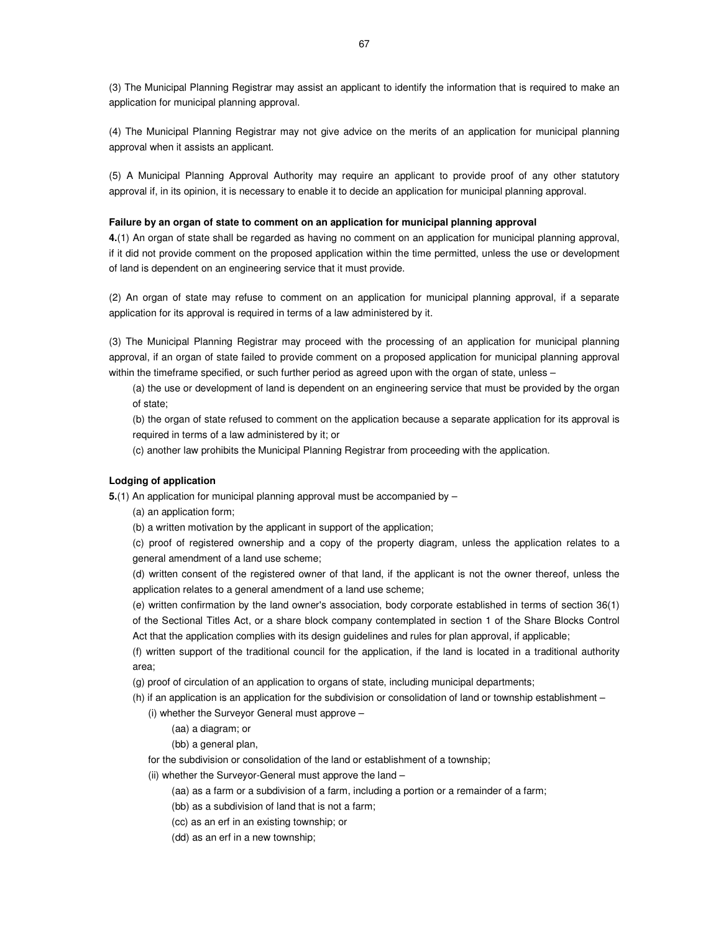(3) The Municipal Planning Registrar may assist an applicant to identify the information that is required to make an application for municipal planning approval.

(4) The Municipal Planning Registrar may not give advice on the merits of an application for municipal planning approval when it assists an applicant.

(5) A Municipal Planning Approval Authority may require an applicant to provide proof of any other statutory approval if, in its opinion, it is necessary to enable it to decide an application for municipal planning approval.

#### **Failure by an organ of state to comment on an application for municipal planning approval**

**4.**(1) An organ of state shall be regarded as having no comment on an application for municipal planning approval, if it did not provide comment on the proposed application within the time permitted, unless the use or development of land is dependent on an engineering service that it must provide.

(2) An organ of state may refuse to comment on an application for municipal planning approval, if a separate application for its approval is required in terms of a law administered by it.

(3) The Municipal Planning Registrar may proceed with the processing of an application for municipal planning approval, if an organ of state failed to provide comment on a proposed application for municipal planning approval within the timeframe specified, or such further period as agreed upon with the organ of state, unless –

(a) the use or development of land is dependent on an engineering service that must be provided by the organ of state;

(b) the organ of state refused to comment on the application because a separate application for its approval is required in terms of a law administered by it; or

(c) another law prohibits the Municipal Planning Registrar from proceeding with the application.

## **Lodging of application**

**5.**(1) An application for municipal planning approval must be accompanied by –

(a) an application form;

(b) a written motivation by the applicant in support of the application;

(c) proof of registered ownership and a copy of the property diagram, unless the application relates to a general amendment of a land use scheme;

(d) written consent of the registered owner of that land, if the applicant is not the owner thereof, unless the application relates to a general amendment of a land use scheme;

(e) written confirmation by the land owner's association, body corporate established in terms of section 36(1) of the Sectional Titles Act, or a share block company contemplated in section 1 of the Share Blocks Control Act that the application complies with its design guidelines and rules for plan approval, if applicable;

(f) written support of the traditional council for the application, if the land is located in a traditional authority area;

(g) proof of circulation of an application to organs of state, including municipal departments;

(h) if an application is an application for the subdivision or consolidation of land or township establishment –

(i) whether the Surveyor General must approve –

(aa) a diagram; or

(bb) a general plan,

for the subdivision or consolidation of the land or establishment of a township;

(ii) whether the Surveyor-General must approve the land –

(aa) as a farm or a subdivision of a farm, including a portion or a remainder of a farm;

(bb) as a subdivision of land that is not a farm;

(cc) as an erf in an existing township; or

(dd) as an erf in a new township;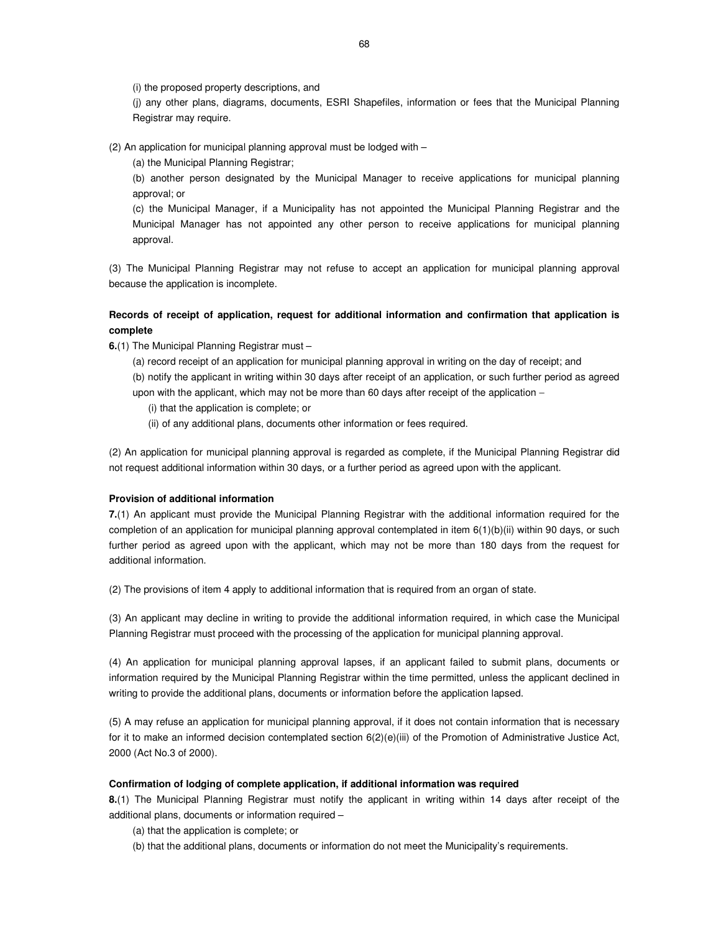(i) the proposed property descriptions, and

(j) any other plans, diagrams, documents, ESRI Shapefiles, information or fees that the Municipal Planning Registrar may require.

(2) An application for municipal planning approval must be lodged with –

(a) the Municipal Planning Registrar;

(b) another person designated by the Municipal Manager to receive applications for municipal planning approval; or

(c) the Municipal Manager, if a Municipality has not appointed the Municipal Planning Registrar and the Municipal Manager has not appointed any other person to receive applications for municipal planning approval.

(3) The Municipal Planning Registrar may not refuse to accept an application for municipal planning approval because the application is incomplete.

# **Records of receipt of application, request for additional information and confirmation that application is complete**

**6.**(1) The Municipal Planning Registrar must –

(a) record receipt of an application for municipal planning approval in writing on the day of receipt; and

(b) notify the applicant in writing within 30 days after receipt of an application, or such further period as agreed upon with the applicant, which may not be more than 60 days after receipt of the application −

(i) that the application is complete; or

(ii) of any additional plans, documents other information or fees required.

(2) An application for municipal planning approval is regarded as complete, if the Municipal Planning Registrar did not request additional information within 30 days, or a further period as agreed upon with the applicant.

## **Provision of additional information**

**7.**(1) An applicant must provide the Municipal Planning Registrar with the additional information required for the completion of an application for municipal planning approval contemplated in item 6(1)(b)(ii) within 90 days, or such further period as agreed upon with the applicant, which may not be more than 180 days from the request for additional information.

(2) The provisions of item 4 apply to additional information that is required from an organ of state.

(3) An applicant may decline in writing to provide the additional information required, in which case the Municipal Planning Registrar must proceed with the processing of the application for municipal planning approval.

(4) An application for municipal planning approval lapses, if an applicant failed to submit plans, documents or information required by the Municipal Planning Registrar within the time permitted, unless the applicant declined in writing to provide the additional plans, documents or information before the application lapsed.

(5) A may refuse an application for municipal planning approval, if it does not contain information that is necessary for it to make an informed decision contemplated section 6(2)(e)(iii) of the Promotion of Administrative Justice Act, 2000 (Act No.3 of 2000).

## **Confirmation of lodging of complete application, if additional information was required**

**8.**(1) The Municipal Planning Registrar must notify the applicant in writing within 14 days after receipt of the additional plans, documents or information required –

(a) that the application is complete; or

(b) that the additional plans, documents or information do not meet the Municipality's requirements.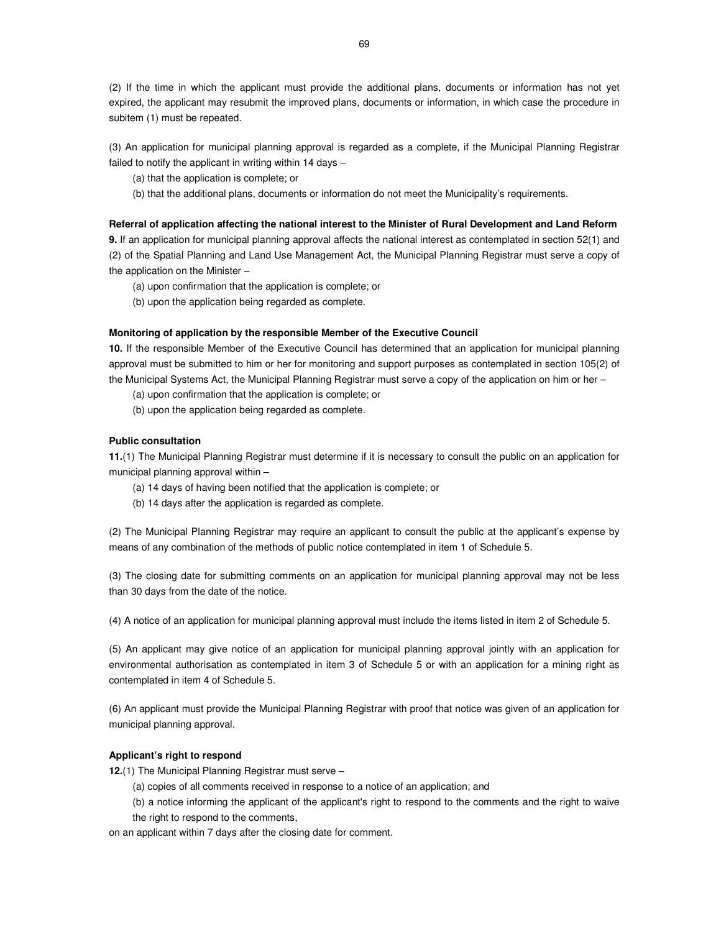(2) If the time in which the applicant must provide the additional plans, documents or information has not yet expired, the applicant may resubmit the improved plans, documents or information, in which case the procedure in subitem (1) must be repeated.

(3) An application for municipal planning approval is regarded as a complete, if the Municipal Planning Registrar failed to notify the applicant in writing within 14 days –

(a) that the application is complete; or

(b) that the additional plans, documents or information do not meet the Municipality's requirements.

#### **Referral of application affecting the national interest to the Minister of Rural Development and Land Reform**

**9.** If an application for municipal planning approval affects the national interest as contemplated in section 52(1) and (2) of the Spatial Planning and Land Use Management Act, the Municipal Planning Registrar must serve a copy of the application on the Minister –

- (a) upon confirmation that the application is complete; or
- (b) upon the application being regarded as complete.

#### **Monitoring of application by the responsible Member of the Executive Council**

**10.** If the responsible Member of the Executive Council has determined that an application for municipal planning approval must be submitted to him or her for monitoring and support purposes as contemplated in section 105(2) of the Municipal Systems Act, the Municipal Planning Registrar must serve a copy of the application on him or her –

- (a) upon confirmation that the application is complete; or
- (b) upon the application being regarded as complete.

## **Public consultation**

**11.**(1) The Municipal Planning Registrar must determine if it is necessary to consult the public on an application for municipal planning approval within –

- (a) 14 days of having been notified that the application is complete; or
- (b) 14 days after the application is regarded as complete.

(2) The Municipal Planning Registrar may require an applicant to consult the public at the applicant's expense by means of any combination of the methods of public notice contemplated in item 1 of Schedule 5.

(3) The closing date for submitting comments on an application for municipal planning approval may not be less than 30 days from the date of the notice.

(4) A notice of an application for municipal planning approval must include the items listed in item 2 of Schedule 5.

(5) An applicant may give notice of an application for municipal planning approval jointly with an application for environmental authorisation as contemplated in item 3 of Schedule 5 or with an application for a mining right as contemplated in item 4 of Schedule 5.

(6) An applicant must provide the Municipal Planning Registrar with proof that notice was given of an application for municipal planning approval.

## **Applicant's right to respond**

**12.**(1) The Municipal Planning Registrar must serve –

- (a) copies of all comments received in response to a notice of an application; and
- (b) a notice informing the applicant of the applicant's right to respond to the comments and the right to waive the right to respond to the comments,

on an applicant within 7 days after the closing date for comment.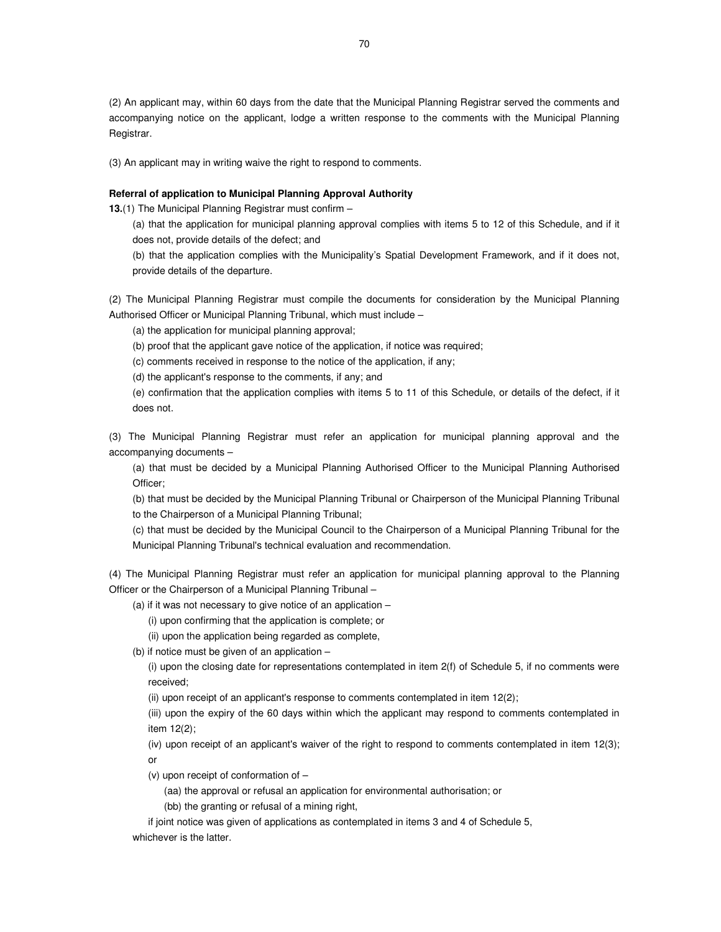(2) An applicant may, within 60 days from the date that the Municipal Planning Registrar served the comments and accompanying notice on the applicant, lodge a written response to the comments with the Municipal Planning Registrar.

(3) An applicant may in writing waive the right to respond to comments.

# **Referral of application to Municipal Planning Approval Authority**

**13.**(1) The Municipal Planning Registrar must confirm –

(a) that the application for municipal planning approval complies with items 5 to 12 of this Schedule, and if it does not, provide details of the defect; and

(b) that the application complies with the Municipality's Spatial Development Framework, and if it does not, provide details of the departure.

(2) The Municipal Planning Registrar must compile the documents for consideration by the Municipal Planning Authorised Officer or Municipal Planning Tribunal, which must include –

(a) the application for municipal planning approval;

(b) proof that the applicant gave notice of the application, if notice was required;

(c) comments received in response to the notice of the application, if any;

(d) the applicant's response to the comments, if any; and

(e) confirmation that the application complies with items 5 to 11 of this Schedule, or details of the defect, if it does not.

(3) The Municipal Planning Registrar must refer an application for municipal planning approval and the accompanying documents –

(a) that must be decided by a Municipal Planning Authorised Officer to the Municipal Planning Authorised Officer;

(b) that must be decided by the Municipal Planning Tribunal or Chairperson of the Municipal Planning Tribunal to the Chairperson of a Municipal Planning Tribunal;

(c) that must be decided by the Municipal Council to the Chairperson of a Municipal Planning Tribunal for the Municipal Planning Tribunal's technical evaluation and recommendation.

(4) The Municipal Planning Registrar must refer an application for municipal planning approval to the Planning Officer or the Chairperson of a Municipal Planning Tribunal –

(a) if it was not necessary to give notice of an application –

(i) upon confirming that the application is complete; or

(ii) upon the application being regarded as complete,

(b) if notice must be given of an application –

(i) upon the closing date for representations contemplated in item 2(f) of Schedule 5, if no comments were received;

(ii) upon receipt of an applicant's response to comments contemplated in item 12(2);

(iii) upon the expiry of the 60 days within which the applicant may respond to comments contemplated in item 12(2);

(iv) upon receipt of an applicant's waiver of the right to respond to comments contemplated in item 12(3); or

(v) upon receipt of conformation of –

(aa) the approval or refusal an application for environmental authorisation; or

(bb) the granting or refusal of a mining right,

if joint notice was given of applications as contemplated in items 3 and 4 of Schedule 5, whichever is the latter.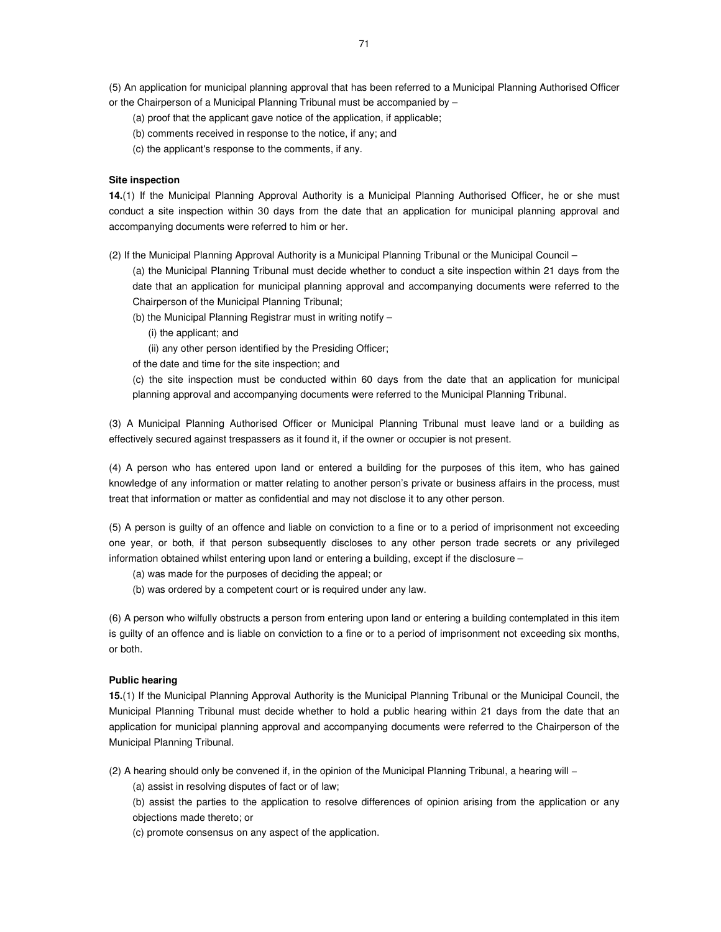(5) An application for municipal planning approval that has been referred to a Municipal Planning Authorised Officer or the Chairperson of a Municipal Planning Tribunal must be accompanied by –

- (a) proof that the applicant gave notice of the application, if applicable;
- (b) comments received in response to the notice, if any; and
- (c) the applicant's response to the comments, if any.

#### **Site inspection**

**14.**(1) If the Municipal Planning Approval Authority is a Municipal Planning Authorised Officer, he or she must conduct a site inspection within 30 days from the date that an application for municipal planning approval and accompanying documents were referred to him or her.

(2) If the Municipal Planning Approval Authority is a Municipal Planning Tribunal or the Municipal Council –

(a) the Municipal Planning Tribunal must decide whether to conduct a site inspection within 21 days from the date that an application for municipal planning approval and accompanying documents were referred to the Chairperson of the Municipal Planning Tribunal;

(b) the Municipal Planning Registrar must in writing notify –

- (i) the applicant; and
- (ii) any other person identified by the Presiding Officer;
- of the date and time for the site inspection; and
- (c) the site inspection must be conducted within 60 days from the date that an application for municipal planning approval and accompanying documents were referred to the Municipal Planning Tribunal.

(3) A Municipal Planning Authorised Officer or Municipal Planning Tribunal must leave land or a building as effectively secured against trespassers as it found it, if the owner or occupier is not present.

(4) A person who has entered upon land or entered a building for the purposes of this item, who has gained knowledge of any information or matter relating to another person's private or business affairs in the process, must treat that information or matter as confidential and may not disclose it to any other person.

(5) A person is guilty of an offence and liable on conviction to a fine or to a period of imprisonment not exceeding one year, or both, if that person subsequently discloses to any other person trade secrets or any privileged information obtained whilst entering upon land or entering a building, except if the disclosure –

- (a) was made for the purposes of deciding the appeal; or
- (b) was ordered by a competent court or is required under any law.

(6) A person who wilfully obstructs a person from entering upon land or entering a building contemplated in this item is guilty of an offence and is liable on conviction to a fine or to a period of imprisonment not exceeding six months, or both.

## **Public hearing**

**15.**(1) If the Municipal Planning Approval Authority is the Municipal Planning Tribunal or the Municipal Council, the Municipal Planning Tribunal must decide whether to hold a public hearing within 21 days from the date that an application for municipal planning approval and accompanying documents were referred to the Chairperson of the Municipal Planning Tribunal.

(2) A hearing should only be convened if, in the opinion of the Municipal Planning Tribunal, a hearing will −

(a) assist in resolving disputes of fact or of law;

(b) assist the parties to the application to resolve differences of opinion arising from the application or any objections made thereto; or

(c) promote consensus on any aspect of the application.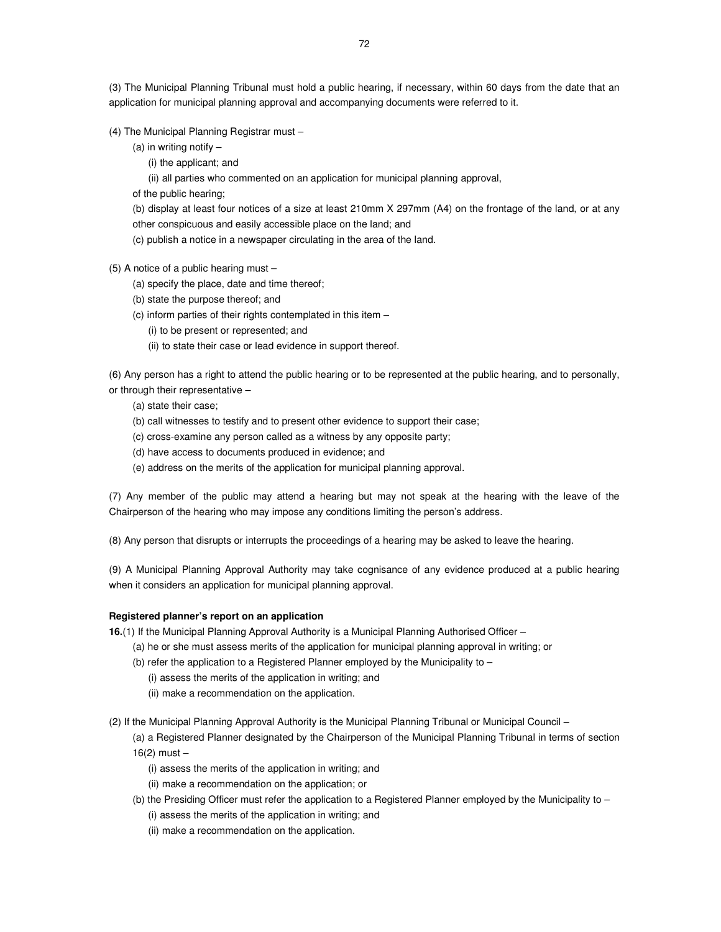(3) The Municipal Planning Tribunal must hold a public hearing, if necessary, within 60 days from the date that an application for municipal planning approval and accompanying documents were referred to it.

(4) The Municipal Planning Registrar must –

(a) in writing notify  $-$ 

(i) the applicant; and

(ii) all parties who commented on an application for municipal planning approval,

of the public hearing;

(b) display at least four notices of a size at least 210mm X 297mm (A4) on the frontage of the land, or at any other conspicuous and easily accessible place on the land; and

(c) publish a notice in a newspaper circulating in the area of the land.

(5) A notice of a public hearing must –

(a) specify the place, date and time thereof;

(b) state the purpose thereof; and

(c) inform parties of their rights contemplated in this item –

(i) to be present or represented; and

(ii) to state their case or lead evidence in support thereof.

(6) Any person has a right to attend the public hearing or to be represented at the public hearing, and to personally, or through their representative –

(a) state their case;

(b) call witnesses to testify and to present other evidence to support their case;

(c) cross-examine any person called as a witness by any opposite party;

(d) have access to documents produced in evidence; and

(e) address on the merits of the application for municipal planning approval.

(7) Any member of the public may attend a hearing but may not speak at the hearing with the leave of the Chairperson of the hearing who may impose any conditions limiting the person's address.

(8) Any person that disrupts or interrupts the proceedings of a hearing may be asked to leave the hearing.

(9) A Municipal Planning Approval Authority may take cognisance of any evidence produced at a public hearing when it considers an application for municipal planning approval.

## **Registered planner's report on an application**

**16.**(1) If the Municipal Planning Approval Authority is a Municipal Planning Authorised Officer –

(a) he or she must assess merits of the application for municipal planning approval in writing; or

(b) refer the application to a Registered Planner employed by the Municipality to –

(i) assess the merits of the application in writing; and

(ii) make a recommendation on the application.

(2) If the Municipal Planning Approval Authority is the Municipal Planning Tribunal or Municipal Council –

(a) a Registered Planner designated by the Chairperson of the Municipal Planning Tribunal in terms of section 16(2) must –

(i) assess the merits of the application in writing; and

(ii) make a recommendation on the application; or

(b) the Presiding Officer must refer the application to a Registered Planner employed by the Municipality to –

(i) assess the merits of the application in writing; and

(ii) make a recommendation on the application.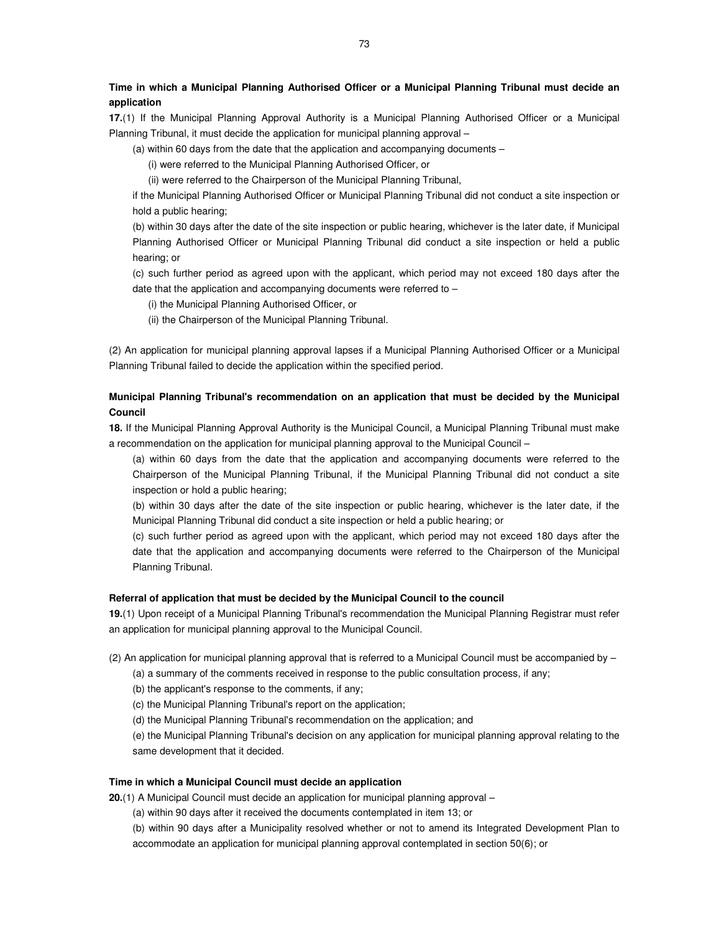## **Time in which a Municipal Planning Authorised Officer or a Municipal Planning Tribunal must decide an application**

**17.**(1) If the Municipal Planning Approval Authority is a Municipal Planning Authorised Officer or a Municipal Planning Tribunal, it must decide the application for municipal planning approval –

(a) within 60 days from the date that the application and accompanying documents –

(i) were referred to the Municipal Planning Authorised Officer, or

(ii) were referred to the Chairperson of the Municipal Planning Tribunal,

if the Municipal Planning Authorised Officer or Municipal Planning Tribunal did not conduct a site inspection or hold a public hearing;

(b) within 30 days after the date of the site inspection or public hearing, whichever is the later date, if Municipal Planning Authorised Officer or Municipal Planning Tribunal did conduct a site inspection or held a public hearing; or

(c) such further period as agreed upon with the applicant, which period may not exceed 180 days after the date that the application and accompanying documents were referred to –

(i) the Municipal Planning Authorised Officer, or

(ii) the Chairperson of the Municipal Planning Tribunal.

(2) An application for municipal planning approval lapses if a Municipal Planning Authorised Officer or a Municipal Planning Tribunal failed to decide the application within the specified period.

## **Municipal Planning Tribunal's recommendation on an application that must be decided by the Municipal Council**

**18.** If the Municipal Planning Approval Authority is the Municipal Council, a Municipal Planning Tribunal must make a recommendation on the application for municipal planning approval to the Municipal Council –

(a) within 60 days from the date that the application and accompanying documents were referred to the Chairperson of the Municipal Planning Tribunal, if the Municipal Planning Tribunal did not conduct a site inspection or hold a public hearing;

(b) within 30 days after the date of the site inspection or public hearing, whichever is the later date, if the Municipal Planning Tribunal did conduct a site inspection or held a public hearing; or

(c) such further period as agreed upon with the applicant, which period may not exceed 180 days after the date that the application and accompanying documents were referred to the Chairperson of the Municipal Planning Tribunal.

#### **Referral of application that must be decided by the Municipal Council to the council**

**19.**(1) Upon receipt of a Municipal Planning Tribunal's recommendation the Municipal Planning Registrar must refer an application for municipal planning approval to the Municipal Council.

(2) An application for municipal planning approval that is referred to a Municipal Council must be accompanied by – (a) a summary of the comments received in response to the public consultation process, if any;

(b) the applicant's response to the comments, if any;

(c) the Municipal Planning Tribunal's report on the application;

(d) the Municipal Planning Tribunal's recommendation on the application; and

(e) the Municipal Planning Tribunal's decision on any application for municipal planning approval relating to the same development that it decided.

#### **Time in which a Municipal Council must decide an application**

**20.**(1) A Municipal Council must decide an application for municipal planning approval –

(a) within 90 days after it received the documents contemplated in item 13; or

(b) within 90 days after a Municipality resolved whether or not to amend its Integrated Development Plan to accommodate an application for municipal planning approval contemplated in section 50(6); or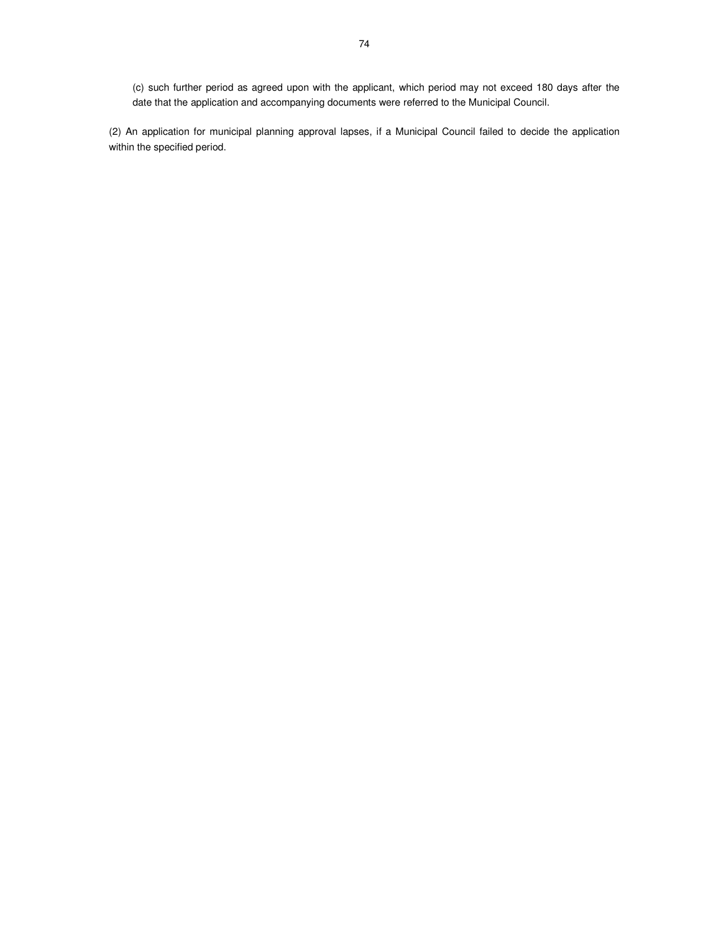(c) such further period as agreed upon with the applicant, which period may not exceed 180 days after the date that the application and accompanying documents were referred to the Municipal Council.

(2) An application for municipal planning approval lapses, if a Municipal Council failed to decide the application within the specified period.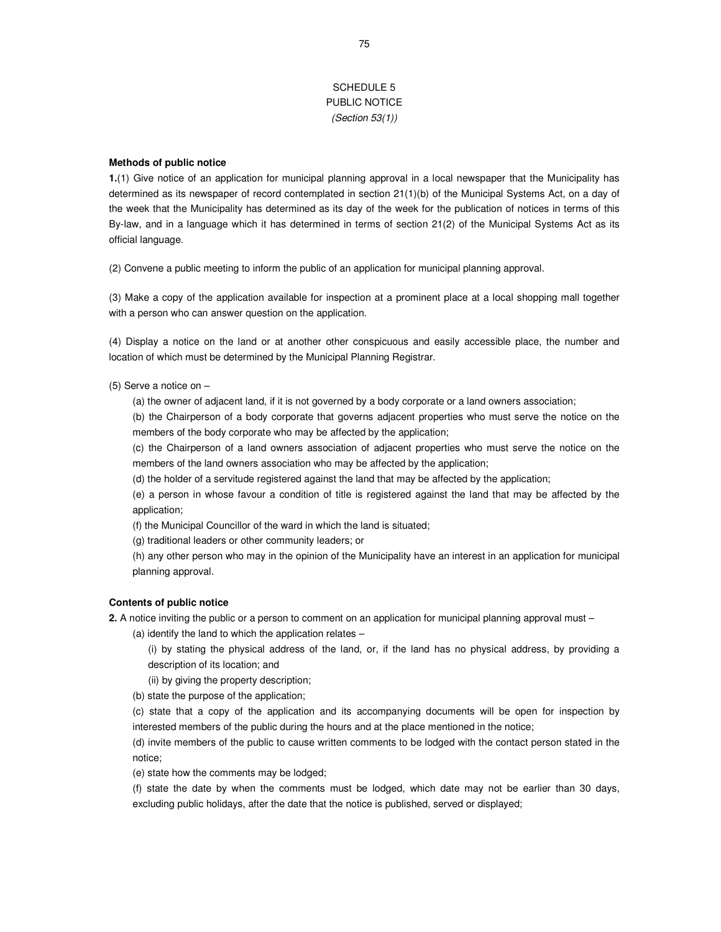## SCHEDULE 5 PUBLIC NOTICE (Section 53(1))

### **Methods of public notice**

**1.**(1) Give notice of an application for municipal planning approval in a local newspaper that the Municipality has determined as its newspaper of record contemplated in section 21(1)(b) of the Municipal Systems Act, on a day of the week that the Municipality has determined as its day of the week for the publication of notices in terms of this By-law, and in a language which it has determined in terms of section 21(2) of the Municipal Systems Act as its official language.

(2) Convene a public meeting to inform the public of an application for municipal planning approval.

(3) Make a copy of the application available for inspection at a prominent place at a local shopping mall together with a person who can answer question on the application.

(4) Display a notice on the land or at another other conspicuous and easily accessible place, the number and location of which must be determined by the Municipal Planning Registrar.

(5) Serve a notice on –

(a) the owner of adjacent land, if it is not governed by a body corporate or a land owners association;

(b) the Chairperson of a body corporate that governs adjacent properties who must serve the notice on the members of the body corporate who may be affected by the application;

(c) the Chairperson of a land owners association of adjacent properties who must serve the notice on the members of the land owners association who may be affected by the application;

(d) the holder of a servitude registered against the land that may be affected by the application;

(e) a person in whose favour a condition of title is registered against the land that may be affected by the application;

(f) the Municipal Councillor of the ward in which the land is situated;

(g) traditional leaders or other community leaders; or

(h) any other person who may in the opinion of the Municipality have an interest in an application for municipal planning approval.

## **Contents of public notice**

**2.** A notice inviting the public or a person to comment on an application for municipal planning approval must –

(a) identify the land to which the application relates –

(i) by stating the physical address of the land, or, if the land has no physical address, by providing a description of its location; and

(ii) by giving the property description;

(b) state the purpose of the application;

(c) state that a copy of the application and its accompanying documents will be open for inspection by interested members of the public during the hours and at the place mentioned in the notice;

(d) invite members of the public to cause written comments to be lodged with the contact person stated in the notice;

(e) state how the comments may be lodged;

(f) state the date by when the comments must be lodged, which date may not be earlier than 30 days, excluding public holidays, after the date that the notice is published, served or displayed;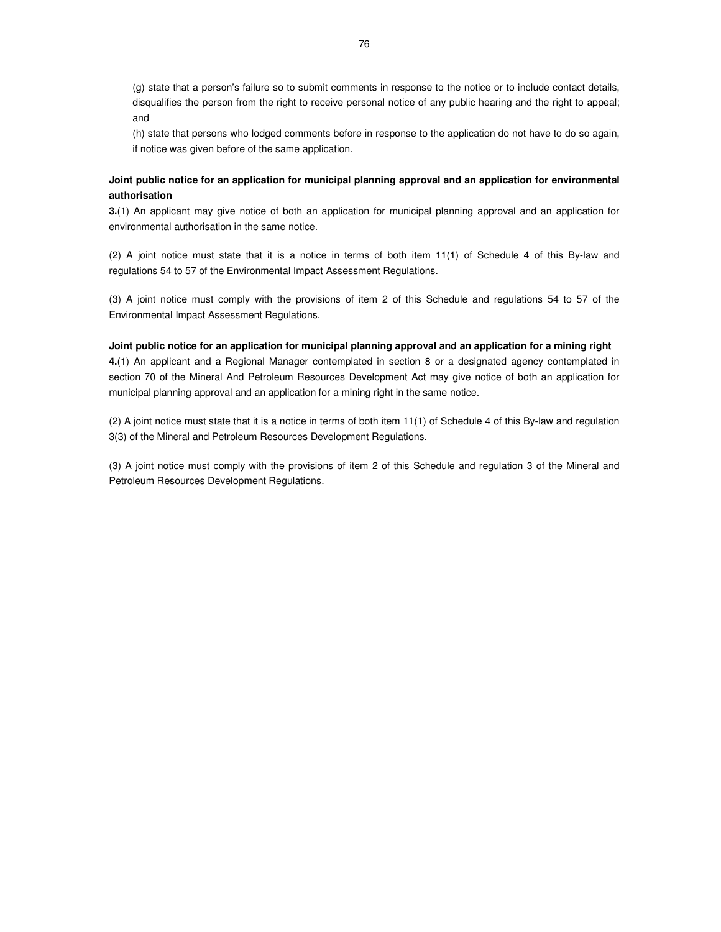(g) state that a person's failure so to submit comments in response to the notice or to include contact details, disqualifies the person from the right to receive personal notice of any public hearing and the right to appeal; and

(h) state that persons who lodged comments before in response to the application do not have to do so again, if notice was given before of the same application.

## **Joint public notice for an application for municipal planning approval and an application for environmental authorisation**

**3.**(1) An applicant may give notice of both an application for municipal planning approval and an application for environmental authorisation in the same notice.

(2) A joint notice must state that it is a notice in terms of both item 11(1) of Schedule 4 of this By-law and regulations 54 to 57 of the Environmental Impact Assessment Regulations.

(3) A joint notice must comply with the provisions of item 2 of this Schedule and regulations 54 to 57 of the Environmental Impact Assessment Regulations.

### **Joint public notice for an application for municipal planning approval and an application for a mining right**

**4.**(1) An applicant and a Regional Manager contemplated in section 8 or a designated agency contemplated in section 70 of the Mineral And Petroleum Resources Development Act may give notice of both an application for municipal planning approval and an application for a mining right in the same notice.

(2) A joint notice must state that it is a notice in terms of both item 11(1) of Schedule 4 of this By-law and regulation 3(3) of the Mineral and Petroleum Resources Development Regulations.

(3) A joint notice must comply with the provisions of item 2 of this Schedule and regulation 3 of the Mineral and Petroleum Resources Development Regulations.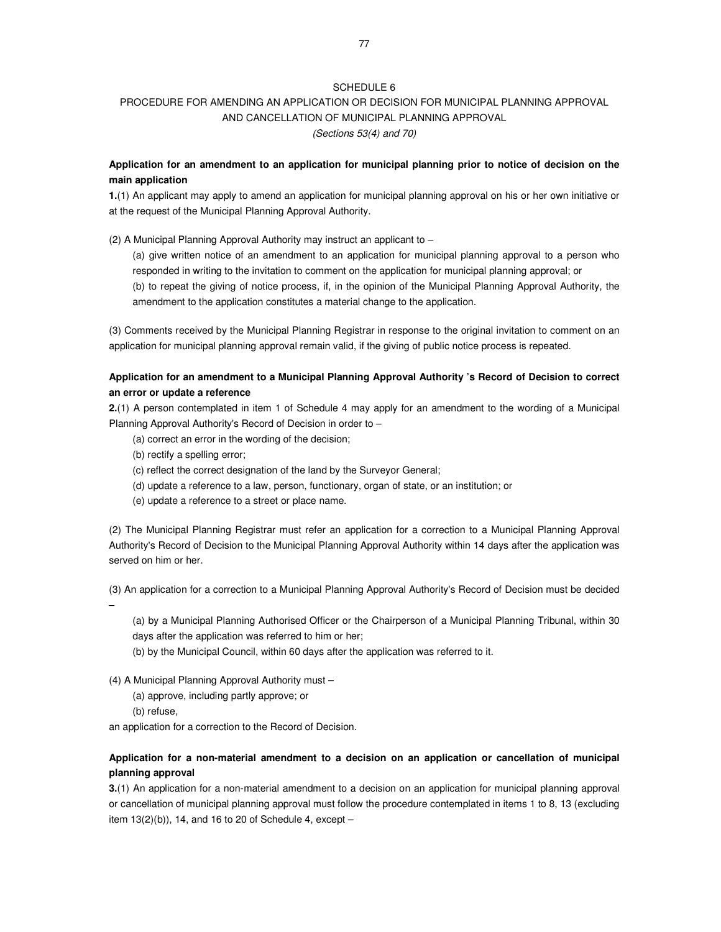# PROCEDURE FOR AMENDING AN APPLICATION OR DECISION FOR MUNICIPAL PLANNING APPROVAL AND CANCELLATION OF MUNICIPAL PLANNING APPROVAL

(Sections 53(4) and 70)

## **Application for an amendment to an application for municipal planning prior to notice of decision on the main application**

**1.**(1) An applicant may apply to amend an application for municipal planning approval on his or her own initiative or at the request of the Municipal Planning Approval Authority.

(2) A Municipal Planning Approval Authority may instruct an applicant to –

(a) give written notice of an amendment to an application for municipal planning approval to a person who responded in writing to the invitation to comment on the application for municipal planning approval; or

(b) to repeat the giving of notice process, if, in the opinion of the Municipal Planning Approval Authority, the amendment to the application constitutes a material change to the application.

(3) Comments received by the Municipal Planning Registrar in response to the original invitation to comment on an application for municipal planning approval remain valid, if the giving of public notice process is repeated.

## **Application for an amendment to a Municipal Planning Approval Authority 's Record of Decision to correct an error or update a reference**

**2.**(1) A person contemplated in item 1 of Schedule 4 may apply for an amendment to the wording of a Municipal Planning Approval Authority's Record of Decision in order to –

- (a) correct an error in the wording of the decision;
- (b) rectify a spelling error;
- (c) reflect the correct designation of the land by the Surveyor General;
- (d) update a reference to a law, person, functionary, organ of state, or an institution; or
- (e) update a reference to a street or place name.

(2) The Municipal Planning Registrar must refer an application for a correction to a Municipal Planning Approval Authority's Record of Decision to the Municipal Planning Approval Authority within 14 days after the application was served on him or her.

(3) An application for a correction to a Municipal Planning Approval Authority's Record of Decision must be decided –

(a) by a Municipal Planning Authorised Officer or the Chairperson of a Municipal Planning Tribunal, within 30 days after the application was referred to him or her;

(b) by the Municipal Council, within 60 days after the application was referred to it.

(4) A Municipal Planning Approval Authority must –

- (a) approve, including partly approve; or
- (b) refuse,

an application for a correction to the Record of Decision.

## **Application for a non-material amendment to a decision on an application or cancellation of municipal planning approval**

**3.**(1) An application for a non-material amendment to a decision on an application for municipal planning approval or cancellation of municipal planning approval must follow the procedure contemplated in items 1 to 8, 13 (excluding item  $13(2)(b)$ , 14, and 16 to 20 of Schedule 4, except –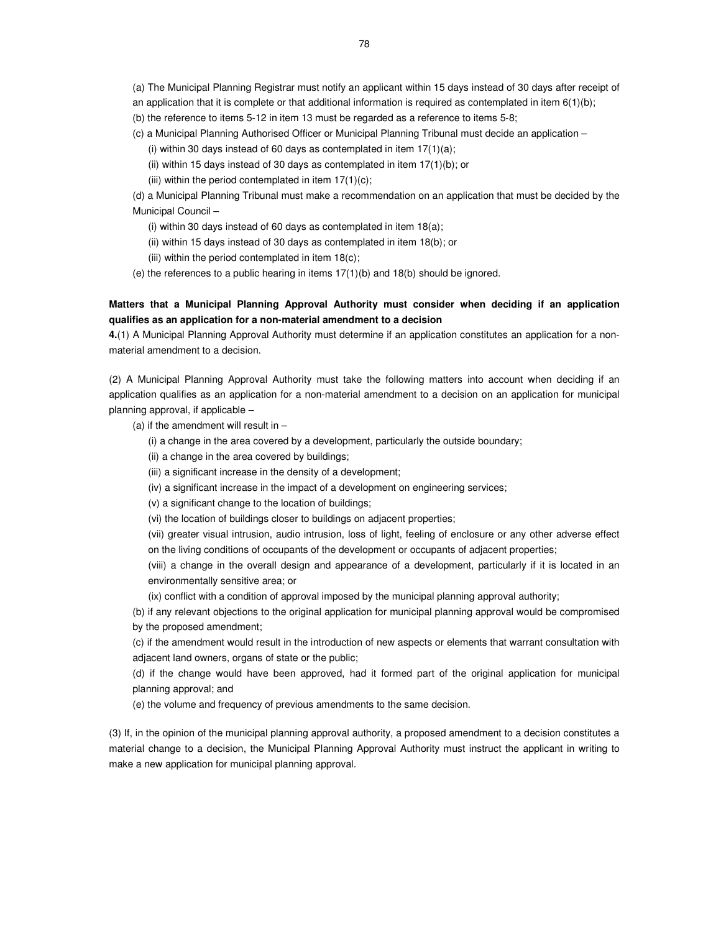(a) The Municipal Planning Registrar must notify an applicant within 15 days instead of 30 days after receipt of

- an application that it is complete or that additional information is required as contemplated in item 6(1)(b);
- (b) the reference to items 5-12 in item 13 must be regarded as a reference to items 5-8;
- (c) a Municipal Planning Authorised Officer or Municipal Planning Tribunal must decide an application
	- (i) within 30 days instead of 60 days as contemplated in item  $17(1)(a)$ ;
	- (ii) within 15 days instead of 30 days as contemplated in item  $17(1)(b)$ ; or
	- (iii) within the period contemplated in item  $17(1)(c)$ ;

(d) a Municipal Planning Tribunal must make a recommendation on an application that must be decided by the Municipal Council –

- (i) within 30 days instead of 60 days as contemplated in item  $18(a)$ ;
- (ii) within 15 days instead of 30 days as contemplated in item 18(b); or
- (iii) within the period contemplated in item  $18(c)$ ;
- (e) the references to a public hearing in items 17(1)(b) and 18(b) should be ignored.

## **Matters that a Municipal Planning Approval Authority must consider when deciding if an application qualifies as an application for a non-material amendment to a decision**

**4.**(1) A Municipal Planning Approval Authority must determine if an application constitutes an application for a nonmaterial amendment to a decision.

(2) A Municipal Planning Approval Authority must take the following matters into account when deciding if an application qualifies as an application for a non-material amendment to a decision on an application for municipal planning approval, if applicable –

(a) if the amendment will result in  $-$ 

- (i) a change in the area covered by a development, particularly the outside boundary;
- (ii) a change in the area covered by buildings;
- (iii) a significant increase in the density of a development;
- (iv) a significant increase in the impact of a development on engineering services;
- (v) a significant change to the location of buildings;
- (vi) the location of buildings closer to buildings on adjacent properties;

(vii) greater visual intrusion, audio intrusion, loss of light, feeling of enclosure or any other adverse effect on the living conditions of occupants of the development or occupants of adjacent properties;

(viii) a change in the overall design and appearance of a development, particularly if it is located in an environmentally sensitive area; or

(ix) conflict with a condition of approval imposed by the municipal planning approval authority;

(b) if any relevant objections to the original application for municipal planning approval would be compromised by the proposed amendment;

(c) if the amendment would result in the introduction of new aspects or elements that warrant consultation with adjacent land owners, organs of state or the public;

(d) if the change would have been approved, had it formed part of the original application for municipal planning approval; and

(e) the volume and frequency of previous amendments to the same decision.

(3) If, in the opinion of the municipal planning approval authority, a proposed amendment to a decision constitutes a material change to a decision, the Municipal Planning Approval Authority must instruct the applicant in writing to make a new application for municipal planning approval.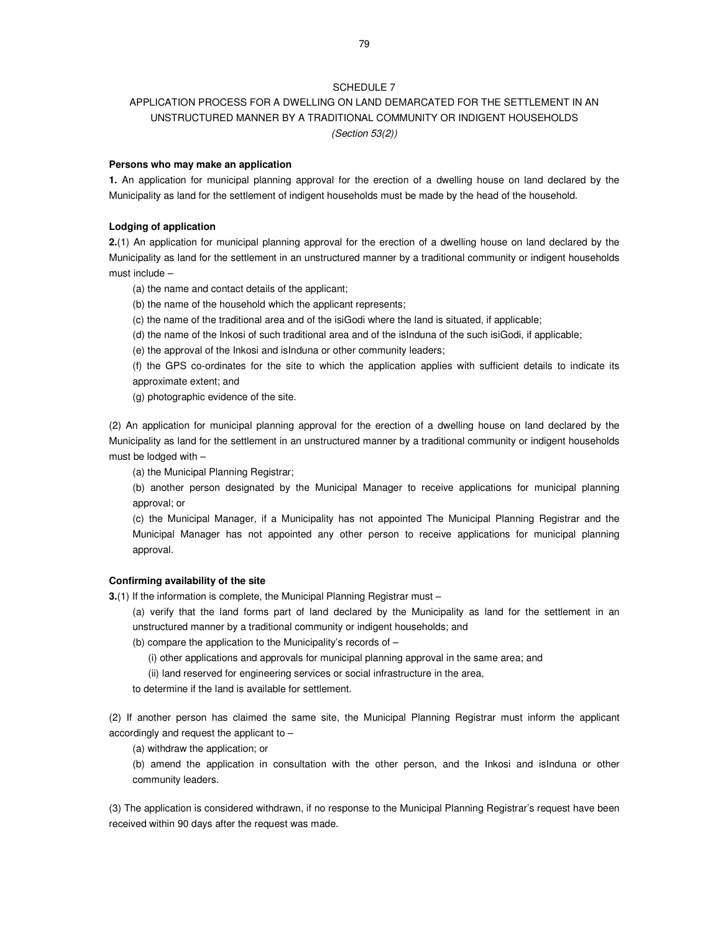## APPLICATION PROCESS FOR A DWELLING ON LAND DEMARCATED FOR THE SETTLEMENT IN AN UNSTRUCTURED MANNER BY A TRADITIONAL COMMUNITY OR INDIGENT HOUSEHOLDS (Section 53(2))

#### **Persons who may make an application**

**1.** An application for municipal planning approval for the erection of a dwelling house on land declared by the Municipality as land for the settlement of indigent households must be made by the head of the household.

## **Lodging of application**

**2.**(1) An application for municipal planning approval for the erection of a dwelling house on land declared by the Municipality as land for the settlement in an unstructured manner by a traditional community or indigent households must include –

(a) the name and contact details of the applicant;

(b) the name of the household which the applicant represents;

(c) the name of the traditional area and of the isiGodi where the land is situated, if applicable;

(d) the name of the Inkosi of such traditional area and of the isInduna of the such isiGodi, if applicable;

(e) the approval of the Inkosi and isInduna or other community leaders;

(f) the GPS co-ordinates for the site to which the application applies with sufficient details to indicate its approximate extent; and

(g) photographic evidence of the site.

(2) An application for municipal planning approval for the erection of a dwelling house on land declared by the Municipality as land for the settlement in an unstructured manner by a traditional community or indigent households must be lodged with –

(a) the Municipal Planning Registrar;

(b) another person designated by the Municipal Manager to receive applications for municipal planning approval; or

(c) the Municipal Manager, if a Municipality has not appointed The Municipal Planning Registrar and the Municipal Manager has not appointed any other person to receive applications for municipal planning approval.

## **Confirming availability of the site**

**3.**(1) If the information is complete, the Municipal Planning Registrar must -

(a) verify that the land forms part of land declared by the Municipality as land for the settlement in an unstructured manner by a traditional community or indigent households; and

(b) compare the application to the Municipality's records of –

(i) other applications and approvals for municipal planning approval in the same area; and

(ii) land reserved for engineering services or social infrastructure in the area,

to determine if the land is available for settlement.

(2) If another person has claimed the same site, the Municipal Planning Registrar must inform the applicant accordingly and request the applicant to –

(a) withdraw the application; or

(b) amend the application in consultation with the other person, and the Inkosi and isInduna or other community leaders.

(3) The application is considered withdrawn, if no response to the Municipal Planning Registrar's request have been received within 90 days after the request was made.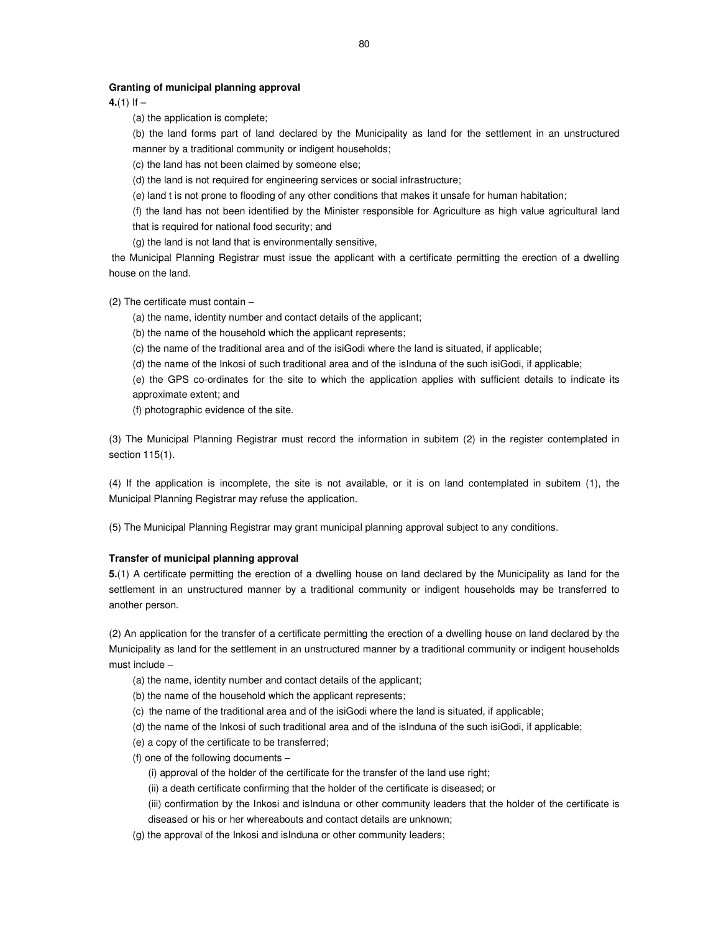#### **Granting of municipal planning approval**

 $4.(1)$  If  $-$ 

(a) the application is complete;

(b) the land forms part of land declared by the Municipality as land for the settlement in an unstructured manner by a traditional community or indigent households;

(c) the land has not been claimed by someone else;

(d) the land is not required for engineering services or social infrastructure;

(e) land t is not prone to flooding of any other conditions that makes it unsafe for human habitation;

(f) the land has not been identified by the Minister responsible for Agriculture as high value agricultural land that is required for national food security; and

(g) the land is not land that is environmentally sensitive,

 the Municipal Planning Registrar must issue the applicant with a certificate permitting the erection of a dwelling house on the land.

(2) The certificate must contain –

(a) the name, identity number and contact details of the applicant;

(b) the name of the household which the applicant represents;

(c) the name of the traditional area and of the isiGodi where the land is situated, if applicable;

(d) the name of the Inkosi of such traditional area and of the isInduna of the such isiGodi, if applicable;

(e) the GPS co-ordinates for the site to which the application applies with sufficient details to indicate its approximate extent; and

(f) photographic evidence of the site.

(3) The Municipal Planning Registrar must record the information in subitem (2) in the register contemplated in section 115(1).

(4) If the application is incomplete, the site is not available, or it is on land contemplated in subitem (1), the Municipal Planning Registrar may refuse the application.

(5) The Municipal Planning Registrar may grant municipal planning approval subject to any conditions.

#### **Transfer of municipal planning approval**

**5.**(1) A certificate permitting the erection of a dwelling house on land declared by the Municipality as land for the settlement in an unstructured manner by a traditional community or indigent households may be transferred to another person.

(2) An application for the transfer of a certificate permitting the erection of a dwelling house on land declared by the Municipality as land for the settlement in an unstructured manner by a traditional community or indigent households must include –

- (a) the name, identity number and contact details of the applicant;
- (b) the name of the household which the applicant represents;
- (c) the name of the traditional area and of the isiGodi where the land is situated, if applicable;
- (d) the name of the Inkosi of such traditional area and of the isInduna of the such isiGodi, if applicable;
- (e) a copy of the certificate to be transferred;
- (f) one of the following documents
	- (i) approval of the holder of the certificate for the transfer of the land use right;
	- (ii) a death certificate confirming that the holder of the certificate is diseased; or
	- (iii) confirmation by the Inkosi and isInduna or other community leaders that the holder of the certificate is diseased or his or her whereabouts and contact details are unknown;
- (g) the approval of the Inkosi and isInduna or other community leaders;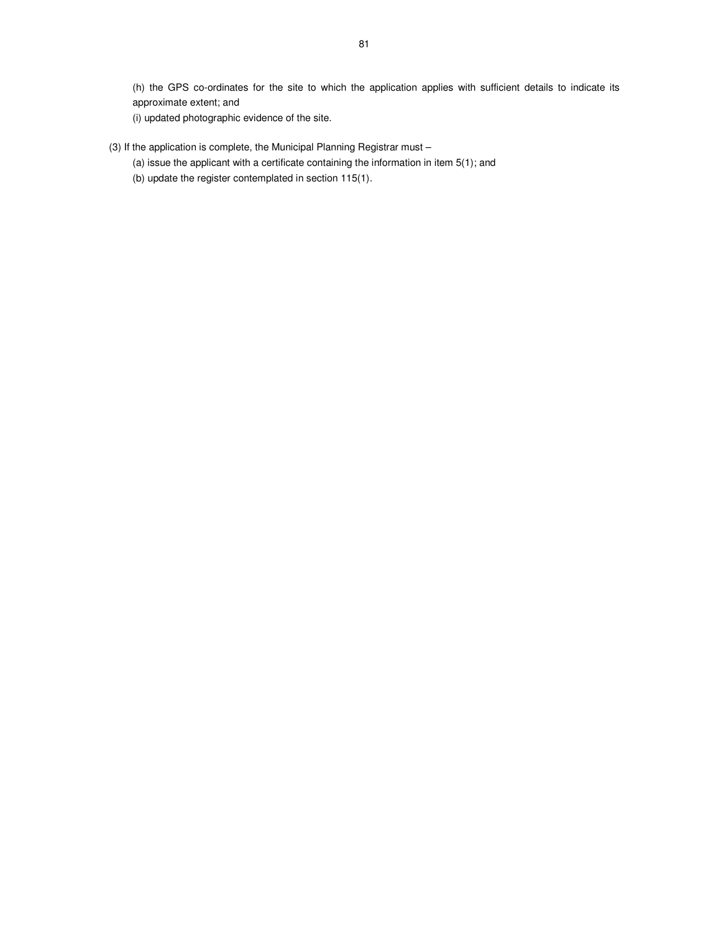(h) the GPS co-ordinates for the site to which the application applies with sufficient details to indicate its approximate extent; and

(i) updated photographic evidence of the site.

- (3) If the application is complete, the Municipal Planning Registrar must
	- (a) issue the applicant with a certificate containing the information in item 5(1); and
	- (b) update the register contemplated in section 115(1).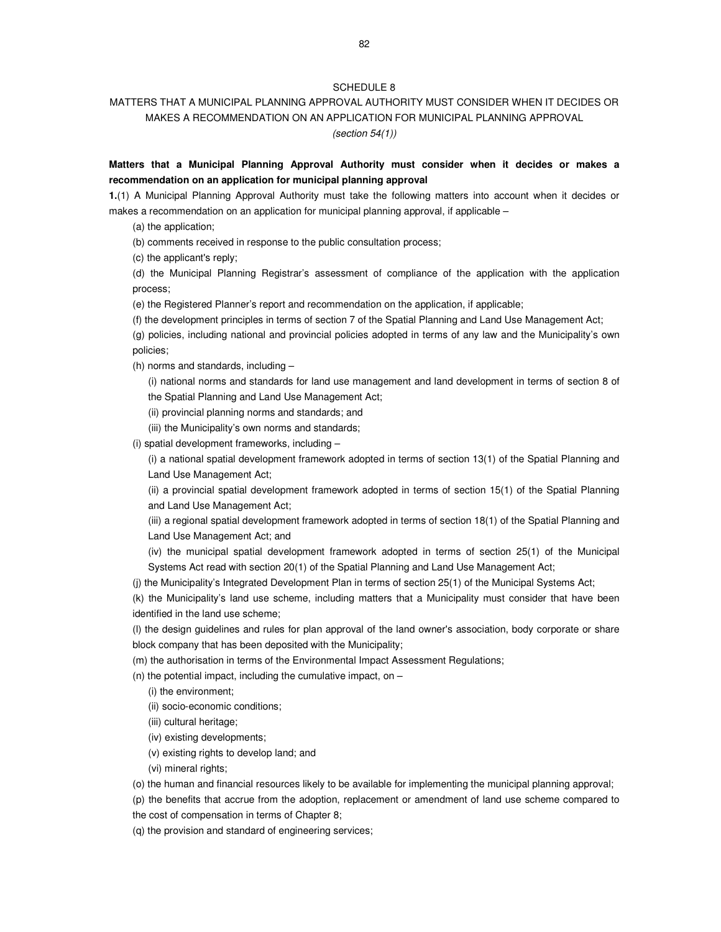## MATTERS THAT A MUNICIPAL PLANNING APPROVAL AUTHORITY MUST CONSIDER WHEN IT DECIDES OR MAKES A RECOMMENDATION ON AN APPLICATION FOR MUNICIPAL PLANNING APPROVAL (section 54(1))

## **Matters that a Municipal Planning Approval Authority must consider when it decides or makes a recommendation on an application for municipal planning approval**

**1.**(1) A Municipal Planning Approval Authority must take the following matters into account when it decides or makes a recommendation on an application for municipal planning approval, if applicable –

(a) the application;

(b) comments received in response to the public consultation process;

(c) the applicant's reply;

(d) the Municipal Planning Registrar's assessment of compliance of the application with the application process;

(e) the Registered Planner's report and recommendation on the application, if applicable;

(f) the development principles in terms of section 7 of the Spatial Planning and Land Use Management Act;

(g) policies, including national and provincial policies adopted in terms of any law and the Municipality's own policies;

(h) norms and standards, including –

(i) national norms and standards for land use management and land development in terms of section 8 of the Spatial Planning and Land Use Management Act;

(ii) provincial planning norms and standards; and

(iii) the Municipality's own norms and standards;

(i) spatial development frameworks, including –

(i) a national spatial development framework adopted in terms of section 13(1) of the Spatial Planning and Land Use Management Act;

(ii) a provincial spatial development framework adopted in terms of section 15(1) of the Spatial Planning and Land Use Management Act;

(iii) a regional spatial development framework adopted in terms of section 18(1) of the Spatial Planning and Land Use Management Act; and

- (iv) the municipal spatial development framework adopted in terms of section 25(1) of the Municipal Systems Act read with section 20(1) of the Spatial Planning and Land Use Management Act;
- (j) the Municipality's Integrated Development Plan in terms of section 25(1) of the Municipal Systems Act;

(k) the Municipality's land use scheme, including matters that a Municipality must consider that have been identified in the land use scheme;

(l) the design guidelines and rules for plan approval of the land owner's association, body corporate or share block company that has been deposited with the Municipality;

(m) the authorisation in terms of the Environmental Impact Assessment Regulations;

(n) the potential impact, including the cumulative impact, on  $-$ 

(i) the environment;

(ii) socio-economic conditions;

- (iii) cultural heritage;
- (iv) existing developments;
- (v) existing rights to develop land; and
- (vi) mineral rights;

(o) the human and financial resources likely to be available for implementing the municipal planning approval;

(p) the benefits that accrue from the adoption, replacement or amendment of land use scheme compared to

the cost of compensation in terms of Chapter 8;

(q) the provision and standard of engineering services;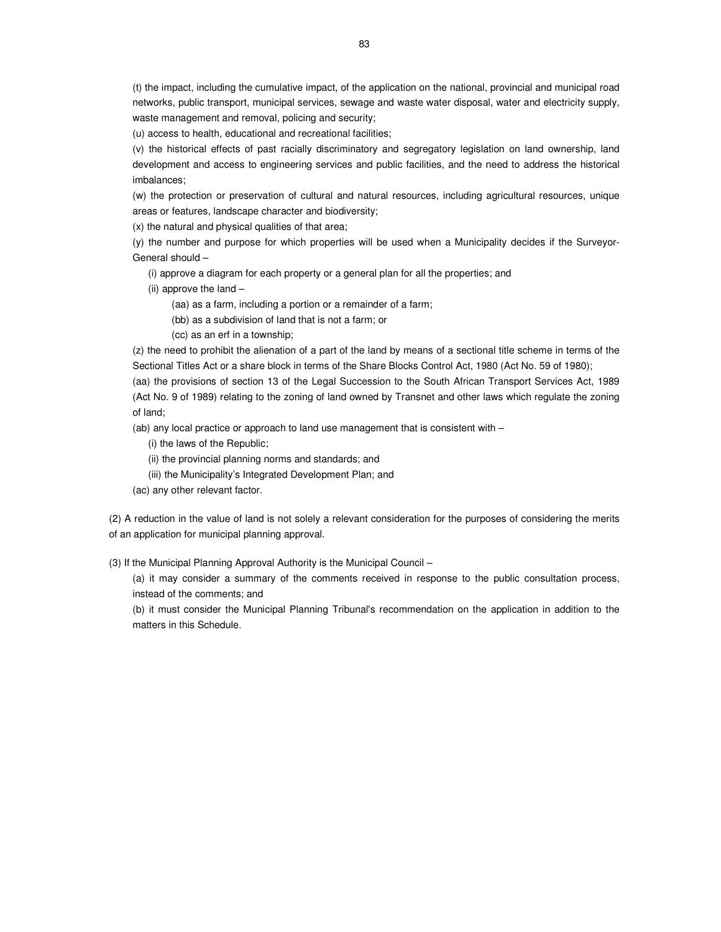(t) the impact, including the cumulative impact, of the application on the national, provincial and municipal road networks, public transport, municipal services, sewage and waste water disposal, water and electricity supply, waste management and removal, policing and security;

(u) access to health, educational and recreational facilities;

(v) the historical effects of past racially discriminatory and segregatory legislation on land ownership, land development and access to engineering services and public facilities, and the need to address the historical imbalances;

(w) the protection or preservation of cultural and natural resources, including agricultural resources, unique areas or features, landscape character and biodiversity;

(x) the natural and physical qualities of that area;

(y) the number and purpose for which properties will be used when a Municipality decides if the Surveyor-General should –

(i) approve a diagram for each property or a general plan for all the properties; and

(ii) approve the land –

(aa) as a farm, including a portion or a remainder of a farm;

(bb) as a subdivision of land that is not a farm; or

(cc) as an erf in a township;

(z) the need to prohibit the alienation of a part of the land by means of a sectional title scheme in terms of the Sectional Titles Act or a share block in terms of the Share Blocks Control Act, 1980 (Act No. 59 of 1980);

(aa) the provisions of section 13 of the Legal Succession to the South African Transport Services Act, 1989 (Act No. 9 of 1989) relating to the zoning of land owned by Transnet and other laws which regulate the zoning of land;

(ab) any local practice or approach to land use management that is consistent with –

(i) the laws of the Republic;

(ii) the provincial planning norms and standards; and

(iii) the Municipality's Integrated Development Plan; and

(ac) any other relevant factor.

(2) A reduction in the value of land is not solely a relevant consideration for the purposes of considering the merits of an application for municipal planning approval.

(3) If the Municipal Planning Approval Authority is the Municipal Council –

(a) it may consider a summary of the comments received in response to the public consultation process, instead of the comments; and

(b) it must consider the Municipal Planning Tribunal's recommendation on the application in addition to the matters in this Schedule.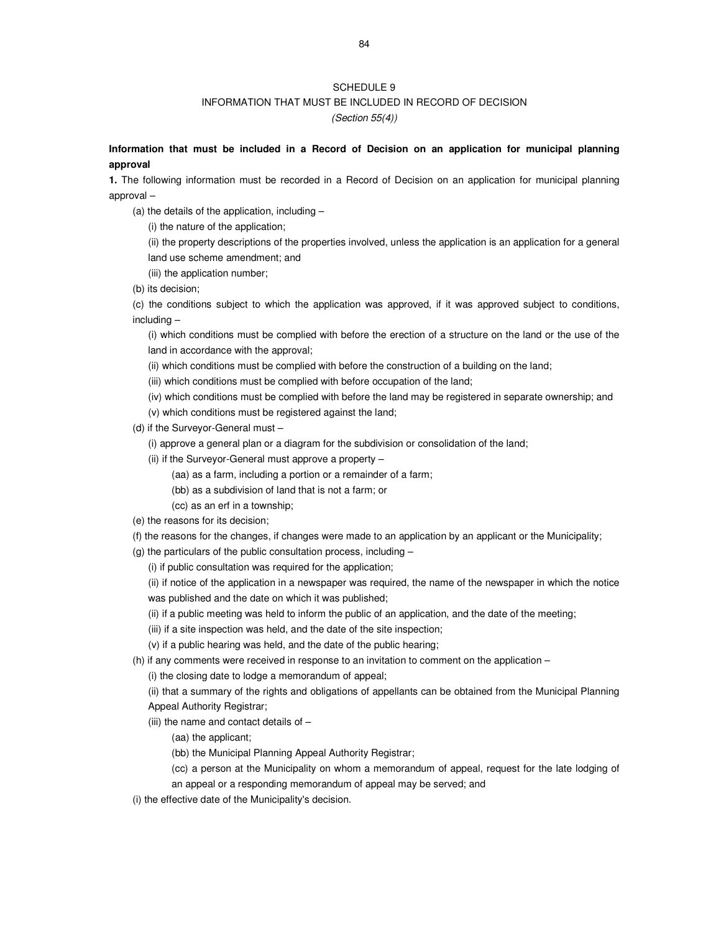## INFORMATION THAT MUST BE INCLUDED IN RECORD OF DECISION

(Section 55(4))

## **Information that must be included in a Record of Decision on an application for municipal planning approval**

**1.** The following information must be recorded in a Record of Decision on an application for municipal planning approval –

(a) the details of the application, including –

(i) the nature of the application;

(ii) the property descriptions of the properties involved, unless the application is an application for a general land use scheme amendment; and

- (iii) the application number;
- (b) its decision;

(c) the conditions subject to which the application was approved, if it was approved subject to conditions, including –

(i) which conditions must be complied with before the erection of a structure on the land or the use of the land in accordance with the approval;

(ii) which conditions must be complied with before the construction of a building on the land;

(iii) which conditions must be complied with before occupation of the land;

(iv) which conditions must be complied with before the land may be registered in separate ownership; and

(v) which conditions must be registered against the land;

- (d) if the Surveyor-General must
	- (i) approve a general plan or a diagram for the subdivision or consolidation of the land;
	- (ii) if the Surveyor-General must approve a property
		- (aa) as a farm, including a portion or a remainder of a farm;
		- (bb) as a subdivision of land that is not a farm; or
		- (cc) as an erf in a township;
- (e) the reasons for its decision;
- (f) the reasons for the changes, if changes were made to an application by an applicant or the Municipality;
- (g) the particulars of the public consultation process, including
	- (i) if public consultation was required for the application;

(ii) if notice of the application in a newspaper was required, the name of the newspaper in which the notice was published and the date on which it was published;

- (ii) if a public meeting was held to inform the public of an application, and the date of the meeting;
- (iii) if a site inspection was held, and the date of the site inspection;
- (v) if a public hearing was held, and the date of the public hearing;

(h) if any comments were received in response to an invitation to comment on the application –

(i) the closing date to lodge a memorandum of appeal;

(ii) that a summary of the rights and obligations of appellants can be obtained from the Municipal Planning Appeal Authority Registrar;

(iii) the name and contact details of –

(aa) the applicant;

(bb) the Municipal Planning Appeal Authority Registrar;

(cc) a person at the Municipality on whom a memorandum of appeal, request for the late lodging of an appeal or a responding memorandum of appeal may be served; and

(i) the effective date of the Municipality's decision.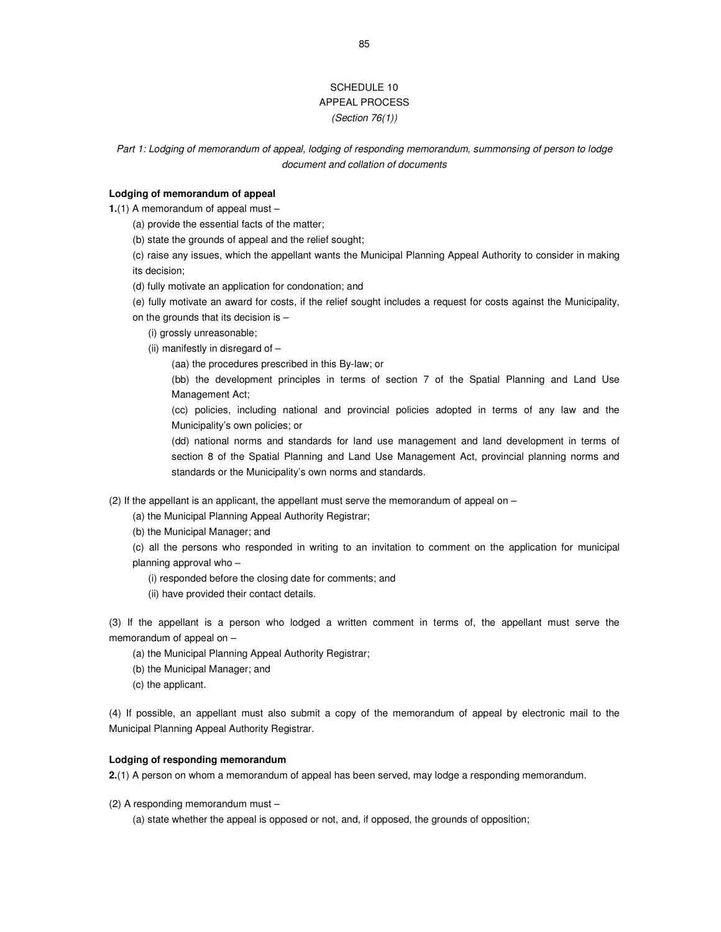## SCHEDULE 10 APPEAL PROCESS (Section 76(1))

Part 1: Lodging of memorandum of appeal, lodging of responding memorandum, summonsing of person to lodge document and collation of documents

## **Lodging of memorandum of appeal**

**1.**(1) A memorandum of appeal must –

(a) provide the essential facts of the matter;

(b) state the grounds of appeal and the relief sought;

(c) raise any issues, which the appellant wants the Municipal Planning Appeal Authority to consider in making its decision;

(d) fully motivate an application for condonation; and

(e) fully motivate an award for costs, if the relief sought includes a request for costs against the Municipality,

on the grounds that its decision is –

(i) grossly unreasonable;

(ii) manifestly in disregard of –

(aa) the procedures prescribed in this By-law; or

(bb) the development principles in terms of section 7 of the Spatial Planning and Land Use Management Act;

(cc) policies, including national and provincial policies adopted in terms of any law and the Municipality's own policies; or

(dd) national norms and standards for land use management and land development in terms of section 8 of the Spatial Planning and Land Use Management Act, provincial planning norms and standards or the Municipality's own norms and standards.

(2) If the appellant is an applicant, the appellant must serve the memorandum of appeal on –

(a) the Municipal Planning Appeal Authority Registrar;

(b) the Municipal Manager; and

(c) all the persons who responded in writing to an invitation to comment on the application for municipal planning approval who -

(i) responded before the closing date for comments; and

(ii) have provided their contact details.

(3) If the appellant is a person who lodged a written comment in terms of, the appellant must serve the memorandum of appeal on –

(a) the Municipal Planning Appeal Authority Registrar;

(b) the Municipal Manager; and

(c) the applicant.

(4) If possible, an appellant must also submit a copy of the memorandum of appeal by electronic mail to the Municipal Planning Appeal Authority Registrar.

#### **Lodging of responding memorandum**

**2.**(1) A person on whom a memorandum of appeal has been served, may lodge a responding memorandum.

(2) A responding memorandum must –

(a) state whether the appeal is opposed or not, and, if opposed, the grounds of opposition;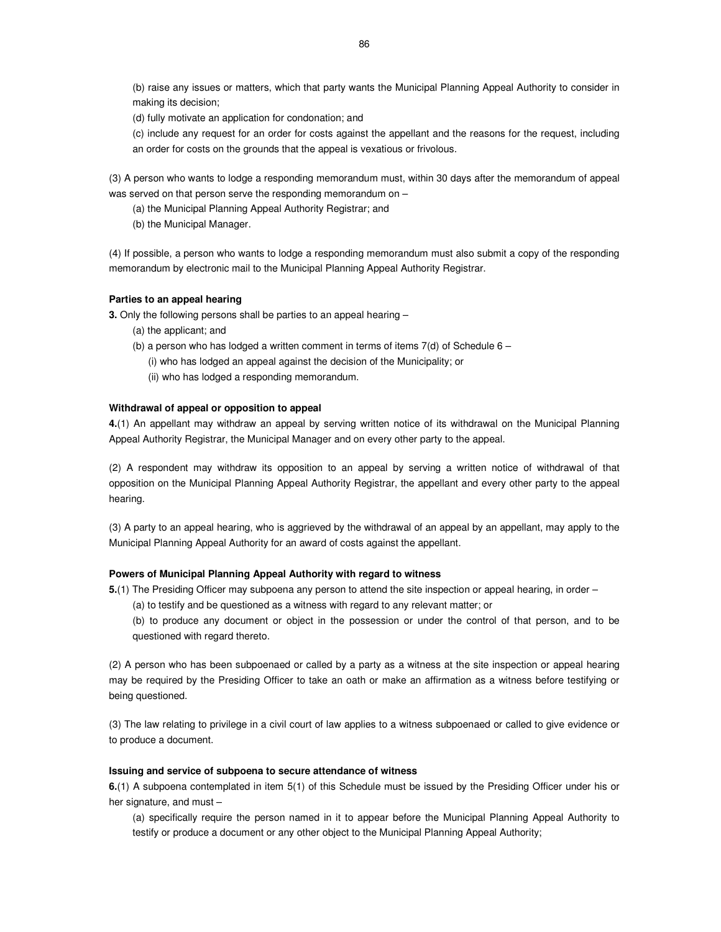(b) raise any issues or matters, which that party wants the Municipal Planning Appeal Authority to consider in making its decision;

(d) fully motivate an application for condonation; and

(c) include any request for an order for costs against the appellant and the reasons for the request, including an order for costs on the grounds that the appeal is vexatious or frivolous.

(3) A person who wants to lodge a responding memorandum must, within 30 days after the memorandum of appeal was served on that person serve the responding memorandum on –

(a) the Municipal Planning Appeal Authority Registrar; and

(b) the Municipal Manager.

(4) If possible, a person who wants to lodge a responding memorandum must also submit a copy of the responding memorandum by electronic mail to the Municipal Planning Appeal Authority Registrar.

### **Parties to an appeal hearing**

**3.** Only the following persons shall be parties to an appeal hearing –

- (a) the applicant; and
- (b) a person who has lodged a written comment in terms of items  $7(d)$  of Schedule 6 –

(i) who has lodged an appeal against the decision of the Municipality; or

(ii) who has lodged a responding memorandum.

## **Withdrawal of appeal or opposition to appeal**

**4.**(1) An appellant may withdraw an appeal by serving written notice of its withdrawal on the Municipal Planning Appeal Authority Registrar, the Municipal Manager and on every other party to the appeal.

(2) A respondent may withdraw its opposition to an appeal by serving a written notice of withdrawal of that opposition on the Municipal Planning Appeal Authority Registrar, the appellant and every other party to the appeal hearing.

(3) A party to an appeal hearing, who is aggrieved by the withdrawal of an appeal by an appellant, may apply to the Municipal Planning Appeal Authority for an award of costs against the appellant.

### **Powers of Municipal Planning Appeal Authority with regard to witness**

- **5.**(1) The Presiding Officer may subpoena any person to attend the site inspection or appeal hearing, in order
	- (a) to testify and be questioned as a witness with regard to any relevant matter; or

(b) to produce any document or object in the possession or under the control of that person, and to be questioned with regard thereto.

(2) A person who has been subpoenaed or called by a party as a witness at the site inspection or appeal hearing may be required by the Presiding Officer to take an oath or make an affirmation as a witness before testifying or being questioned.

(3) The law relating to privilege in a civil court of law applies to a witness subpoenaed or called to give evidence or to produce a document.

### **Issuing and service of subpoena to secure attendance of witness**

**6.**(1) A subpoena contemplated in item 5(1) of this Schedule must be issued by the Presiding Officer under his or her signature, and must –

(a) specifically require the person named in it to appear before the Municipal Planning Appeal Authority to testify or produce a document or any other object to the Municipal Planning Appeal Authority;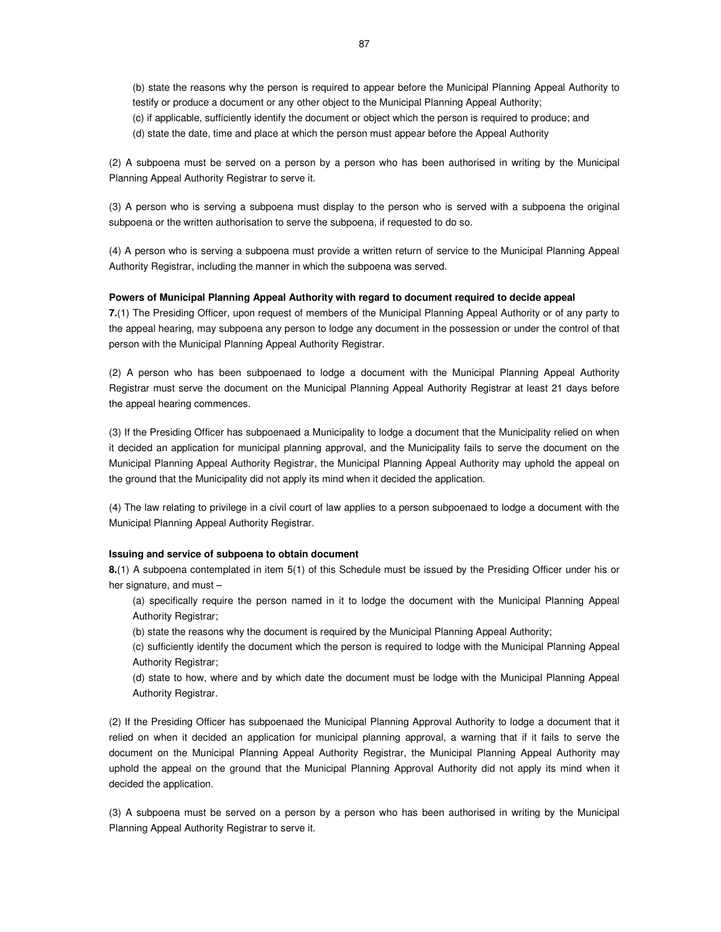(b) state the reasons why the person is required to appear before the Municipal Planning Appeal Authority to testify or produce a document or any other object to the Municipal Planning Appeal Authority;

(c) if applicable, sufficiently identify the document or object which the person is required to produce; and

(d) state the date, time and place at which the person must appear before the Appeal Authority

(2) A subpoena must be served on a person by a person who has been authorised in writing by the Municipal Planning Appeal Authority Registrar to serve it.

(3) A person who is serving a subpoena must display to the person who is served with a subpoena the original subpoena or the written authorisation to serve the subpoena, if requested to do so.

(4) A person who is serving a subpoena must provide a written return of service to the Municipal Planning Appeal Authority Registrar, including the manner in which the subpoena was served.

### **Powers of Municipal Planning Appeal Authority with regard to document required to decide appeal**

**7.**(1) The Presiding Officer, upon request of members of the Municipal Planning Appeal Authority or of any party to the appeal hearing, may subpoena any person to lodge any document in the possession or under the control of that person with the Municipal Planning Appeal Authority Registrar.

(2) A person who has been subpoenaed to lodge a document with the Municipal Planning Appeal Authority Registrar must serve the document on the Municipal Planning Appeal Authority Registrar at least 21 days before the appeal hearing commences.

(3) If the Presiding Officer has subpoenaed a Municipality to lodge a document that the Municipality relied on when it decided an application for municipal planning approval, and the Municipality fails to serve the document on the Municipal Planning Appeal Authority Registrar, the Municipal Planning Appeal Authority may uphold the appeal on the ground that the Municipality did not apply its mind when it decided the application.

(4) The law relating to privilege in a civil court of law applies to a person subpoenaed to lodge a document with the Municipal Planning Appeal Authority Registrar.

#### **Issuing and service of subpoena to obtain document**

**8.**(1) A subpoena contemplated in item 5(1) of this Schedule must be issued by the Presiding Officer under his or her signature, and must –

(a) specifically require the person named in it to lodge the document with the Municipal Planning Appeal Authority Registrar;

(b) state the reasons why the document is required by the Municipal Planning Appeal Authority;

(c) sufficiently identify the document which the person is required to lodge with the Municipal Planning Appeal Authority Registrar;

(d) state to how, where and by which date the document must be lodge with the Municipal Planning Appeal Authority Registrar.

(2) If the Presiding Officer has subpoenaed the Municipal Planning Approval Authority to lodge a document that it relied on when it decided an application for municipal planning approval, a warning that if it fails to serve the document on the Municipal Planning Appeal Authority Registrar, the Municipal Planning Appeal Authority may uphold the appeal on the ground that the Municipal Planning Approval Authority did not apply its mind when it decided the application.

(3) A subpoena must be served on a person by a person who has been authorised in writing by the Municipal Planning Appeal Authority Registrar to serve it.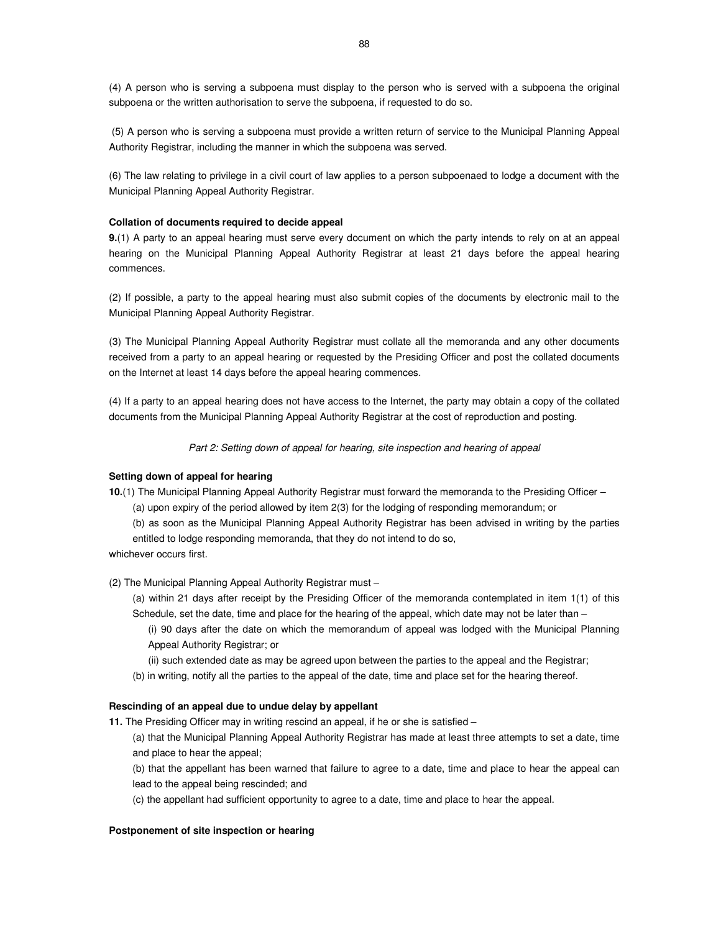(4) A person who is serving a subpoena must display to the person who is served with a subpoena the original subpoena or the written authorisation to serve the subpoena, if requested to do so.

 (5) A person who is serving a subpoena must provide a written return of service to the Municipal Planning Appeal Authority Registrar, including the manner in which the subpoena was served.

(6) The law relating to privilege in a civil court of law applies to a person subpoenaed to lodge a document with the Municipal Planning Appeal Authority Registrar.

#### **Collation of documents required to decide appeal**

**9.**(1) A party to an appeal hearing must serve every document on which the party intends to rely on at an appeal hearing on the Municipal Planning Appeal Authority Registrar at least 21 days before the appeal hearing commences.

(2) If possible, a party to the appeal hearing must also submit copies of the documents by electronic mail to the Municipal Planning Appeal Authority Registrar.

(3) The Municipal Planning Appeal Authority Registrar must collate all the memoranda and any other documents received from a party to an appeal hearing or requested by the Presiding Officer and post the collated documents on the Internet at least 14 days before the appeal hearing commences.

(4) If a party to an appeal hearing does not have access to the Internet, the party may obtain a copy of the collated documents from the Municipal Planning Appeal Authority Registrar at the cost of reproduction and posting.

Part 2: Setting down of appeal for hearing, site inspection and hearing of appeal

#### **Setting down of appeal for hearing**

**10.**(1) The Municipal Planning Appeal Authority Registrar must forward the memoranda to the Presiding Officer –

(a) upon expiry of the period allowed by item 2(3) for the lodging of responding memorandum; or

(b) as soon as the Municipal Planning Appeal Authority Registrar has been advised in writing by the parties entitled to lodge responding memoranda, that they do not intend to do so,

whichever occurs first.

(2) The Municipal Planning Appeal Authority Registrar must –

(a) within 21 days after receipt by the Presiding Officer of the memoranda contemplated in item 1(1) of this Schedule, set the date, time and place for the hearing of the appeal, which date may not be later than –

(i) 90 days after the date on which the memorandum of appeal was lodged with the Municipal Planning Appeal Authority Registrar; or

(ii) such extended date as may be agreed upon between the parties to the appeal and the Registrar;

(b) in writing, notify all the parties to the appeal of the date, time and place set for the hearing thereof.

#### **Rescinding of an appeal due to undue delay by appellant**

**11.** The Presiding Officer may in writing rescind an appeal, if he or she is satisfied –

(a) that the Municipal Planning Appeal Authority Registrar has made at least three attempts to set a date, time and place to hear the appeal;

(b) that the appellant has been warned that failure to agree to a date, time and place to hear the appeal can lead to the appeal being rescinded; and

(c) the appellant had sufficient opportunity to agree to a date, time and place to hear the appeal.

#### **Postponement of site inspection or hearing**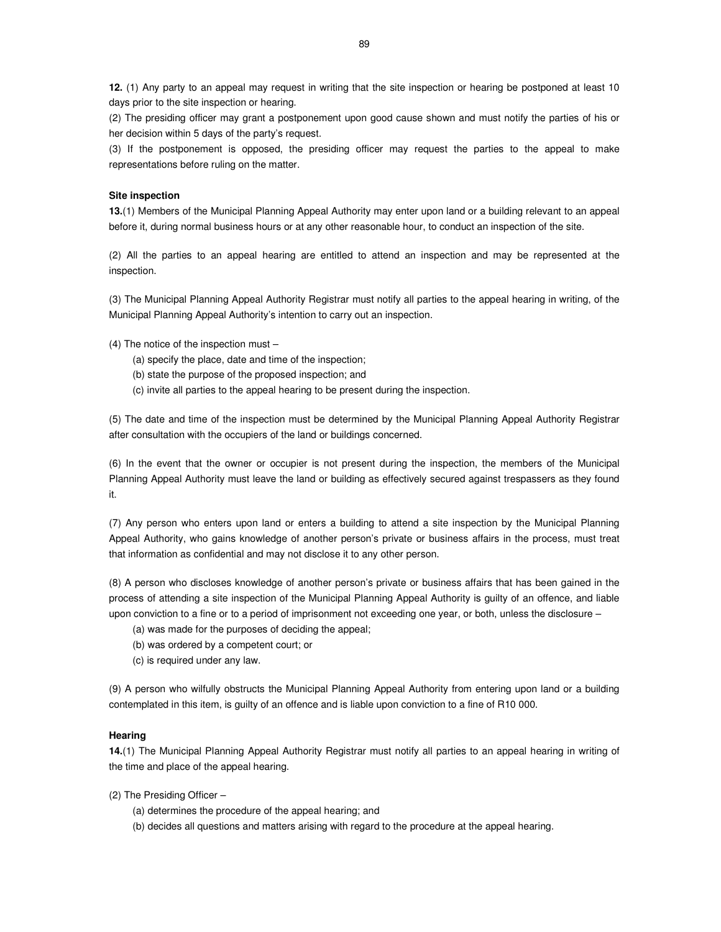**12.** (1) Any party to an appeal may request in writing that the site inspection or hearing be postponed at least 10 days prior to the site inspection or hearing.

(2) The presiding officer may grant a postponement upon good cause shown and must notify the parties of his or her decision within 5 days of the party's request.

(3) If the postponement is opposed, the presiding officer may request the parties to the appeal to make representations before ruling on the matter.

#### **Site inspection**

**13.**(1) Members of the Municipal Planning Appeal Authority may enter upon land or a building relevant to an appeal before it, during normal business hours or at any other reasonable hour, to conduct an inspection of the site.

(2) All the parties to an appeal hearing are entitled to attend an inspection and may be represented at the inspection.

(3) The Municipal Planning Appeal Authority Registrar must notify all parties to the appeal hearing in writing, of the Municipal Planning Appeal Authority's intention to carry out an inspection.

#### (4) The notice of the inspection must –

- (a) specify the place, date and time of the inspection;
- (b) state the purpose of the proposed inspection; and
- (c) invite all parties to the appeal hearing to be present during the inspection.

(5) The date and time of the inspection must be determined by the Municipal Planning Appeal Authority Registrar after consultation with the occupiers of the land or buildings concerned.

(6) In the event that the owner or occupier is not present during the inspection, the members of the Municipal Planning Appeal Authority must leave the land or building as effectively secured against trespassers as they found it.

(7) Any person who enters upon land or enters a building to attend a site inspection by the Municipal Planning Appeal Authority, who gains knowledge of another person's private or business affairs in the process, must treat that information as confidential and may not disclose it to any other person.

(8) A person who discloses knowledge of another person's private or business affairs that has been gained in the process of attending a site inspection of the Municipal Planning Appeal Authority is guilty of an offence, and liable upon conviction to a fine or to a period of imprisonment not exceeding one year, or both, unless the disclosure –

- (a) was made for the purposes of deciding the appeal;
- (b) was ordered by a competent court; or
- (c) is required under any law.

(9) A person who wilfully obstructs the Municipal Planning Appeal Authority from entering upon land or a building contemplated in this item, is guilty of an offence and is liable upon conviction to a fine of R10 000.

#### **Hearing**

**14.**(1) The Municipal Planning Appeal Authority Registrar must notify all parties to an appeal hearing in writing of the time and place of the appeal hearing.

(2) The Presiding Officer –

- (a) determines the procedure of the appeal hearing; and
- (b) decides all questions and matters arising with regard to the procedure at the appeal hearing.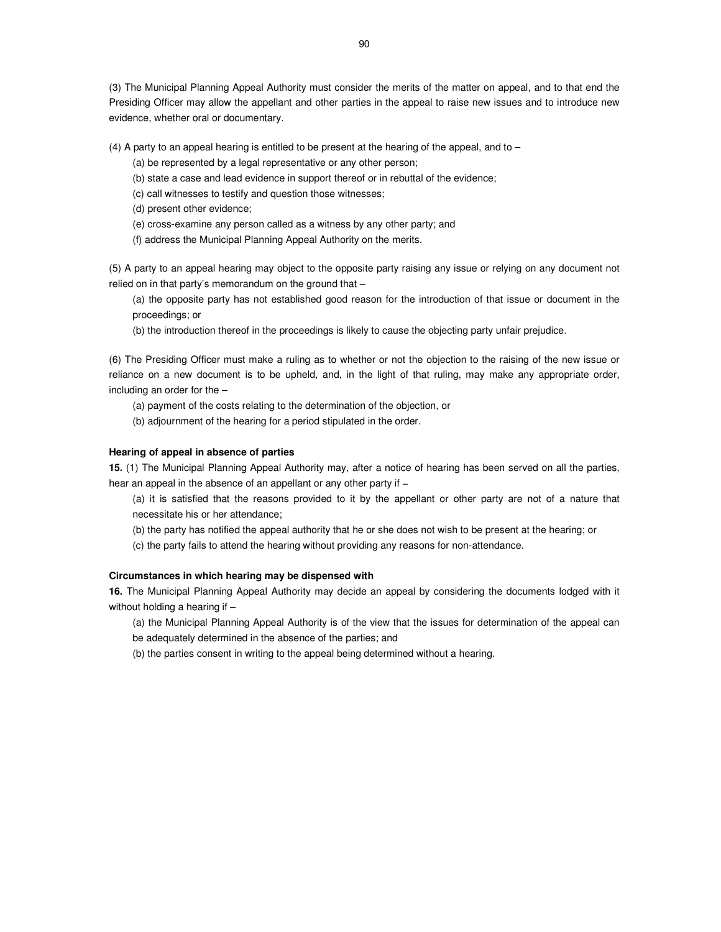(3) The Municipal Planning Appeal Authority must consider the merits of the matter on appeal, and to that end the Presiding Officer may allow the appellant and other parties in the appeal to raise new issues and to introduce new evidence, whether oral or documentary.

(4) A party to an appeal hearing is entitled to be present at the hearing of the appeal, and to –

- (a) be represented by a legal representative or any other person;
- (b) state a case and lead evidence in support thereof or in rebuttal of the evidence;
- (c) call witnesses to testify and question those witnesses;
- (d) present other evidence;
- (e) cross-examine any person called as a witness by any other party; and
- (f) address the Municipal Planning Appeal Authority on the merits.

(5) A party to an appeal hearing may object to the opposite party raising any issue or relying on any document not relied on in that party's memorandum on the ground that –

(a) the opposite party has not established good reason for the introduction of that issue or document in the proceedings; or

(b) the introduction thereof in the proceedings is likely to cause the objecting party unfair prejudice.

(6) The Presiding Officer must make a ruling as to whether or not the objection to the raising of the new issue or reliance on a new document is to be upheld, and, in the light of that ruling, may make any appropriate order, including an order for the –

- (a) payment of the costs relating to the determination of the objection, or
- (b) adjournment of the hearing for a period stipulated in the order.

### **Hearing of appeal in absence of parties**

**15.** (1) The Municipal Planning Appeal Authority may, after a notice of hearing has been served on all the parties, hear an appeal in the absence of an appellant or any other party if –

(a) it is satisfied that the reasons provided to it by the appellant or other party are not of a nature that necessitate his or her attendance;

(b) the party has notified the appeal authority that he or she does not wish to be present at the hearing; or

(c) the party fails to attend the hearing without providing any reasons for non-attendance.

### **Circumstances in which hearing may be dispensed with**

**16.** The Municipal Planning Appeal Authority may decide an appeal by considering the documents lodged with it without holding a hearing if -

(a) the Municipal Planning Appeal Authority is of the view that the issues for determination of the appeal can

be adequately determined in the absence of the parties; and

(b) the parties consent in writing to the appeal being determined without a hearing.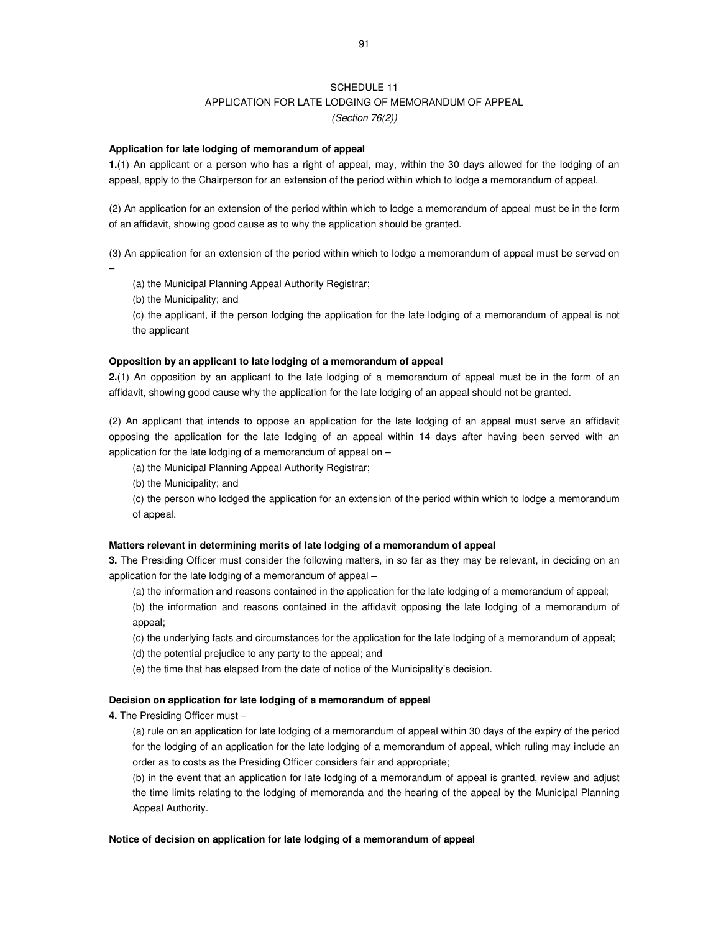## SCHEDULE 11 APPLICATION FOR LATE LODGING OF MEMORANDUM OF APPEAL (Section 76(2))

### **Application for late lodging of memorandum of appeal**

**1.**(1) An applicant or a person who has a right of appeal, may, within the 30 days allowed for the lodging of an appeal, apply to the Chairperson for an extension of the period within which to lodge a memorandum of appeal.

(2) An application for an extension of the period within which to lodge a memorandum of appeal must be in the form of an affidavit, showing good cause as to why the application should be granted.

(3) An application for an extension of the period within which to lodge a memorandum of appeal must be served on

–

(a) the Municipal Planning Appeal Authority Registrar;

(b) the Municipality; and

(c) the applicant, if the person lodging the application for the late lodging of a memorandum of appeal is not the applicant

### **Opposition by an applicant to late lodging of a memorandum of appeal**

**2.**(1) An opposition by an applicant to the late lodging of a memorandum of appeal must be in the form of an affidavit, showing good cause why the application for the late lodging of an appeal should not be granted.

(2) An applicant that intends to oppose an application for the late lodging of an appeal must serve an affidavit opposing the application for the late lodging of an appeal within 14 days after having been served with an application for the late lodging of a memorandum of appeal on –

(a) the Municipal Planning Appeal Authority Registrar;

(b) the Municipality; and

(c) the person who lodged the application for an extension of the period within which to lodge a memorandum of appeal.

#### **Matters relevant in determining merits of late lodging of a memorandum of appeal**

**3.** The Presiding Officer must consider the following matters, in so far as they may be relevant, in deciding on an application for the late lodging of a memorandum of appeal –

(a) the information and reasons contained in the application for the late lodging of a memorandum of appeal;

(b) the information and reasons contained in the affidavit opposing the late lodging of a memorandum of appeal;

(c) the underlying facts and circumstances for the application for the late lodging of a memorandum of appeal;

(d) the potential prejudice to any party to the appeal; and

(e) the time that has elapsed from the date of notice of the Municipality's decision.

### **Decision on application for late lodging of a memorandum of appeal**

**4.** The Presiding Officer must –

(a) rule on an application for late lodging of a memorandum of appeal within 30 days of the expiry of the period for the lodging of an application for the late lodging of a memorandum of appeal, which ruling may include an order as to costs as the Presiding Officer considers fair and appropriate;

(b) in the event that an application for late lodging of a memorandum of appeal is granted, review and adjust the time limits relating to the lodging of memoranda and the hearing of the appeal by the Municipal Planning Appeal Authority.

## **Notice of decision on application for late lodging of a memorandum of appeal**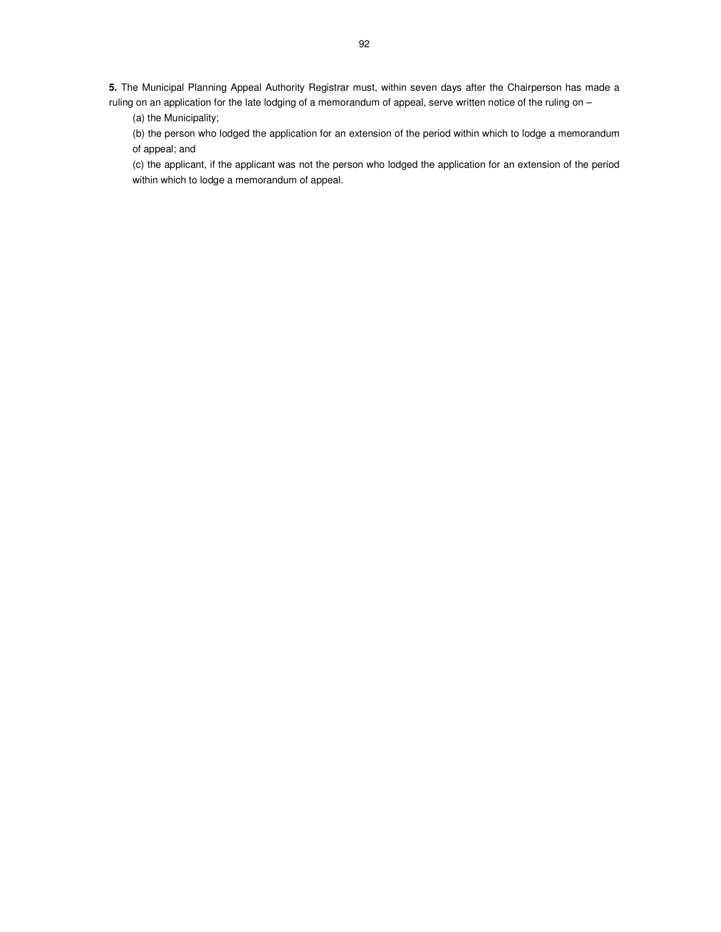**5.** The Municipal Planning Appeal Authority Registrar must, within seven days after the Chairperson has made a ruling on an application for the late lodging of a memorandum of appeal, serve written notice of the ruling on -

(a) the Municipality;

(b) the person who lodged the application for an extension of the period within which to lodge a memorandum of appeal; and

(c) the applicant, if the applicant was not the person who lodged the application for an extension of the period within which to lodge a memorandum of appeal.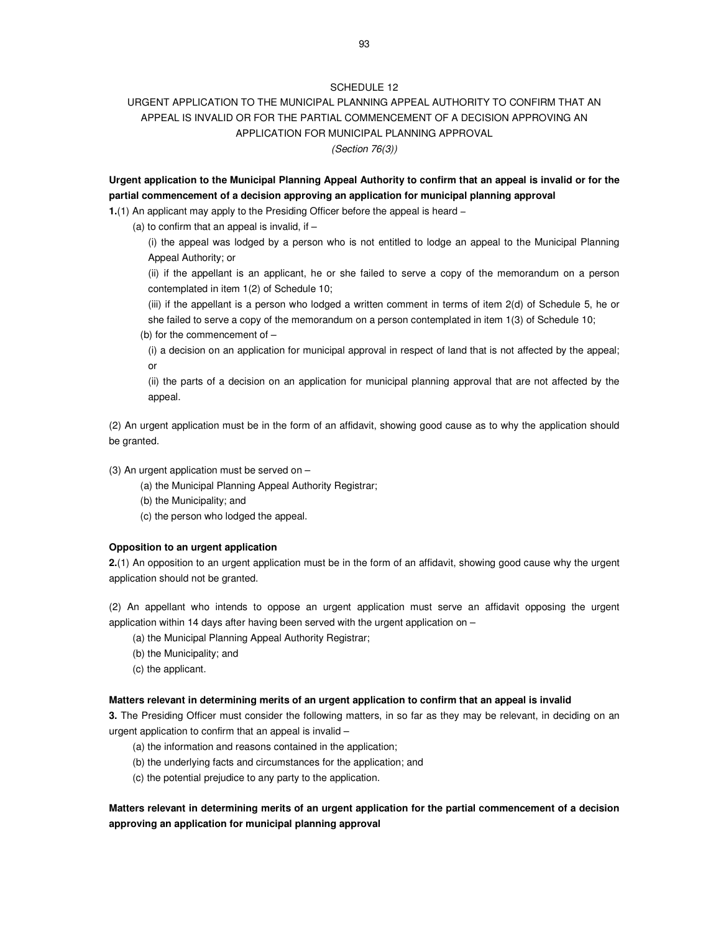## URGENT APPLICATION TO THE MUNICIPAL PLANNING APPEAL AUTHORITY TO CONFIRM THAT AN APPEAL IS INVALID OR FOR THE PARTIAL COMMENCEMENT OF A DECISION APPROVING AN APPLICATION FOR MUNICIPAL PLANNING APPROVAL (Section 76(3))

**Urgent application to the Municipal Planning Appeal Authority to confirm that an appeal is invalid or for the partial commencement of a decision approving an application for municipal planning approval** 

**1.**(1) An applicant may apply to the Presiding Officer before the appeal is heard −

(a) to confirm that an appeal is invalid, if  $-$ 

(i) the appeal was lodged by a person who is not entitled to lodge an appeal to the Municipal Planning Appeal Authority; or

(ii) if the appellant is an applicant, he or she failed to serve a copy of the memorandum on a person contemplated in item 1(2) of Schedule 10;

(iii) if the appellant is a person who lodged a written comment in terms of item 2(d) of Schedule 5, he or she failed to serve a copy of the memorandum on a person contemplated in item 1(3) of Schedule 10;

(b) for the commencement of –

(i) a decision on an application for municipal approval in respect of land that is not affected by the appeal; or

(ii) the parts of a decision on an application for municipal planning approval that are not affected by the appeal.

(2) An urgent application must be in the form of an affidavit, showing good cause as to why the application should be granted.

- (3) An urgent application must be served on
	- (a) the Municipal Planning Appeal Authority Registrar;
	- (b) the Municipality; and
	- (c) the person who lodged the appeal.

### **Opposition to an urgent application**

**2.**(1) An opposition to an urgent application must be in the form of an affidavit, showing good cause why the urgent application should not be granted.

(2) An appellant who intends to oppose an urgent application must serve an affidavit opposing the urgent application within 14 days after having been served with the urgent application on –

- (a) the Municipal Planning Appeal Authority Registrar;
- (b) the Municipality; and
- (c) the applicant.

### **Matters relevant in determining merits of an urgent application to confirm that an appeal is invalid**

**3.** The Presiding Officer must consider the following matters, in so far as they may be relevant, in deciding on an urgent application to confirm that an appeal is invalid –

- (a) the information and reasons contained in the application;
- (b) the underlying facts and circumstances for the application; and
- (c) the potential prejudice to any party to the application.

## **Matters relevant in determining merits of an urgent application for the partial commencement of a decision approving an application for municipal planning approval**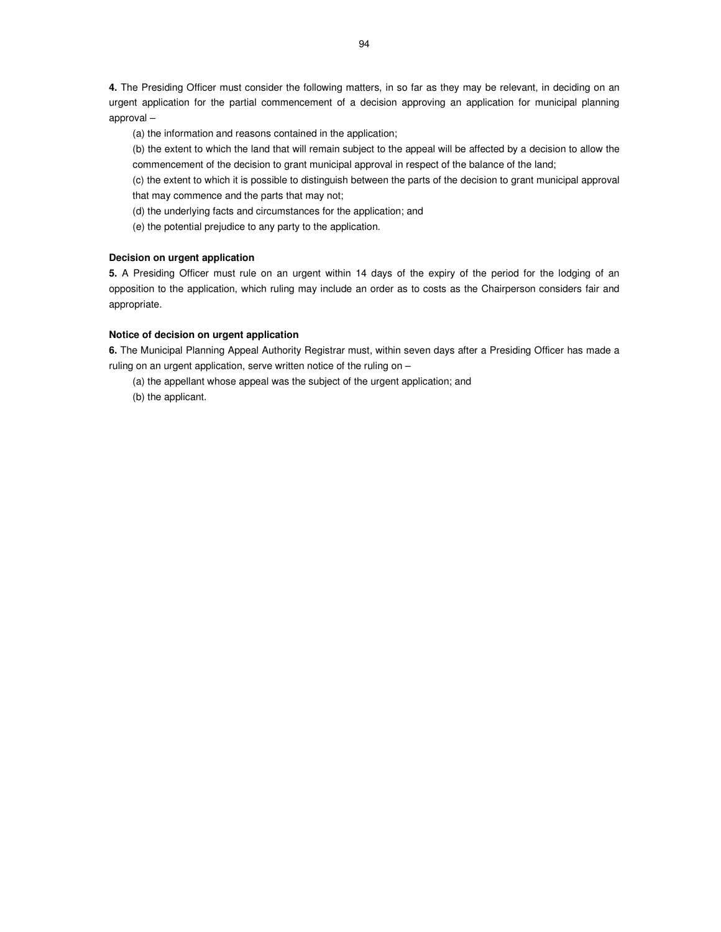**4.** The Presiding Officer must consider the following matters, in so far as they may be relevant, in deciding on an urgent application for the partial commencement of a decision approving an application for municipal planning approval –

(a) the information and reasons contained in the application;

(b) the extent to which the land that will remain subject to the appeal will be affected by a decision to allow the commencement of the decision to grant municipal approval in respect of the balance of the land;

(c) the extent to which it is possible to distinguish between the parts of the decision to grant municipal approval that may commence and the parts that may not;

(d) the underlying facts and circumstances for the application; and

(e) the potential prejudice to any party to the application.

## **Decision on urgent application**

**5.** A Presiding Officer must rule on an urgent within 14 days of the expiry of the period for the lodging of an opposition to the application, which ruling may include an order as to costs as the Chairperson considers fair and appropriate.

### **Notice of decision on urgent application**

**6.** The Municipal Planning Appeal Authority Registrar must, within seven days after a Presiding Officer has made a ruling on an urgent application, serve written notice of the ruling on –

(a) the appellant whose appeal was the subject of the urgent application; and

(b) the applicant.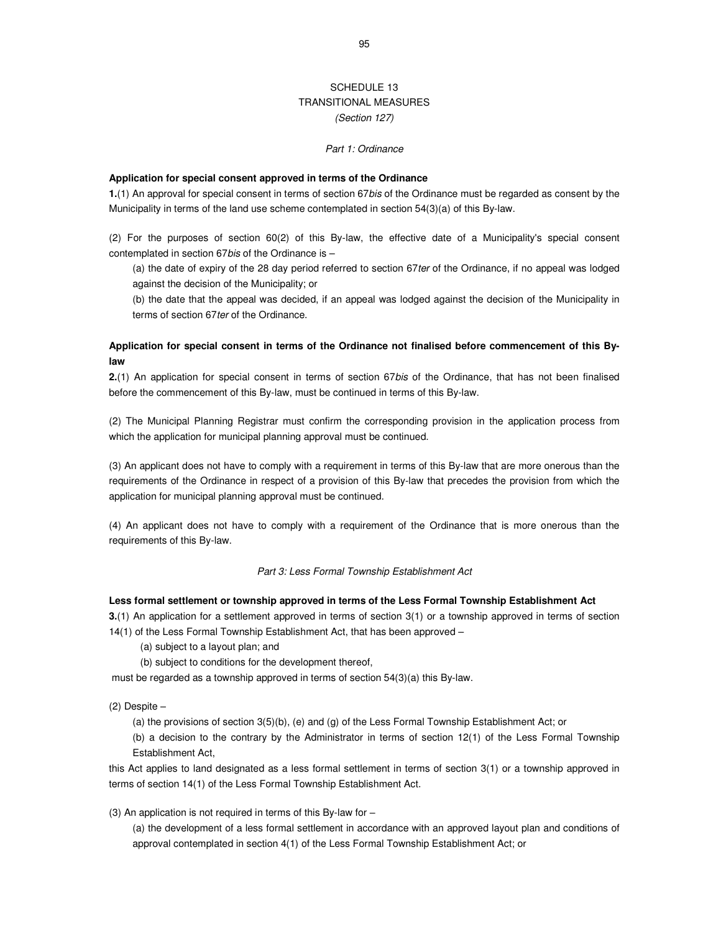## SCHEDULE 13 TRANSITIONAL MEASURES (Section 127)

#### Part 1: Ordinance

#### **Application for special consent approved in terms of the Ordinance**

**1.**(1) An approval for special consent in terms of section 67bis of the Ordinance must be regarded as consent by the Municipality in terms of the land use scheme contemplated in section 54(3)(a) of this By-law.

(2) For the purposes of section 60(2) of this By-law, the effective date of a Municipality's special consent contemplated in section 67bis of the Ordinance is –

(a) the date of expiry of the 28 day period referred to section 67ter of the Ordinance, if no appeal was lodged against the decision of the Municipality; or

(b) the date that the appeal was decided, if an appeal was lodged against the decision of the Municipality in terms of section 67ter of the Ordinance.

## **Application for special consent in terms of the Ordinance not finalised before commencement of this Bylaw**

**2.**(1) An application for special consent in terms of section 67bis of the Ordinance, that has not been finalised before the commencement of this By-law, must be continued in terms of this By-law.

(2) The Municipal Planning Registrar must confirm the corresponding provision in the application process from which the application for municipal planning approval must be continued.

(3) An applicant does not have to comply with a requirement in terms of this By-law that are more onerous than the requirements of the Ordinance in respect of a provision of this By-law that precedes the provision from which the application for municipal planning approval must be continued.

(4) An applicant does not have to comply with a requirement of the Ordinance that is more onerous than the requirements of this By-law.

### Part 3: Less Formal Township Establishment Act

### **Less formal settlement or township approved in terms of the Less Formal Township Establishment Act**

**3.**(1) An application for a settlement approved in terms of section 3(1) or a township approved in terms of section 14(1) of the Less Formal Township Establishment Act, that has been approved –

(a) subject to a layout plan; and

(b) subject to conditions for the development thereof,

must be regarded as a township approved in terms of section 54(3)(a) this By-law.

#### $(2)$  Despite  $-$

(a) the provisions of section 3(5)(b), (e) and (g) of the Less Formal Township Establishment Act; or

(b) a decision to the contrary by the Administrator in terms of section 12(1) of the Less Formal Township Establishment Act,

this Act applies to land designated as a less formal settlement in terms of section 3(1) or a township approved in terms of section 14(1) of the Less Formal Township Establishment Act.

(3) An application is not required in terms of this By-law for  $-$ 

(a) the development of a less formal settlement in accordance with an approved layout plan and conditions of approval contemplated in section 4(1) of the Less Formal Township Establishment Act; or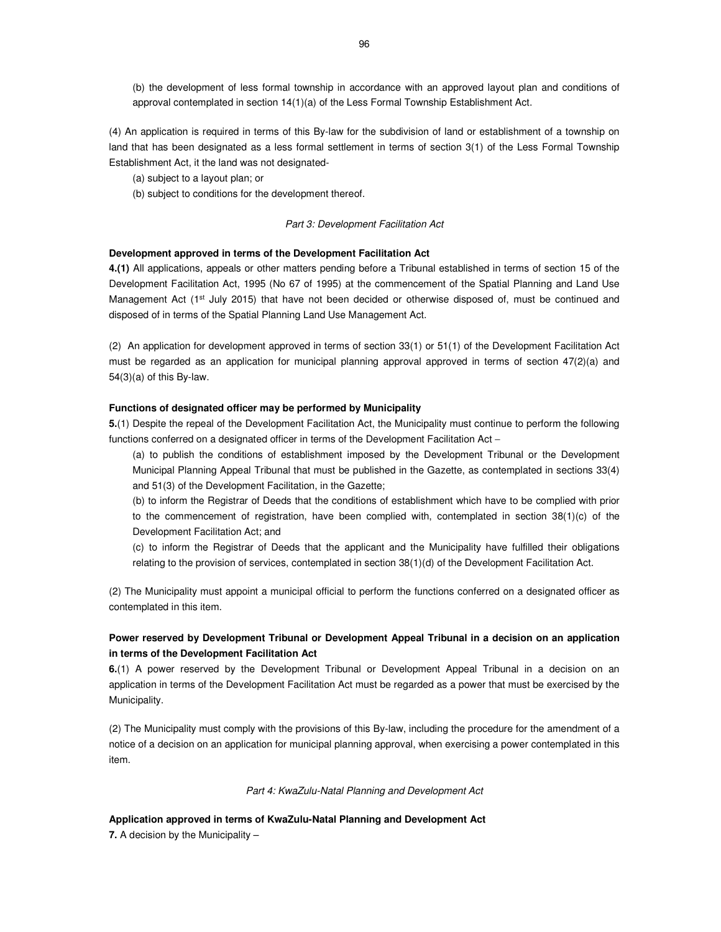(b) the development of less formal township in accordance with an approved layout plan and conditions of approval contemplated in section 14(1)(a) of the Less Formal Township Establishment Act.

(4) An application is required in terms of this By-law for the subdivision of land or establishment of a township on land that has been designated as a less formal settlement in terms of section 3(1) of the Less Formal Township Establishment Act, it the land was not designated-

(a) subject to a layout plan; or

(b) subject to conditions for the development thereof.

### Part 3: Development Facilitation Act

#### **Development approved in terms of the Development Facilitation Act**

**4.(1)** All applications, appeals or other matters pending before a Tribunal established in terms of section 15 of the Development Facilitation Act, 1995 (No 67 of 1995) at the commencement of the Spatial Planning and Land Use Management Act (1<sup>st</sup> July 2015) that have not been decided or otherwise disposed of, must be continued and disposed of in terms of the Spatial Planning Land Use Management Act.

(2) An application for development approved in terms of section 33(1) or 51(1) of the Development Facilitation Act must be regarded as an application for municipal planning approval approved in terms of section 47(2)(a) and 54(3)(a) of this By-law.

### **Functions of designated officer may be performed by Municipality**

**5.**(1) Despite the repeal of the Development Facilitation Act, the Municipality must continue to perform the following functions conferred on a designated officer in terms of the Development Facilitation Act –

(a) to publish the conditions of establishment imposed by the Development Tribunal or the Development Municipal Planning Appeal Tribunal that must be published in the Gazette, as contemplated in sections 33(4) and 51(3) of the Development Facilitation, in the Gazette;

(b) to inform the Registrar of Deeds that the conditions of establishment which have to be complied with prior to the commencement of registration, have been complied with, contemplated in section 38(1)(c) of the Development Facilitation Act; and

(c) to inform the Registrar of Deeds that the applicant and the Municipality have fulfilled their obligations relating to the provision of services, contemplated in section 38(1)(d) of the Development Facilitation Act.

(2) The Municipality must appoint a municipal official to perform the functions conferred on a designated officer as contemplated in this item.

## **Power reserved by Development Tribunal or Development Appeal Tribunal in a decision on an application in terms of the Development Facilitation Act**

**6.**(1) A power reserved by the Development Tribunal or Development Appeal Tribunal in a decision on an application in terms of the Development Facilitation Act must be regarded as a power that must be exercised by the Municipality.

(2) The Municipality must comply with the provisions of this By-law, including the procedure for the amendment of a notice of a decision on an application for municipal planning approval, when exercising a power contemplated in this item.

#### Part 4: KwaZulu-Natal Planning and Development Act

**Application approved in terms of KwaZulu-Natal Planning and Development Act** 

**7.** A decision by the Municipality –